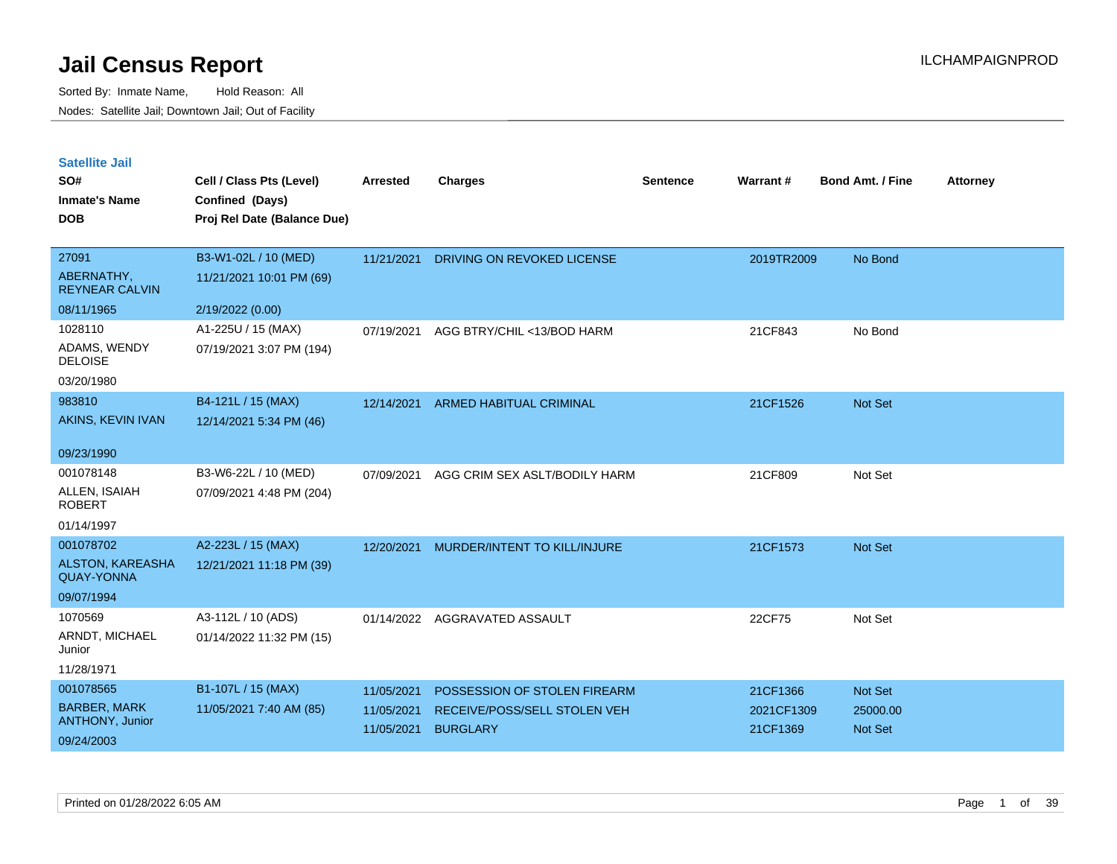| <b>Satellite Jail</b> |  |
|-----------------------|--|
|                       |  |

| SO#<br><b>Inmate's Name</b><br><b>DOB</b>    | Cell / Class Pts (Level)<br>Confined (Days)<br>Proj Rel Date (Balance Due) | Arrested   | <b>Charges</b>                 | Sentence | Warrant#   | <b>Bond Amt. / Fine</b> | <b>Attorney</b> |
|----------------------------------------------|----------------------------------------------------------------------------|------------|--------------------------------|----------|------------|-------------------------|-----------------|
| 27091                                        | B3-W1-02L / 10 (MED)                                                       | 11/21/2021 | DRIVING ON REVOKED LICENSE     |          | 2019TR2009 | No Bond                 |                 |
| ABERNATHY,<br><b>REYNEAR CALVIN</b>          | 11/21/2021 10:01 PM (69)                                                   |            |                                |          |            |                         |                 |
| 08/11/1965                                   | 2/19/2022 (0.00)                                                           |            |                                |          |            |                         |                 |
| 1028110                                      | A1-225U / 15 (MAX)                                                         | 07/19/2021 | AGG BTRY/CHIL <13/BOD HARM     |          | 21CF843    | No Bond                 |                 |
| ADAMS, WENDY<br><b>DELOISE</b>               | 07/19/2021 3:07 PM (194)                                                   |            |                                |          |            |                         |                 |
| 03/20/1980                                   |                                                                            |            |                                |          |            |                         |                 |
| 983810                                       | B4-121L / 15 (MAX)                                                         | 12/14/2021 | <b>ARMED HABITUAL CRIMINAL</b> |          | 21CF1526   | Not Set                 |                 |
| AKINS, KEVIN IVAN                            | 12/14/2021 5:34 PM (46)                                                    |            |                                |          |            |                         |                 |
| 09/23/1990                                   |                                                                            |            |                                |          |            |                         |                 |
| 001078148                                    | B3-W6-22L / 10 (MED)                                                       | 07/09/2021 | AGG CRIM SEX ASLT/BODILY HARM  |          | 21CF809    | Not Set                 |                 |
| ALLEN, ISAIAH<br><b>ROBERT</b>               | 07/09/2021 4:48 PM (204)                                                   |            |                                |          |            |                         |                 |
| 01/14/1997                                   |                                                                            |            |                                |          |            |                         |                 |
| 001078702                                    | A2-223L / 15 (MAX)                                                         | 12/20/2021 | MURDER/INTENT TO KILL/INJURE   |          | 21CF1573   | <b>Not Set</b>          |                 |
| <b>ALSTON, KAREASHA</b><br><b>QUAY-YONNA</b> | 12/21/2021 11:18 PM (39)                                                   |            |                                |          |            |                         |                 |
| 09/07/1994                                   |                                                                            |            |                                |          |            |                         |                 |
| 1070569                                      | A3-112L / 10 (ADS)                                                         | 01/14/2022 | AGGRAVATED ASSAULT             |          | 22CF75     | Not Set                 |                 |
| ARNDT, MICHAEL<br>Junior                     | 01/14/2022 11:32 PM (15)                                                   |            |                                |          |            |                         |                 |
| 11/28/1971                                   |                                                                            |            |                                |          |            |                         |                 |
| 001078565                                    | B1-107L / 15 (MAX)                                                         | 11/05/2021 | POSSESSION OF STOLEN FIREARM   |          | 21CF1366   | <b>Not Set</b>          |                 |
| <b>BARBER, MARK</b>                          | 11/05/2021 7:40 AM (85)                                                    | 11/05/2021 | RECEIVE/POSS/SELL STOLEN VEH   |          | 2021CF1309 | 25000.00                |                 |
| ANTHONY, Junior<br>09/24/2003                |                                                                            | 11/05/2021 | <b>BURGLARY</b>                |          | 21CF1369   | <b>Not Set</b>          |                 |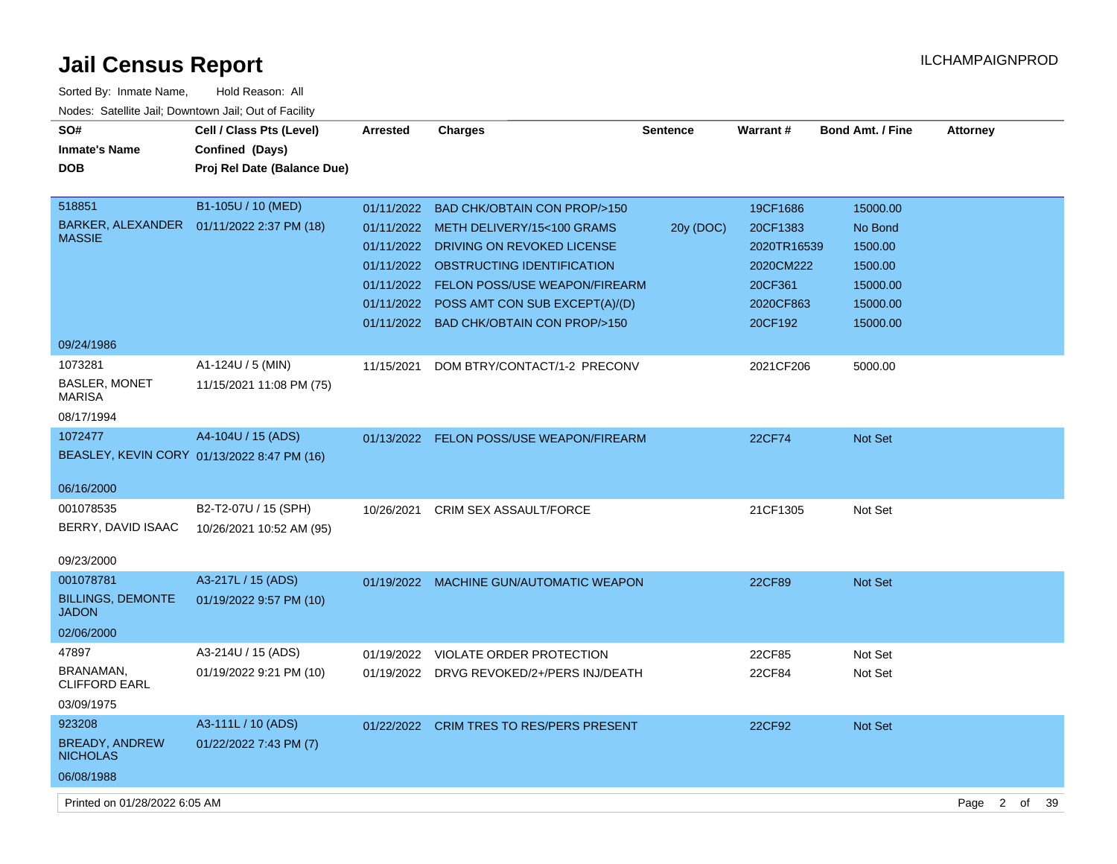| Sorted By: Inmate Name,                               | Hold Reason: All                            |                 |                                           |                 |               |                         |                        |          |
|-------------------------------------------------------|---------------------------------------------|-----------------|-------------------------------------------|-----------------|---------------|-------------------------|------------------------|----------|
| Nodes: Satellite Jail; Downtown Jail; Out of Facility |                                             |                 |                                           |                 |               |                         |                        |          |
| SO#                                                   | Cell / Class Pts (Level)                    | <b>Arrested</b> | Charges                                   | <b>Sentence</b> | Warrant#      | <b>Bond Amt. / Fine</b> | <b>Attorney</b>        |          |
| <b>Inmate's Name</b>                                  | Confined (Days)                             |                 |                                           |                 |               |                         |                        |          |
| <b>DOB</b>                                            | Proj Rel Date (Balance Due)                 |                 |                                           |                 |               |                         |                        |          |
|                                                       |                                             |                 |                                           |                 |               |                         |                        |          |
| 518851                                                | B1-105U / 10 (MED)                          | 01/11/2022      | <b>BAD CHK/OBTAIN CON PROP/&gt;150</b>    |                 | 19CF1686      | 15000.00                |                        |          |
| BARKER, ALEXANDER<br><b>MASSIE</b>                    | 01/11/2022 2:37 PM (18)                     |                 | 01/11/2022 METH DELIVERY/15<100 GRAMS     | 20y (DOC)       | 20CF1383      | No Bond                 |                        |          |
|                                                       |                                             |                 | 01/11/2022 DRIVING ON REVOKED LICENSE     |                 | 2020TR16539   | 1500.00                 |                        |          |
|                                                       |                                             |                 | 01/11/2022 OBSTRUCTING IDENTIFICATION     |                 | 2020CM222     | 1500.00                 |                        |          |
|                                                       |                                             |                 | 01/11/2022 FELON POSS/USE WEAPON/FIREARM  |                 | 20CF361       | 15000.00                |                        |          |
|                                                       |                                             |                 | 01/11/2022 POSS AMT CON SUB EXCEPT(A)/(D) |                 | 2020CF863     | 15000.00                |                        |          |
|                                                       |                                             |                 | 01/11/2022 BAD CHK/OBTAIN CON PROP/>150   |                 | 20CF192       | 15000.00                |                        |          |
| 09/24/1986                                            |                                             |                 |                                           |                 |               |                         |                        |          |
| 1073281                                               | A1-124U / 5 (MIN)                           | 11/15/2021      | DOM BTRY/CONTACT/1-2 PRECONV              |                 | 2021CF206     | 5000.00                 |                        |          |
| <b>BASLER, MONET</b><br><b>MARISA</b>                 | 11/15/2021 11:08 PM (75)                    |                 |                                           |                 |               |                         |                        |          |
| 08/17/1994                                            |                                             |                 |                                           |                 |               |                         |                        |          |
| 1072477                                               | A4-104U / 15 (ADS)                          |                 | 01/13/2022 FELON POSS/USE WEAPON/FIREARM  |                 | <b>22CF74</b> | <b>Not Set</b>          |                        |          |
|                                                       | BEASLEY, KEVIN CORY 01/13/2022 8:47 PM (16) |                 |                                           |                 |               |                         |                        |          |
|                                                       |                                             |                 |                                           |                 |               |                         |                        |          |
| 06/16/2000                                            |                                             |                 |                                           |                 |               |                         |                        |          |
| 001078535                                             | B2-T2-07U / 15 (SPH)                        | 10/26/2021      | <b>CRIM SEX ASSAULT/FORCE</b>             |                 | 21CF1305      | Not Set                 |                        |          |
| BERRY, DAVID ISAAC                                    | 10/26/2021 10:52 AM (95)                    |                 |                                           |                 |               |                         |                        |          |
| 09/23/2000                                            |                                             |                 |                                           |                 |               |                         |                        |          |
| 001078781                                             | A3-217L / 15 (ADS)                          |                 | 01/19/2022 MACHINE GUN/AUTOMATIC WEAPON   |                 | 22CF89        | Not Set                 |                        |          |
| <b>BILLINGS, DEMONTE</b>                              | 01/19/2022 9:57 PM (10)                     |                 |                                           |                 |               |                         |                        |          |
| <b>JADON</b>                                          |                                             |                 |                                           |                 |               |                         |                        |          |
| 02/06/2000                                            |                                             |                 |                                           |                 |               |                         |                        |          |
| 47897                                                 | A3-214U / 15 (ADS)                          | 01/19/2022      | VIOLATE ORDER PROTECTION                  |                 | 22CF85        | Not Set                 |                        |          |
| BRANAMAN,<br><b>CLIFFORD EARL</b>                     | 01/19/2022 9:21 PM (10)                     |                 | 01/19/2022 DRVG REVOKED/2+/PERS INJ/DEATH |                 | 22CF84        | Not Set                 |                        |          |
| 03/09/1975                                            |                                             |                 |                                           |                 |               |                         |                        |          |
| 923208                                                | A3-111L / 10 (ADS)                          |                 | 01/22/2022 CRIM TRES TO RES/PERS PRESENT  |                 | 22CF92        | Not Set                 |                        |          |
| <b>BREADY, ANDREW</b><br><b>NICHOLAS</b>              | 01/22/2022 7:43 PM (7)                      |                 |                                           |                 |               |                         |                        |          |
| 06/08/1988                                            |                                             |                 |                                           |                 |               |                         |                        |          |
| Printed on 01/28/2022 6:05 AM                         |                                             |                 |                                           |                 |               |                         | $\overline{2}$<br>Page | of<br>39 |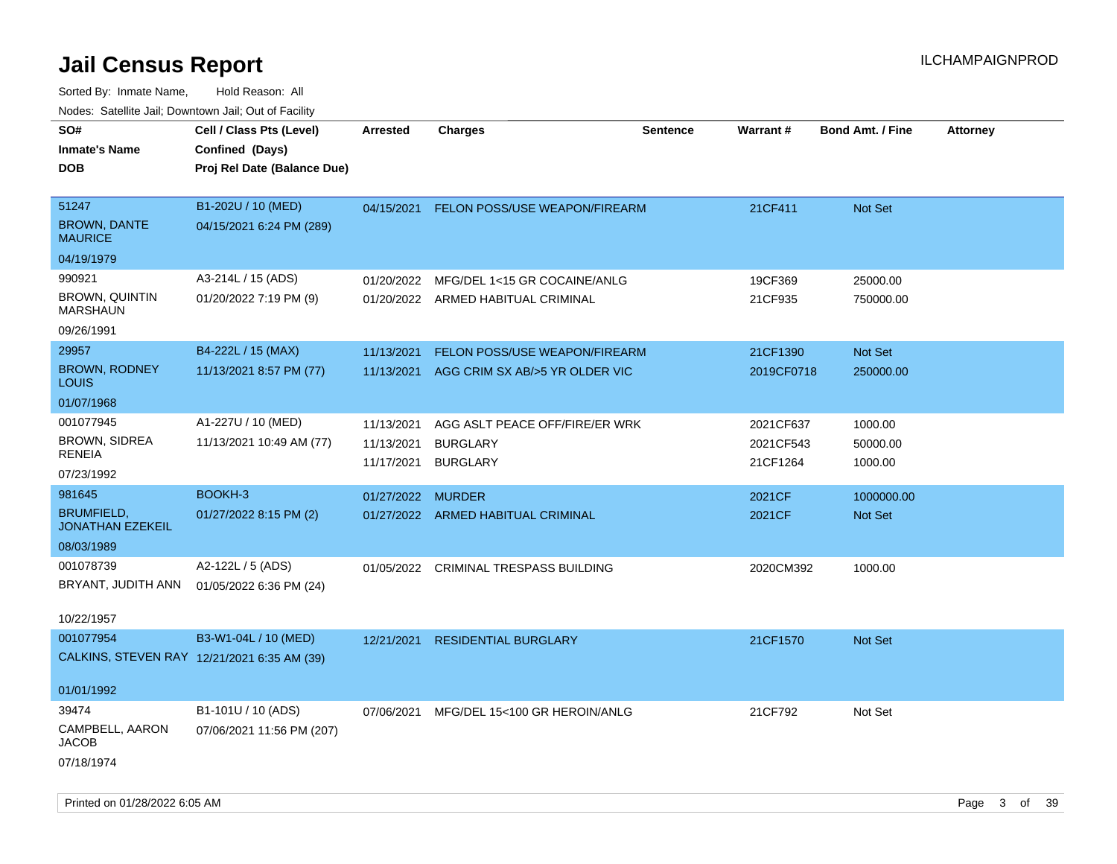| SO#                                          | Cell / Class Pts (Level)                       | <b>Arrested</b>   | <b>Charges</b>                            | <b>Sentence</b> | Warrant#   | <b>Bond Amt. / Fine</b> | <b>Attorney</b> |
|----------------------------------------------|------------------------------------------------|-------------------|-------------------------------------------|-----------------|------------|-------------------------|-----------------|
| <b>Inmate's Name</b><br><b>DOB</b>           | Confined (Days)<br>Proj Rel Date (Balance Due) |                   |                                           |                 |            |                         |                 |
|                                              |                                                |                   |                                           |                 |            |                         |                 |
| 51247                                        | B1-202U / 10 (MED)                             |                   | 04/15/2021 FELON POSS/USE WEAPON/FIREARM  |                 | 21CF411    | <b>Not Set</b>          |                 |
| <b>BROWN, DANTE</b><br><b>MAURICE</b>        | 04/15/2021 6:24 PM (289)                       |                   |                                           |                 |            |                         |                 |
| 04/19/1979                                   |                                                |                   |                                           |                 |            |                         |                 |
| 990921                                       | A3-214L / 15 (ADS)                             | 01/20/2022        | MFG/DEL 1<15 GR COCAINE/ANLG              |                 | 19CF369    | 25000.00                |                 |
| <b>BROWN, QUINTIN</b><br><b>MARSHAUN</b>     | 01/20/2022 7:19 PM (9)                         |                   | 01/20/2022 ARMED HABITUAL CRIMINAL        |                 | 21CF935    | 750000.00               |                 |
| 09/26/1991                                   |                                                |                   |                                           |                 |            |                         |                 |
| 29957                                        | B4-222L / 15 (MAX)                             | 11/13/2021        | FELON POSS/USE WEAPON/FIREARM             |                 | 21CF1390   | Not Set                 |                 |
| <b>BROWN, RODNEY</b><br>LOUIS                | 11/13/2021 8:57 PM (77)                        |                   | 11/13/2021 AGG CRIM SX AB/>5 YR OLDER VIC |                 | 2019CF0718 | 250000.00               |                 |
| 01/07/1968                                   |                                                |                   |                                           |                 |            |                         |                 |
| 001077945                                    | A1-227U / 10 (MED)                             | 11/13/2021        | AGG ASLT PEACE OFF/FIRE/ER WRK            |                 | 2021CF637  | 1000.00                 |                 |
| <b>BROWN, SIDREA</b>                         | 11/13/2021 10:49 AM (77)                       | 11/13/2021        | <b>BURGLARY</b>                           |                 | 2021CF543  | 50000.00                |                 |
| <b>RENEIA</b>                                |                                                | 11/17/2021        | <b>BURGLARY</b>                           |                 | 21CF1264   | 1000.00                 |                 |
| 07/23/1992                                   |                                                |                   |                                           |                 |            |                         |                 |
| 981645                                       | BOOKH-3                                        | 01/27/2022 MURDER |                                           |                 | 2021CF     | 1000000.00              |                 |
| <b>BRUMFIELD,</b><br><b>JONATHAN EZEKEIL</b> | 01/27/2022 8:15 PM (2)                         |                   | 01/27/2022 ARMED HABITUAL CRIMINAL        |                 | 2021CF     | Not Set                 |                 |
| 08/03/1989                                   |                                                |                   |                                           |                 |            |                         |                 |
| 001078739                                    | A2-122L / 5 (ADS)                              | 01/05/2022        | CRIMINAL TRESPASS BUILDING                |                 | 2020CM392  | 1000.00                 |                 |
| BRYANT, JUDITH ANN                           | 01/05/2022 6:36 PM (24)                        |                   |                                           |                 |            |                         |                 |
| 10/22/1957                                   |                                                |                   |                                           |                 |            |                         |                 |
| 001077954                                    | B3-W1-04L / 10 (MED)                           | 12/21/2021        | <b>RESIDENTIAL BURGLARY</b>               |                 | 21CF1570   | Not Set                 |                 |
|                                              | CALKINS, STEVEN RAY 12/21/2021 6:35 AM (39)    |                   |                                           |                 |            |                         |                 |
| 01/01/1992                                   |                                                |                   |                                           |                 |            |                         |                 |
| 39474                                        | B1-101U / 10 (ADS)                             | 07/06/2021        | MFG/DEL 15<100 GR HEROIN/ANLG             |                 | 21CF792    | Not Set                 |                 |
| CAMPBELL, AARON<br><b>JACOB</b>              | 07/06/2021 11:56 PM (207)                      |                   |                                           |                 |            |                         |                 |
| 07/18/1974                                   |                                                |                   |                                           |                 |            |                         |                 |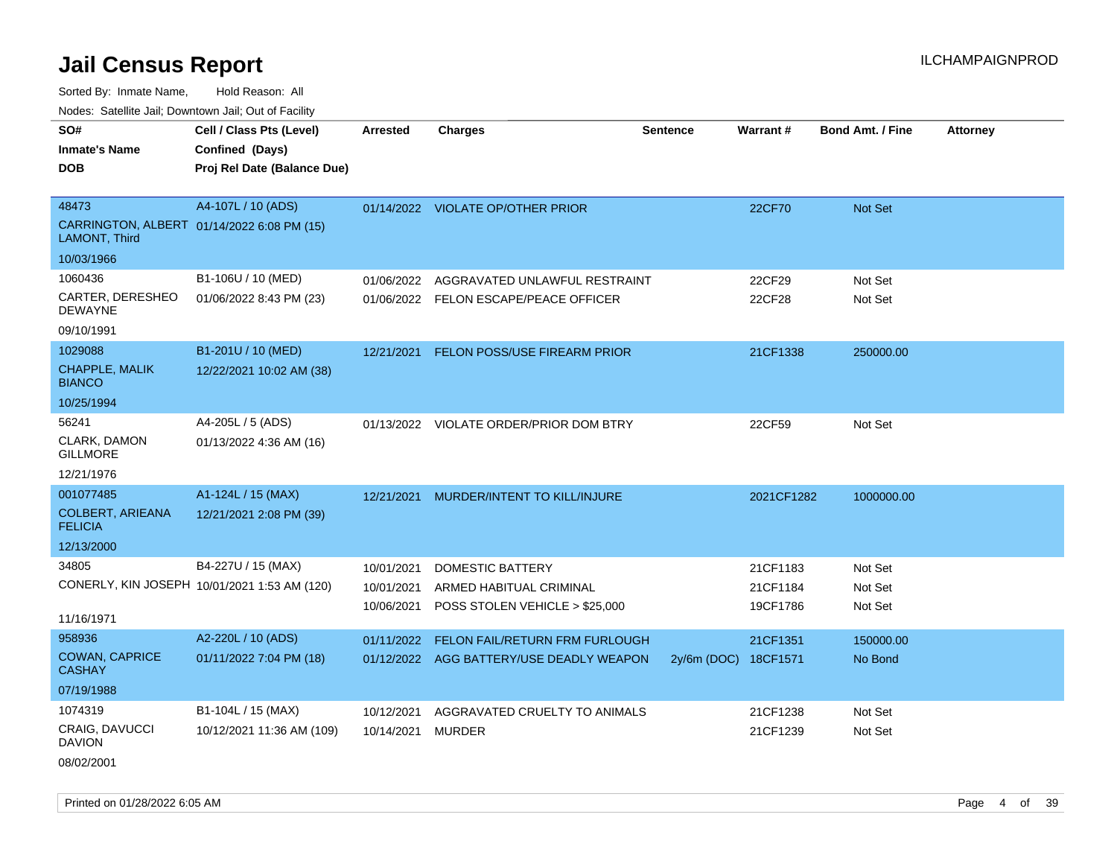Sorted By: Inmate Name, Hold Reason: All

Nodes: Satellite Jail; Downtown Jail; Out of Facility

| SO#<br><b>Inmate's Name</b><br><b>DOB</b>                                          | Cell / Class Pts (Level)<br>Confined (Days)<br>Proj Rel Date (Balance Due) | <b>Arrested</b>                        | <b>Charges</b>                                                                       | <b>Sentence</b>      | Warrant#                         | <b>Bond Amt. / Fine</b>       | <b>Attorney</b> |
|------------------------------------------------------------------------------------|----------------------------------------------------------------------------|----------------------------------------|--------------------------------------------------------------------------------------|----------------------|----------------------------------|-------------------------------|-----------------|
| 48473<br>CARRINGTON, ALBERT 01/14/2022 6:08 PM (15)<br>LAMONT, Third<br>10/03/1966 | A4-107L / 10 (ADS)                                                         |                                        | 01/14/2022 VIOLATE OP/OTHER PRIOR                                                    |                      | 22CF70                           | Not Set                       |                 |
| 1060436<br>CARTER, DERESHEO<br><b>DEWAYNE</b><br>09/10/1991                        | B1-106U / 10 (MED)<br>01/06/2022 8:43 PM (23)                              | 01/06/2022                             | AGGRAVATED UNLAWFUL RESTRAINT<br>01/06/2022 FELON ESCAPE/PEACE OFFICER               |                      | 22CF29<br>22CF28                 | Not Set<br>Not Set            |                 |
| 1029088<br>CHAPPLE, MALIK<br><b>BIANCO</b><br>10/25/1994                           | B1-201U / 10 (MED)<br>12/22/2021 10:02 AM (38)                             | 12/21/2021                             | <b>FELON POSS/USE FIREARM PRIOR</b>                                                  |                      | 21CF1338                         | 250000.00                     |                 |
| 56241<br>CLARK, DAMON<br><b>GILLMORE</b><br>12/21/1976                             | A4-205L / 5 (ADS)<br>01/13/2022 4:36 AM (16)                               |                                        | 01/13/2022 VIOLATE ORDER/PRIOR DOM BTRY                                              |                      | 22CF59                           | Not Set                       |                 |
| 001077485<br><b>COLBERT, ARIEANA</b><br><b>FELICIA</b><br>12/13/2000               | A1-124L / 15 (MAX)<br>12/21/2021 2:08 PM (39)                              | 12/21/2021                             | <b>MURDER/INTENT TO KILL/INJURE</b>                                                  |                      | 2021CF1282                       | 1000000.00                    |                 |
| 34805<br>11/16/1971                                                                | B4-227U / 15 (MAX)<br>CONERLY, KIN JOSEPH 10/01/2021 1:53 AM (120)         | 10/01/2021<br>10/01/2021<br>10/06/2021 | <b>DOMESTIC BATTERY</b><br>ARMED HABITUAL CRIMINAL<br>POSS STOLEN VEHICLE > \$25,000 |                      | 21CF1183<br>21CF1184<br>19CF1786 | Not Set<br>Not Set<br>Not Set |                 |
| 958936<br><b>COWAN, CAPRICE</b><br><b>CASHAY</b><br>07/19/1988                     | A2-220L / 10 (ADS)<br>01/11/2022 7:04 PM (18)                              | 01/11/2022                             | <b>FELON FAIL/RETURN FRM FURLOUGH</b><br>01/12/2022 AGG BATTERY/USE DEADLY WEAPON    | 2y/6m (DOC) 18CF1571 | 21CF1351                         | 150000.00<br>No Bond          |                 |
| 1074319<br>CRAIG, DAVUCCI<br><b>DAVION</b>                                         | B1-104L / 15 (MAX)<br>10/12/2021 11:36 AM (109)                            | 10/12/2021<br>10/14/2021               | AGGRAVATED CRUELTY TO ANIMALS<br><b>MURDER</b>                                       |                      | 21CF1238<br>21CF1239             | Not Set<br>Not Set            |                 |

08/02/2001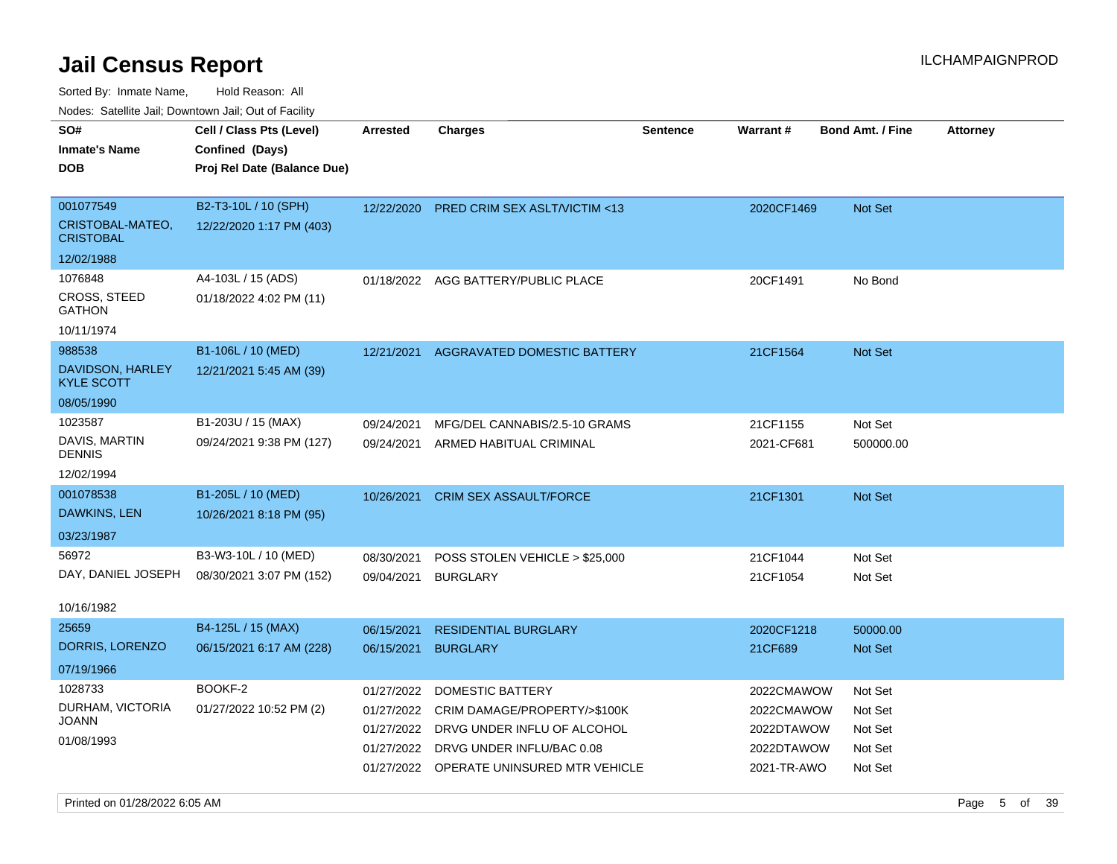| rouco. Calcillo Jali, Downtown Jali, Out of Facility |                             |            |                                          |                 |             |                         |                 |
|------------------------------------------------------|-----------------------------|------------|------------------------------------------|-----------------|-------------|-------------------------|-----------------|
| SO#                                                  | Cell / Class Pts (Level)    | Arrested   | <b>Charges</b>                           | <b>Sentence</b> | Warrant#    | <b>Bond Amt. / Fine</b> | <b>Attorney</b> |
| <b>Inmate's Name</b>                                 | Confined (Days)             |            |                                          |                 |             |                         |                 |
| <b>DOB</b>                                           | Proj Rel Date (Balance Due) |            |                                          |                 |             |                         |                 |
|                                                      |                             |            |                                          |                 |             |                         |                 |
| 001077549                                            | B2-T3-10L / 10 (SPH)        |            | 12/22/2020 PRED CRIM SEX ASLT/VICTIM <13 |                 | 2020CF1469  | Not Set                 |                 |
| CRISTOBAL-MATEO,<br><b>CRISTOBAL</b>                 | 12/22/2020 1:17 PM (403)    |            |                                          |                 |             |                         |                 |
| 12/02/1988                                           |                             |            |                                          |                 |             |                         |                 |
| 1076848                                              | A4-103L / 15 (ADS)          |            | 01/18/2022 AGG BATTERY/PUBLIC PLACE      |                 | 20CF1491    | No Bond                 |                 |
| CROSS, STEED<br>GATHON                               | 01/18/2022 4:02 PM (11)     |            |                                          |                 |             |                         |                 |
| 10/11/1974                                           |                             |            |                                          |                 |             |                         |                 |
| 988538                                               | B1-106L / 10 (MED)          | 12/21/2021 | AGGRAVATED DOMESTIC BATTERY              |                 | 21CF1564    | Not Set                 |                 |
| DAVIDSON, HARLEY<br><b>KYLE SCOTT</b>                | 12/21/2021 5:45 AM (39)     |            |                                          |                 |             |                         |                 |
| 08/05/1990                                           |                             |            |                                          |                 |             |                         |                 |
| 1023587                                              | B1-203U / 15 (MAX)          | 09/24/2021 | MFG/DEL CANNABIS/2.5-10 GRAMS            |                 | 21CF1155    | Not Set                 |                 |
| DAVIS, MARTIN<br><b>DENNIS</b>                       | 09/24/2021 9:38 PM (127)    | 09/24/2021 | ARMED HABITUAL CRIMINAL                  |                 | 2021-CF681  | 500000.00               |                 |
| 12/02/1994                                           |                             |            |                                          |                 |             |                         |                 |
| 001078538                                            | B1-205L / 10 (MED)          | 10/26/2021 | <b>CRIM SEX ASSAULT/FORCE</b>            |                 | 21CF1301    | Not Set                 |                 |
| DAWKINS, LEN                                         | 10/26/2021 8:18 PM (95)     |            |                                          |                 |             |                         |                 |
| 03/23/1987                                           |                             |            |                                          |                 |             |                         |                 |
| 56972                                                | B3-W3-10L / 10 (MED)        | 08/30/2021 | POSS STOLEN VEHICLE > \$25,000           |                 | 21CF1044    | Not Set                 |                 |
| DAY, DANIEL JOSEPH                                   | 08/30/2021 3:07 PM (152)    | 09/04/2021 | <b>BURGLARY</b>                          |                 | 21CF1054    | Not Set                 |                 |
|                                                      |                             |            |                                          |                 |             |                         |                 |
| 10/16/1982                                           |                             |            |                                          |                 |             |                         |                 |
| 25659                                                | B4-125L / 15 (MAX)          | 06/15/2021 | <b>RESIDENTIAL BURGLARY</b>              |                 | 2020CF1218  | 50000.00                |                 |
| DORRIS, LORENZO                                      | 06/15/2021 6:17 AM (228)    | 06/15/2021 | <b>BURGLARY</b>                          |                 | 21CF689     | Not Set                 |                 |
| 07/19/1966                                           |                             |            |                                          |                 |             |                         |                 |
| 1028733                                              | BOOKF-2                     | 01/27/2022 | DOMESTIC BATTERY                         |                 | 2022CMAWOW  | Not Set                 |                 |
| DURHAM, VICTORIA                                     | 01/27/2022 10:52 PM (2)     | 01/27/2022 | CRIM DAMAGE/PROPERTY/>\$100K             |                 | 2022CMAWOW  | Not Set                 |                 |
| JOANN                                                |                             | 01/27/2022 | DRVG UNDER INFLU OF ALCOHOL              |                 | 2022DTAWOW  | Not Set                 |                 |
| 01/08/1993                                           |                             | 01/27/2022 | DRVG UNDER INFLU/BAC 0.08                |                 | 2022DTAWOW  | Not Set                 |                 |
|                                                      |                             |            | 01/27/2022 OPERATE UNINSURED MTR VEHICLE |                 | 2021-TR-AWO | Not Set                 |                 |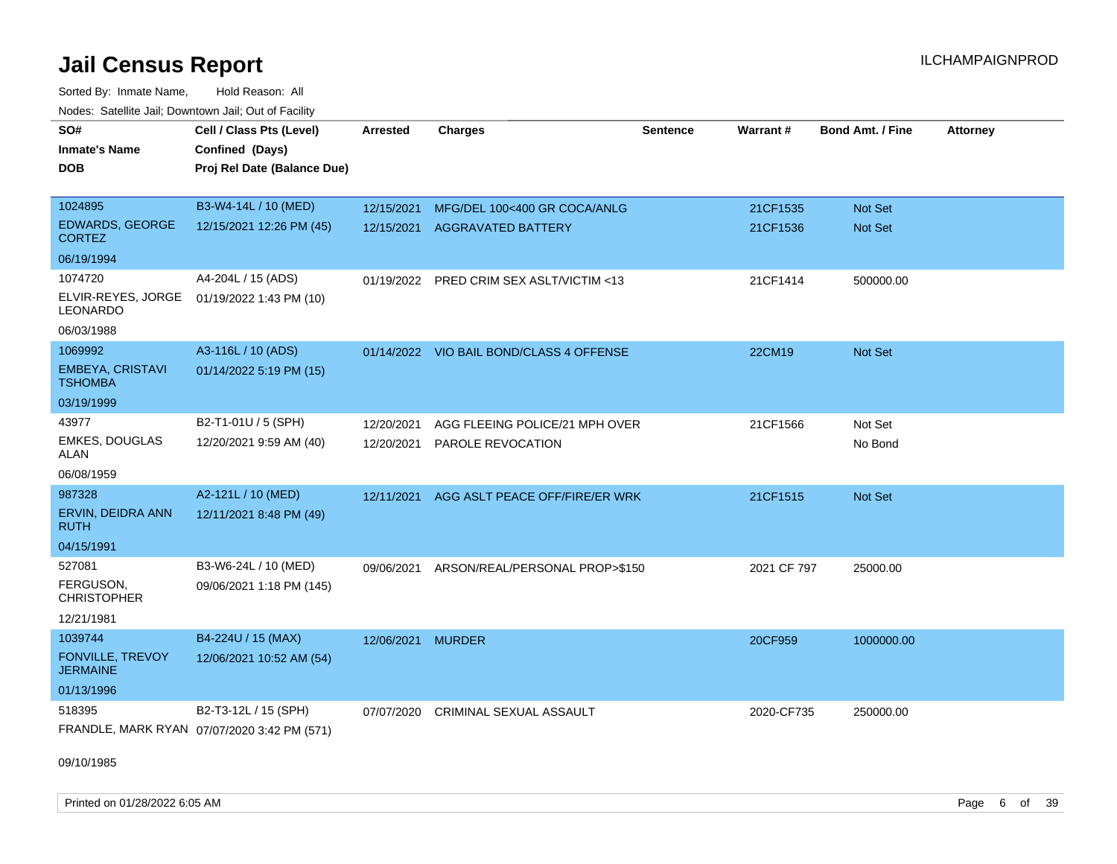Sorted By: Inmate Name, Hold Reason: All Nodes: Satellite Jail; Downtown Jail; Out of Facility

| SO#<br><b>Inmate's Name</b><br><b>DOB</b> | Cell / Class Pts (Level)<br>Confined (Days)<br>Proj Rel Date (Balance Due) | <b>Arrested</b> | <b>Charges</b>                           | <b>Sentence</b> | Warrant#    | <b>Bond Amt. / Fine</b> | <b>Attorney</b> |
|-------------------------------------------|----------------------------------------------------------------------------|-----------------|------------------------------------------|-----------------|-------------|-------------------------|-----------------|
| 1024895                                   | B3-W4-14L / 10 (MED)                                                       | 12/15/2021      | MFG/DEL 100<400 GR COCA/ANLG             |                 | 21CF1535    | Not Set                 |                 |
| <b>EDWARDS, GEORGE</b><br>CORTEZ          | 12/15/2021 12:26 PM (45)                                                   | 12/15/2021      | <b>AGGRAVATED BATTERY</b>                |                 | 21CF1536    | Not Set                 |                 |
| 06/19/1994                                |                                                                            |                 |                                          |                 |             |                         |                 |
| 1074720                                   | A4-204L / 15 (ADS)                                                         |                 | 01/19/2022 PRED CRIM SEX ASLT/VICTIM <13 |                 | 21CF1414    | 500000.00               |                 |
| ELVIR-REYES, JORGE<br>LEONARDO            | 01/19/2022 1:43 PM (10)                                                    |                 |                                          |                 |             |                         |                 |
| 06/03/1988                                |                                                                            |                 |                                          |                 |             |                         |                 |
| 1069992                                   | A3-116L / 10 (ADS)                                                         |                 | 01/14/2022 VIO BAIL BOND/CLASS 4 OFFENSE |                 | 22CM19      | Not Set                 |                 |
| <b>EMBEYA, CRISTAVI</b><br><b>TSHOMBA</b> | 01/14/2022 5:19 PM (15)                                                    |                 |                                          |                 |             |                         |                 |
| 03/19/1999                                |                                                                            |                 |                                          |                 |             |                         |                 |
| 43977                                     | B2-T1-01U / 5 (SPH)                                                        | 12/20/2021      | AGG FLEEING POLICE/21 MPH OVER           |                 | 21CF1566    | Not Set                 |                 |
| <b>EMKES, DOUGLAS</b><br>ALAN             | 12/20/2021 9:59 AM (40)                                                    | 12/20/2021      | PAROLE REVOCATION                        |                 |             | No Bond                 |                 |
| 06/08/1959                                |                                                                            |                 |                                          |                 |             |                         |                 |
| 987328                                    | A2-121L / 10 (MED)                                                         | 12/11/2021      | AGG ASLT PEACE OFF/FIRE/ER WRK           |                 | 21CF1515    | Not Set                 |                 |
| ERVIN, DEIDRA ANN<br>RUTH                 | 12/11/2021 8:48 PM (49)                                                    |                 |                                          |                 |             |                         |                 |
| 04/15/1991                                |                                                                            |                 |                                          |                 |             |                         |                 |
| 527081                                    | B3-W6-24L / 10 (MED)                                                       | 09/06/2021      | ARSON/REAL/PERSONAL PROP>\$150           |                 | 2021 CF 797 | 25000.00                |                 |
| FERGUSON,<br><b>CHRISTOPHER</b>           | 09/06/2021 1:18 PM (145)                                                   |                 |                                          |                 |             |                         |                 |
| 12/21/1981                                |                                                                            |                 |                                          |                 |             |                         |                 |
| 1039744                                   | B4-224U / 15 (MAX)                                                         | 12/06/2021      | <b>MURDER</b>                            |                 | 20CF959     | 1000000.00              |                 |
| FONVILLE, TREVOY<br><b>JERMAINE</b>       | 12/06/2021 10:52 AM (54)                                                   |                 |                                          |                 |             |                         |                 |
| 01/13/1996                                |                                                                            |                 |                                          |                 |             |                         |                 |
| 518395                                    | B2-T3-12L / 15 (SPH)                                                       | 07/07/2020      | <b>CRIMINAL SEXUAL ASSAULT</b>           |                 | 2020-CF735  | 250000.00               |                 |
|                                           | FRANDLE, MARK RYAN 07/07/2020 3:42 PM (571)                                |                 |                                          |                 |             |                         |                 |

09/10/1985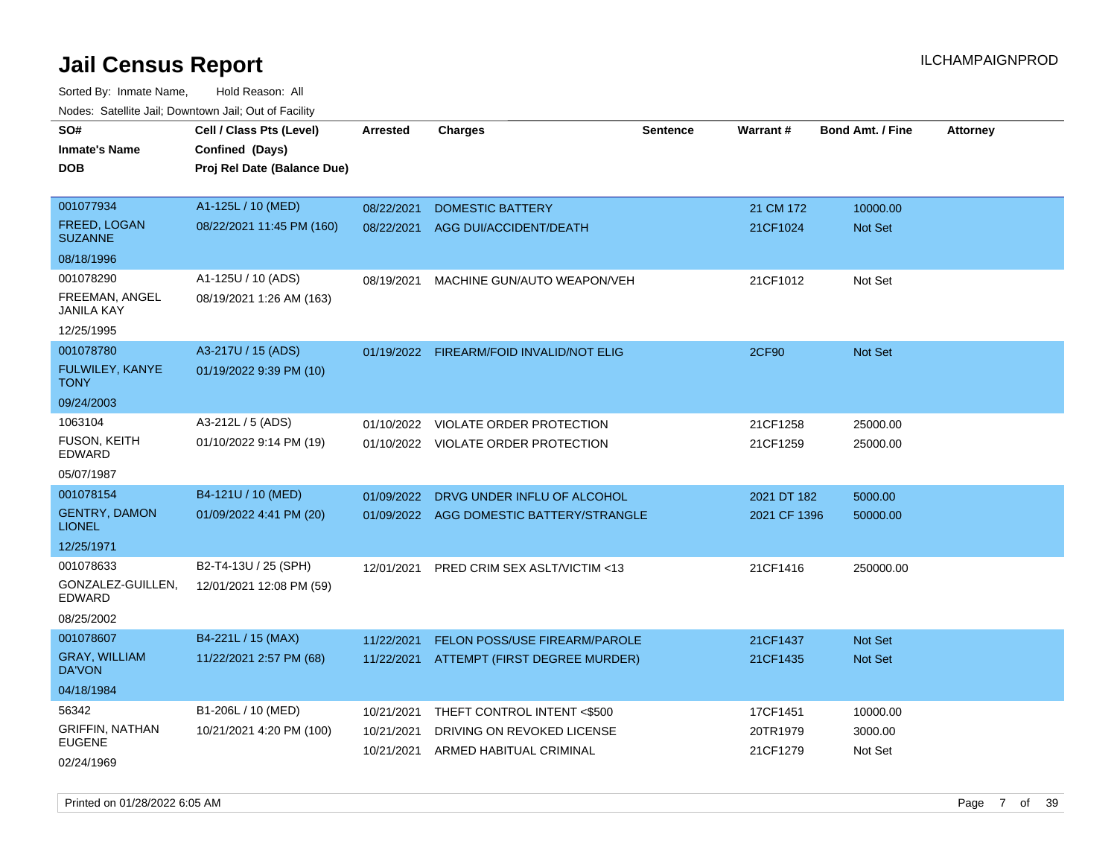| SO#                                   | Cell / Class Pts (Level)    | <b>Arrested</b> | <b>Charges</b>                           | <b>Sentence</b> | Warrant#     | <b>Bond Amt. / Fine</b> | <b>Attorney</b> |
|---------------------------------------|-----------------------------|-----------------|------------------------------------------|-----------------|--------------|-------------------------|-----------------|
| <b>Inmate's Name</b>                  | Confined (Days)             |                 |                                          |                 |              |                         |                 |
| <b>DOB</b>                            | Proj Rel Date (Balance Due) |                 |                                          |                 |              |                         |                 |
|                                       |                             |                 |                                          |                 |              |                         |                 |
| 001077934                             | A1-125L / 10 (MED)          | 08/22/2021      | <b>DOMESTIC BATTERY</b>                  |                 | 21 CM 172    | 10000.00                |                 |
| FREED, LOGAN<br><b>SUZANNE</b>        | 08/22/2021 11:45 PM (160)   | 08/22/2021      | AGG DUI/ACCIDENT/DEATH                   |                 | 21CF1024     | <b>Not Set</b>          |                 |
| 08/18/1996                            |                             |                 |                                          |                 |              |                         |                 |
| 001078290                             | A1-125U / 10 (ADS)          | 08/19/2021      | MACHINE GUN/AUTO WEAPON/VEH              |                 | 21CF1012     | Not Set                 |                 |
| FREEMAN, ANGEL<br><b>JANILA KAY</b>   | 08/19/2021 1:26 AM (163)    |                 |                                          |                 |              |                         |                 |
| 12/25/1995                            |                             |                 |                                          |                 |              |                         |                 |
| 001078780                             | A3-217U / 15 (ADS)          |                 | 01/19/2022 FIREARM/FOID INVALID/NOT ELIG |                 | <b>2CF90</b> | Not Set                 |                 |
| FULWILEY, KANYE<br><b>TONY</b>        | 01/19/2022 9:39 PM (10)     |                 |                                          |                 |              |                         |                 |
| 09/24/2003                            |                             |                 |                                          |                 |              |                         |                 |
| 1063104                               | A3-212L / 5 (ADS)           | 01/10/2022      | VIOLATE ORDER PROTECTION                 |                 | 21CF1258     | 25000.00                |                 |
| <b>FUSON, KEITH</b><br>EDWARD         | 01/10/2022 9:14 PM (19)     |                 | 01/10/2022 VIOLATE ORDER PROTECTION      |                 | 21CF1259     | 25000.00                |                 |
| 05/07/1987                            |                             |                 |                                          |                 |              |                         |                 |
| 001078154                             | B4-121U / 10 (MED)          | 01/09/2022      | DRVG UNDER INFLU OF ALCOHOL              |                 | 2021 DT 182  | 5000.00                 |                 |
| <b>GENTRY, DAMON</b><br><b>LIONEL</b> | 01/09/2022 4:41 PM (20)     |                 | 01/09/2022 AGG DOMESTIC BATTERY/STRANGLE |                 | 2021 CF 1396 | 50000.00                |                 |
| 12/25/1971                            |                             |                 |                                          |                 |              |                         |                 |
| 001078633                             | B2-T4-13U / 25 (SPH)        | 12/01/2021      | <b>PRED CRIM SEX ASLT/VICTIM &lt;13</b>  |                 | 21CF1416     | 250000.00               |                 |
| GONZALEZ-GUILLEN,<br><b>EDWARD</b>    | 12/01/2021 12:08 PM (59)    |                 |                                          |                 |              |                         |                 |
| 08/25/2002                            |                             |                 |                                          |                 |              |                         |                 |
| 001078607                             | B4-221L / 15 (MAX)          | 11/22/2021      | FELON POSS/USE FIREARM/PAROLE            |                 | 21CF1437     | Not Set                 |                 |
| <b>GRAY, WILLIAM</b><br>DA'VON        | 11/22/2021 2:57 PM (68)     |                 | 11/22/2021 ATTEMPT (FIRST DEGREE MURDER) |                 | 21CF1435     | <b>Not Set</b>          |                 |
| 04/18/1984                            |                             |                 |                                          |                 |              |                         |                 |
| 56342                                 | B1-206L / 10 (MED)          | 10/21/2021      | THEFT CONTROL INTENT <\$500              |                 | 17CF1451     | 10000.00                |                 |
| <b>GRIFFIN, NATHAN</b>                | 10/21/2021 4:20 PM (100)    | 10/21/2021      | DRIVING ON REVOKED LICENSE               |                 | 20TR1979     | 3000.00                 |                 |
| <b>EUGENE</b>                         |                             | 10/21/2021      | ARMED HABITUAL CRIMINAL                  |                 | 21CF1279     | Not Set                 |                 |
| 02/24/1969                            |                             |                 |                                          |                 |              |                         |                 |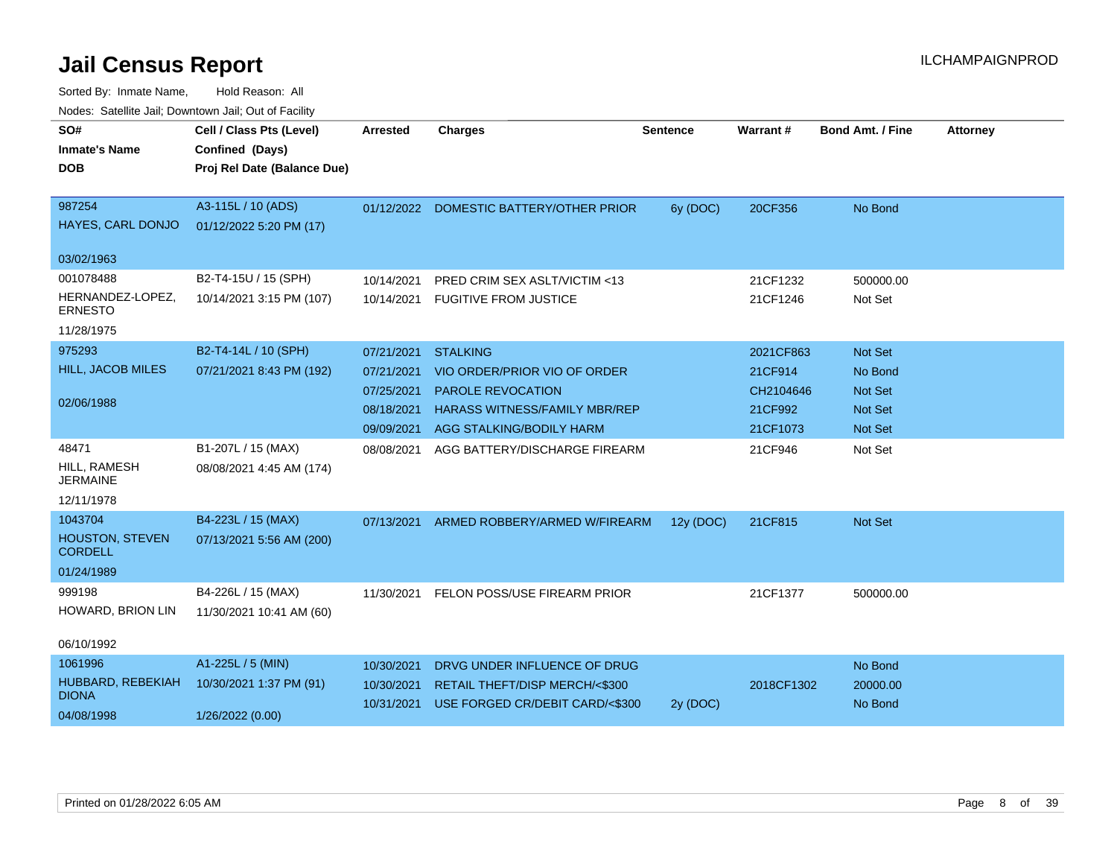| roucs. Oatchite sail, Downtown sail, Out of Facility |                                                                            |                          |                                                                   |                 |            |                         |                 |
|------------------------------------------------------|----------------------------------------------------------------------------|--------------------------|-------------------------------------------------------------------|-----------------|------------|-------------------------|-----------------|
| SO#<br><b>Inmate's Name</b><br><b>DOB</b>            | Cell / Class Pts (Level)<br>Confined (Days)<br>Proj Rel Date (Balance Due) | <b>Arrested</b>          | <b>Charges</b>                                                    | <b>Sentence</b> | Warrant#   | <b>Bond Amt. / Fine</b> | <b>Attorney</b> |
|                                                      |                                                                            |                          |                                                                   |                 |            |                         |                 |
| 987254                                               | A3-115L / 10 (ADS)                                                         |                          | 01/12/2022 DOMESTIC BATTERY/OTHER PRIOR                           | 6y (DOC)        | 20CF356    | No Bond                 |                 |
| HAYES, CARL DONJO                                    | 01/12/2022 5:20 PM (17)                                                    |                          |                                                                   |                 |            |                         |                 |
| 03/02/1963                                           |                                                                            |                          |                                                                   |                 |            |                         |                 |
| 001078488                                            | B2-T4-15U / 15 (SPH)                                                       | 10/14/2021               | PRED CRIM SEX ASLT/VICTIM <13                                     |                 | 21CF1232   | 500000.00               |                 |
| HERNANDEZ-LOPEZ,<br><b>ERNESTO</b>                   | 10/14/2021 3:15 PM (107)                                                   | 10/14/2021               | <b>FUGITIVE FROM JUSTICE</b>                                      |                 | 21CF1246   | Not Set                 |                 |
| 11/28/1975                                           |                                                                            |                          |                                                                   |                 |            |                         |                 |
| 975293                                               | B2-T4-14L / 10 (SPH)                                                       | 07/21/2021               | <b>STALKING</b>                                                   |                 | 2021CF863  | Not Set                 |                 |
| <b>HILL, JACOB MILES</b>                             | 07/21/2021 8:43 PM (192)                                                   | 07/21/2021               | VIO ORDER/PRIOR VIO OF ORDER                                      |                 | 21CF914    | No Bond                 |                 |
|                                                      |                                                                            | 07/25/2021               | <b>PAROLE REVOCATION</b>                                          |                 | CH2104646  | Not Set                 |                 |
| 02/06/1988                                           |                                                                            | 08/18/2021               | <b>HARASS WITNESS/FAMILY MBR/REP</b>                              |                 | 21CF992    | <b>Not Set</b>          |                 |
|                                                      |                                                                            | 09/09/2021               | AGG STALKING/BODILY HARM                                          |                 | 21CF1073   | <b>Not Set</b>          |                 |
| 48471                                                | B1-207L / 15 (MAX)                                                         | 08/08/2021               | AGG BATTERY/DISCHARGE FIREARM                                     |                 | 21CF946    | Not Set                 |                 |
| HILL, RAMESH<br><b>JERMAINE</b>                      | 08/08/2021 4:45 AM (174)                                                   |                          |                                                                   |                 |            |                         |                 |
| 12/11/1978                                           |                                                                            |                          |                                                                   |                 |            |                         |                 |
| 1043704                                              | B4-223L / 15 (MAX)                                                         | 07/13/2021               | ARMED ROBBERY/ARMED W/FIREARM                                     | 12y (DOC)       | 21CF815    | Not Set                 |                 |
| <b>HOUSTON, STEVEN</b><br><b>CORDELL</b>             | 07/13/2021 5:56 AM (200)                                                   |                          |                                                                   |                 |            |                         |                 |
| 01/24/1989                                           |                                                                            |                          |                                                                   |                 |            |                         |                 |
| 999198                                               | B4-226L / 15 (MAX)                                                         | 11/30/2021               | FELON POSS/USE FIREARM PRIOR                                      |                 | 21CF1377   | 500000.00               |                 |
| HOWARD, BRION LIN                                    | 11/30/2021 10:41 AM (60)                                                   |                          |                                                                   |                 |            |                         |                 |
| 06/10/1992                                           |                                                                            |                          |                                                                   |                 |            |                         |                 |
| 1061996                                              | A1-225L / 5 (MIN)                                                          | 10/30/2021               | DRVG UNDER INFLUENCE OF DRUG                                      |                 |            | No Bond                 |                 |
| HUBBARD, REBEKIAH<br><b>DIONA</b>                    | 10/30/2021 1:37 PM (91)                                                    | 10/30/2021<br>10/31/2021 | RETAIL THEFT/DISP MERCH/<\$300<br>USE FORGED CR/DEBIT CARD/<\$300 |                 | 2018CF1302 | 20000.00<br>No Bond     |                 |
| 04/08/1998                                           | 1/26/2022 (0.00)                                                           |                          |                                                                   | 2y (DOC)        |            |                         |                 |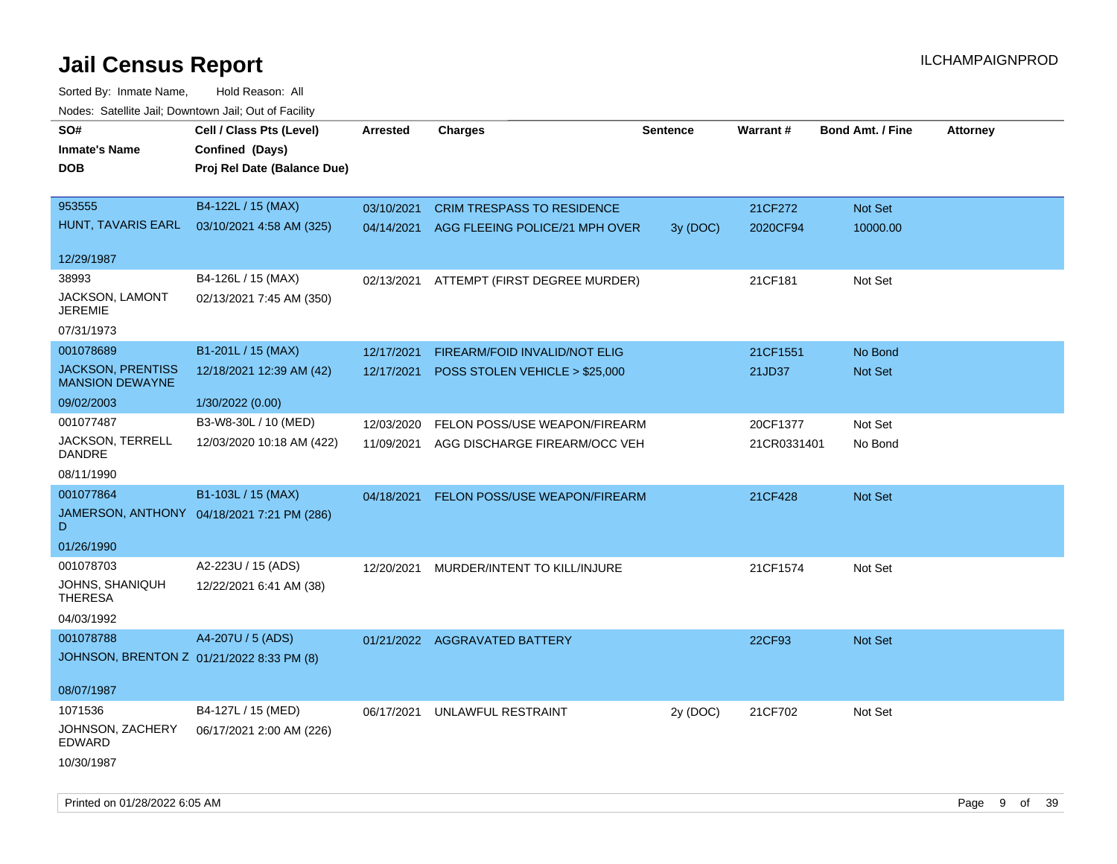| rouce. Calcinic Jan, Downtown Jan, Out of Facility |                                            |                 |                                   |                 |             |                         |                 |
|----------------------------------------------------|--------------------------------------------|-----------------|-----------------------------------|-----------------|-------------|-------------------------|-----------------|
| SO#                                                | Cell / Class Pts (Level)                   | <b>Arrested</b> | <b>Charges</b>                    | <b>Sentence</b> | Warrant#    | <b>Bond Amt. / Fine</b> | <b>Attorney</b> |
| <b>Inmate's Name</b>                               | Confined (Days)                            |                 |                                   |                 |             |                         |                 |
| DOB                                                | Proj Rel Date (Balance Due)                |                 |                                   |                 |             |                         |                 |
|                                                    |                                            |                 |                                   |                 |             |                         |                 |
| 953555                                             | B4-122L / 15 (MAX)                         | 03/10/2021      | <b>CRIM TRESPASS TO RESIDENCE</b> |                 | 21CF272     | Not Set                 |                 |
| HUNT, TAVARIS EARL                                 | 03/10/2021 4:58 AM (325)                   | 04/14/2021      | AGG FLEEING POLICE/21 MPH OVER    | 3y(DOC)         | 2020CF94    | 10000.00                |                 |
|                                                    |                                            |                 |                                   |                 |             |                         |                 |
| 12/29/1987                                         |                                            |                 |                                   |                 |             |                         |                 |
| 38993                                              | B4-126L / 15 (MAX)                         | 02/13/2021      | ATTEMPT (FIRST DEGREE MURDER)     |                 | 21CF181     | Not Set                 |                 |
| JACKSON, LAMONT<br><b>JEREMIE</b>                  | 02/13/2021 7:45 AM (350)                   |                 |                                   |                 |             |                         |                 |
| 07/31/1973                                         |                                            |                 |                                   |                 |             |                         |                 |
| 001078689                                          | B1-201L / 15 (MAX)                         | 12/17/2021      | FIREARM/FOID INVALID/NOT ELIG     |                 | 21CF1551    | No Bond                 |                 |
| <b>JACKSON, PRENTISS</b>                           | 12/18/2021 12:39 AM (42)                   | 12/17/2021      | POSS STOLEN VEHICLE > \$25,000    |                 | 21JD37      | Not Set                 |                 |
| <b>MANSION DEWAYNE</b>                             |                                            |                 |                                   |                 |             |                         |                 |
| 09/02/2003                                         | 1/30/2022 (0.00)                           |                 |                                   |                 |             |                         |                 |
| 001077487                                          | B3-W8-30L / 10 (MED)                       | 12/03/2020      | FELON POSS/USE WEAPON/FIREARM     |                 | 20CF1377    | Not Set                 |                 |
| JACKSON, TERRELL<br>DANDRE                         | 12/03/2020 10:18 AM (422)                  | 11/09/2021      | AGG DISCHARGE FIREARM/OCC VEH     |                 | 21CR0331401 | No Bond                 |                 |
| 08/11/1990                                         |                                            |                 |                                   |                 |             |                         |                 |
| 001077864                                          | B1-103L / 15 (MAX)                         | 04/18/2021      | FELON POSS/USE WEAPON/FIREARM     |                 | 21CF428     | Not Set                 |                 |
| D                                                  | JAMERSON, ANTHONY 04/18/2021 7:21 PM (286) |                 |                                   |                 |             |                         |                 |
| 01/26/1990                                         |                                            |                 |                                   |                 |             |                         |                 |
| 001078703                                          | A2-223U / 15 (ADS)                         | 12/20/2021      | MURDER/INTENT TO KILL/INJURE      |                 | 21CF1574    | Not Set                 |                 |
| JOHNS, SHANIQUH<br><b>THERESA</b>                  | 12/22/2021 6:41 AM (38)                    |                 |                                   |                 |             |                         |                 |
| 04/03/1992                                         |                                            |                 |                                   |                 |             |                         |                 |
| 001078788                                          | A4-207U / 5 (ADS)                          |                 | 01/21/2022 AGGRAVATED BATTERY     |                 | 22CF93      | <b>Not Set</b>          |                 |
| JOHNSON, BRENTON Z 01/21/2022 8:33 PM (8)          |                                            |                 |                                   |                 |             |                         |                 |
|                                                    |                                            |                 |                                   |                 |             |                         |                 |
| 08/07/1987                                         |                                            |                 |                                   |                 |             |                         |                 |
| 1071536                                            | B4-127L / 15 (MED)                         | 06/17/2021      | UNLAWFUL RESTRAINT                | 2y (DOC)        | 21CF702     | Not Set                 |                 |
| JOHNSON, ZACHERY<br>EDWARD                         | 06/17/2021 2:00 AM (226)                   |                 |                                   |                 |             |                         |                 |
| 10/30/1987                                         |                                            |                 |                                   |                 |             |                         |                 |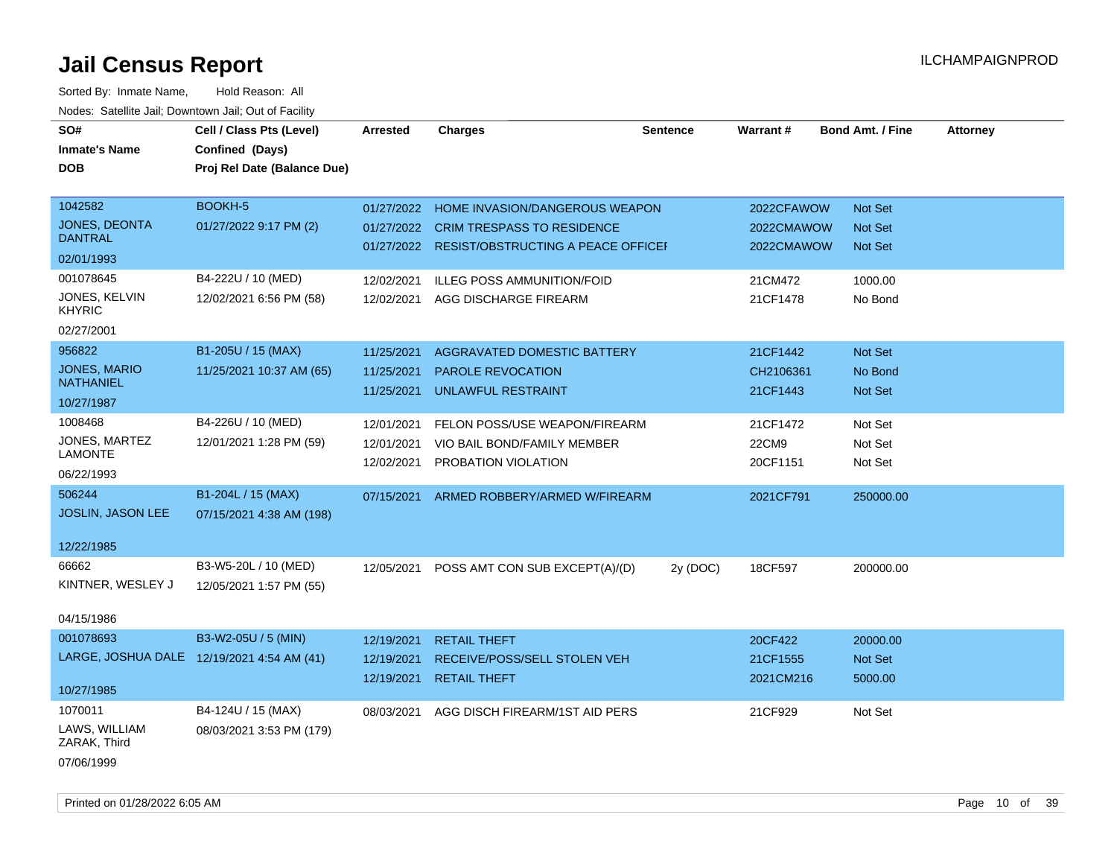| SO#<br><b>Inmate's Name</b>    | Cell / Class Pts (Level)<br>Confined (Days) | <b>Arrested</b> | <b>Charges</b>                                | <b>Sentence</b> | Warrant#   | <b>Bond Amt. / Fine</b> | <b>Attorney</b> |
|--------------------------------|---------------------------------------------|-----------------|-----------------------------------------------|-----------------|------------|-------------------------|-----------------|
| <b>DOB</b>                     | Proj Rel Date (Balance Due)                 |                 |                                               |                 |            |                         |                 |
|                                |                                             |                 |                                               |                 |            |                         |                 |
| 1042582                        | BOOKH-5                                     | 01/27/2022      | HOME INVASION/DANGEROUS WEAPON                |                 | 2022CFAWOW | Not Set                 |                 |
| <b>JONES, DEONTA</b>           | 01/27/2022 9:17 PM (2)                      | 01/27/2022      | <b>CRIM TRESPASS TO RESIDENCE</b>             |                 | 2022CMAWOW | <b>Not Set</b>          |                 |
| <b>DANTRAL</b>                 |                                             |                 | 01/27/2022 RESIST/OBSTRUCTING A PEACE OFFICEF |                 | 2022CMAWOW | Not Set                 |                 |
| 02/01/1993                     |                                             |                 |                                               |                 |            |                         |                 |
| 001078645                      | B4-222U / 10 (MED)                          | 12/02/2021      | <b>ILLEG POSS AMMUNITION/FOID</b>             |                 | 21CM472    | 1000.00                 |                 |
| JONES, KELVIN<br><b>KHYRIC</b> | 12/02/2021 6:56 PM (58)                     | 12/02/2021      | AGG DISCHARGE FIREARM                         |                 | 21CF1478   | No Bond                 |                 |
| 02/27/2001                     |                                             |                 |                                               |                 |            |                         |                 |
| 956822                         | B1-205U / 15 (MAX)                          | 11/25/2021      | AGGRAVATED DOMESTIC BATTERY                   |                 | 21CF1442   | Not Set                 |                 |
| <b>JONES, MARIO</b>            | 11/25/2021 10:37 AM (65)                    | 11/25/2021      | PAROLE REVOCATION                             |                 | CH2106361  | No Bond                 |                 |
| <b>NATHANIEL</b>               |                                             | 11/25/2021      | <b>UNLAWFUL RESTRAINT</b>                     |                 | 21CF1443   | <b>Not Set</b>          |                 |
| 10/27/1987                     |                                             |                 |                                               |                 |            |                         |                 |
| 1008468                        | B4-226U / 10 (MED)                          | 12/01/2021      | FELON POSS/USE WEAPON/FIREARM                 |                 | 21CF1472   | Not Set                 |                 |
| JONES, MARTEZ<br>LAMONTE       | 12/01/2021 1:28 PM (59)                     | 12/01/2021      | VIO BAIL BOND/FAMILY MEMBER                   |                 | 22CM9      | Not Set                 |                 |
|                                |                                             | 12/02/2021      | PROBATION VIOLATION                           |                 | 20CF1151   | Not Set                 |                 |
| 06/22/1993                     |                                             |                 |                                               |                 |            |                         |                 |
| 506244                         | B1-204L / 15 (MAX)                          | 07/15/2021      | ARMED ROBBERY/ARMED W/FIREARM                 |                 | 2021CF791  | 250000.00               |                 |
| JOSLIN, JASON LEE              | 07/15/2021 4:38 AM (198)                    |                 |                                               |                 |            |                         |                 |
| 12/22/1985                     |                                             |                 |                                               |                 |            |                         |                 |
| 66662                          | B3-W5-20L / 10 (MED)                        | 12/05/2021      | POSS AMT CON SUB EXCEPT(A)/(D)                | 2y (DOC)        | 18CF597    | 200000.00               |                 |
| KINTNER, WESLEY J              | 12/05/2021 1:57 PM (55)                     |                 |                                               |                 |            |                         |                 |
|                                |                                             |                 |                                               |                 |            |                         |                 |
| 04/15/1986                     |                                             |                 |                                               |                 |            |                         |                 |
| 001078693                      | B3-W2-05U / 5 (MIN)                         | 12/19/2021      | <b>RETAIL THEFT</b>                           |                 | 20CF422    | 20000.00                |                 |
|                                | LARGE, JOSHUA DALE 12/19/2021 4:54 AM (41)  | 12/19/2021      | RECEIVE/POSS/SELL STOLEN VEH                  |                 | 21CF1555   | Not Set                 |                 |
| 10/27/1985                     |                                             | 12/19/2021      | <b>RETAIL THEFT</b>                           |                 | 2021CM216  | 5000.00                 |                 |
| 1070011                        | B4-124U / 15 (MAX)                          | 08/03/2021      | AGG DISCH FIREARM/1ST AID PERS                |                 | 21CF929    | Not Set                 |                 |
| LAWS, WILLIAM<br>ZARAK, Third  | 08/03/2021 3:53 PM (179)                    |                 |                                               |                 |            |                         |                 |
| 07/06/1999                     |                                             |                 |                                               |                 |            |                         |                 |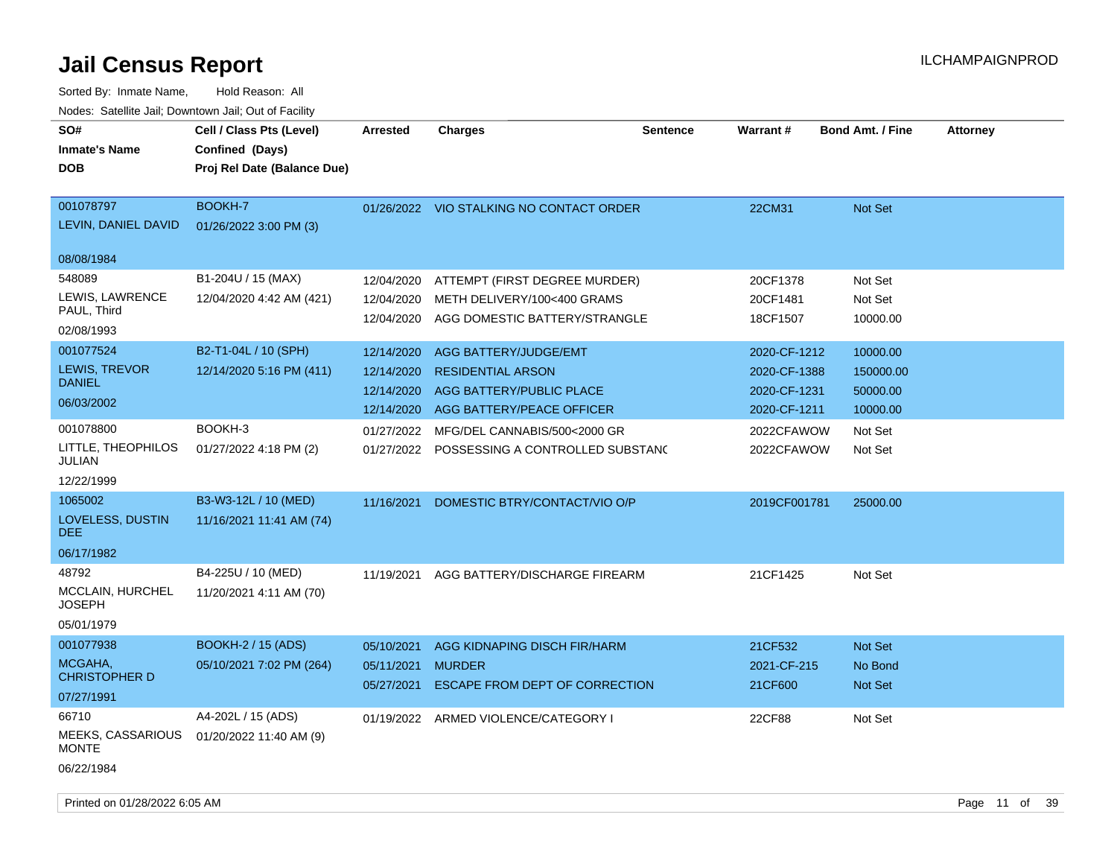| SO#<br><b>Inmate's Name</b><br><b>DOB</b>                                     | Cell / Class Pts (Level)<br>Confined (Days)<br>Proj Rel Date (Balance Due) | <b>Arrested</b>                                                    | <b>Charges</b>                                                                                                                             | <b>Sentence</b> | Warrant#                                                                   | <b>Bond Amt. / Fine</b>                                  | <b>Attorney</b> |
|-------------------------------------------------------------------------------|----------------------------------------------------------------------------|--------------------------------------------------------------------|--------------------------------------------------------------------------------------------------------------------------------------------|-----------------|----------------------------------------------------------------------------|----------------------------------------------------------|-----------------|
| 001078797<br>LEVIN, DANIEL DAVID<br>08/08/1984                                | BOOKH-7<br>01/26/2022 3:00 PM (3)                                          |                                                                    | 01/26/2022 VIO STALKING NO CONTACT ORDER                                                                                                   |                 | 22CM31                                                                     | Not Set                                                  |                 |
| 548089<br>LEWIS, LAWRENCE<br>PAUL, Third<br>02/08/1993                        | B1-204U / 15 (MAX)<br>12/04/2020 4:42 AM (421)                             | 12/04/2020<br>12/04/2020<br>12/04/2020                             | ATTEMPT (FIRST DEGREE MURDER)<br>METH DELIVERY/100<400 GRAMS<br>AGG DOMESTIC BATTERY/STRANGLE                                              |                 | 20CF1378<br>20CF1481<br>18CF1507                                           | Not Set<br>Not Set<br>10000.00                           |                 |
| 001077524<br><b>LEWIS, TREVOR</b><br><b>DANIEL</b><br>06/03/2002<br>001078800 | B2-T1-04L / 10 (SPH)<br>12/14/2020 5:16 PM (411)<br>BOOKH-3                | 12/14/2020<br>12/14/2020<br>12/14/2020<br>12/14/2020<br>01/27/2022 | AGG BATTERY/JUDGE/EMT<br><b>RESIDENTIAL ARSON</b><br>AGG BATTERY/PUBLIC PLACE<br>AGG BATTERY/PEACE OFFICER<br>MFG/DEL CANNABIS/500<2000 GR |                 | 2020-CF-1212<br>2020-CF-1388<br>2020-CF-1231<br>2020-CF-1211<br>2022CFAWOW | 10000.00<br>150000.00<br>50000.00<br>10000.00<br>Not Set |                 |
| LITTLE, THEOPHILOS<br><b>JULIAN</b><br>12/22/1999                             | 01/27/2022 4:18 PM (2)                                                     |                                                                    | 01/27/2022 POSSESSING A CONTROLLED SUBSTANC                                                                                                |                 | 2022CFAWOW                                                                 | Not Set                                                  |                 |
| 1065002<br>LOVELESS, DUSTIN<br>DEE.<br>06/17/1982                             | B3-W3-12L / 10 (MED)<br>11/16/2021 11:41 AM (74)                           | 11/16/2021                                                         | DOMESTIC BTRY/CONTACT/VIO O/P                                                                                                              |                 | 2019CF001781                                                               | 25000.00                                                 |                 |
| 48792<br>MCCLAIN, HURCHEL<br>JOSEPH<br>05/01/1979                             | B4-225U / 10 (MED)<br>11/20/2021 4:11 AM (70)                              | 11/19/2021                                                         | AGG BATTERY/DISCHARGE FIREARM                                                                                                              |                 | 21CF1425                                                                   | Not Set                                                  |                 |
| 001077938<br>MCGAHA,<br><b>CHRISTOPHER D</b><br>07/27/1991                    | <b>BOOKH-2 / 15 (ADS)</b><br>05/10/2021 7:02 PM (264)                      | 05/10/2021<br>05/11/2021<br>05/27/2021                             | AGG KIDNAPING DISCH FIR/HARM<br><b>MURDER</b><br>ESCAPE FROM DEPT OF CORRECTION                                                            |                 | 21CF532<br>2021-CF-215<br>21CF600                                          | Not Set<br>No Bond<br>Not Set                            |                 |
| 66710<br>MEEKS, CASSARIOUS<br><b>MONTE</b><br>06/22/1984                      | A4-202L / 15 (ADS)<br>01/20/2022 11:40 AM (9)                              | 01/19/2022                                                         | ARMED VIOLENCE/CATEGORY I                                                                                                                  |                 | 22CF88                                                                     | Not Set                                                  |                 |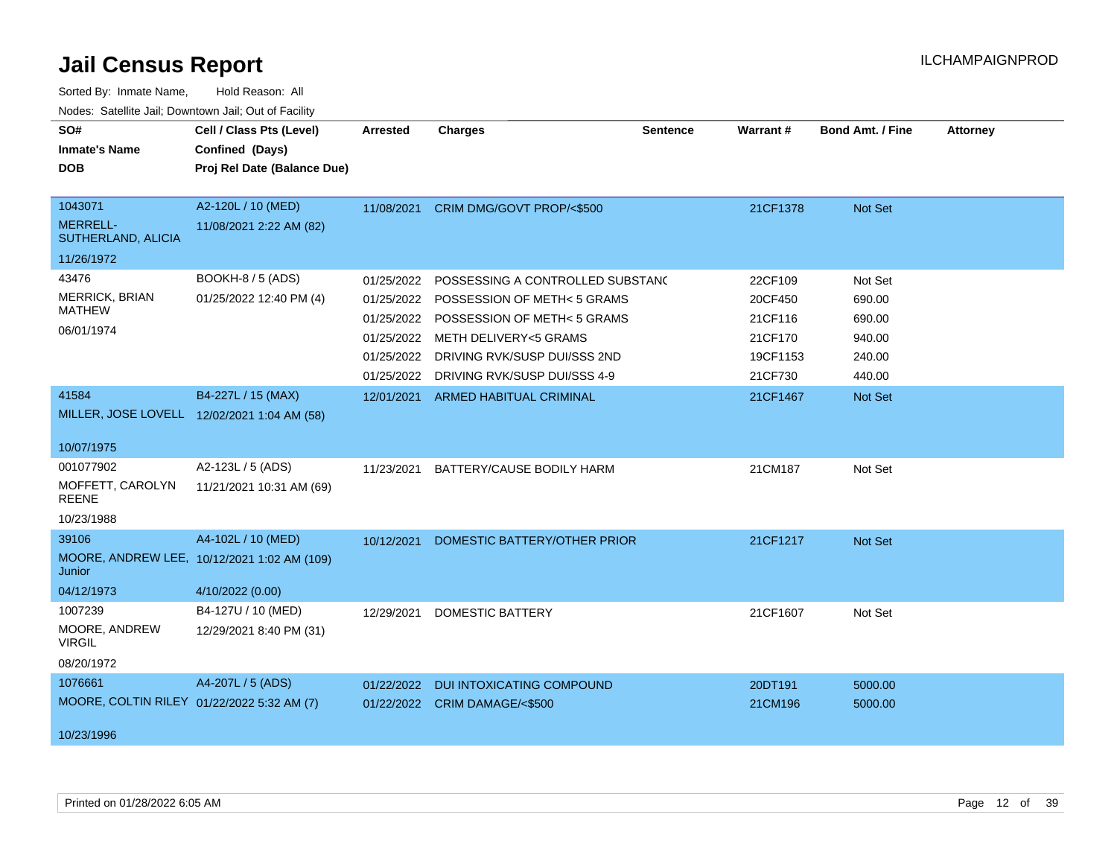| SO#<br><b>Inmate's Name</b><br><b>DOB</b>                                         | Cell / Class Pts (Level)<br>Confined (Days)<br>Proj Rel Date (Balance Due)            | <b>Arrested</b>                        | <b>Charges</b>                                                                                                                                                                | <b>Sentence</b> | Warrant#                                             | <b>Bond Amt. / Fine</b>                         | <b>Attorney</b> |
|-----------------------------------------------------------------------------------|---------------------------------------------------------------------------------------|----------------------------------------|-------------------------------------------------------------------------------------------------------------------------------------------------------------------------------|-----------------|------------------------------------------------------|-------------------------------------------------|-----------------|
| 1043071<br><b>MERRELL-</b><br>SUTHERLAND, ALICIA                                  | A2-120L / 10 (MED)<br>11/08/2021 2:22 AM (82)                                         | 11/08/2021                             | CRIM DMG/GOVT PROP/<\$500                                                                                                                                                     |                 | 21CF1378                                             | Not Set                                         |                 |
| 11/26/1972                                                                        |                                                                                       |                                        |                                                                                                                                                                               |                 |                                                      |                                                 |                 |
| 43476<br><b>MERRICK, BRIAN</b><br><b>MATHEW</b><br>06/01/1974                     | BOOKH-8 / 5 (ADS)<br>01/25/2022 12:40 PM (4)                                          | 01/25/2022<br>01/25/2022<br>01/25/2022 | POSSESSING A CONTROLLED SUBSTAND<br>POSSESSION OF METH< 5 GRAMS<br>01/25/2022 POSSESSION OF METH< 5 GRAMS<br>01/25/2022 METH DELIVERY<5 GRAMS<br>DRIVING RVK/SUSP DUI/SSS 2ND |                 | 22CF109<br>20CF450<br>21CF116<br>21CF170<br>19CF1153 | Not Set<br>690.00<br>690.00<br>940.00<br>240.00 |                 |
| 41584<br>MILLER, JOSE LOVELL 12/02/2021 1:04 AM (58)                              | B4-227L / 15 (MAX)                                                                    | 01/25/2022                             | DRIVING RVK/SUSP DUI/SSS 4-9<br>12/01/2021 ARMED HABITUAL CRIMINAL                                                                                                            |                 | 21CF730<br>21CF1467                                  | 440.00<br>Not Set                               |                 |
| 10/07/1975<br>001077902<br>MOFFETT, CAROLYN<br><b>REENE</b><br>10/23/1988         | A2-123L / 5 (ADS)<br>11/21/2021 10:31 AM (69)                                         | 11/23/2021                             | BATTERY/CAUSE BODILY HARM                                                                                                                                                     |                 | 21CM187                                              | Not Set                                         |                 |
| 39106<br>Junior<br>04/12/1973                                                     | A4-102L / 10 (MED)<br>MOORE, ANDREW LEE, 10/12/2021 1:02 AM (109)<br>4/10/2022 (0.00) | 10/12/2021                             | DOMESTIC BATTERY/OTHER PRIOR                                                                                                                                                  |                 | 21CF1217                                             | Not Set                                         |                 |
| 1007239<br>MOORE, ANDREW<br><b>VIRGIL</b>                                         | B4-127U / 10 (MED)<br>12/29/2021 8:40 PM (31)                                         | 12/29/2021                             | DOMESTIC BATTERY                                                                                                                                                              |                 | 21CF1607                                             | Not Set                                         |                 |
| 08/20/1972<br>1076661<br>MOORE, COLTIN RILEY 01/22/2022 5:32 AM (7)<br>10/23/1996 | A4-207L / 5 (ADS)                                                                     | 01/22/2022                             | <b>DUI INTOXICATING COMPOUND</b><br>01/22/2022 CRIM DAMAGE/<\$500                                                                                                             |                 | 20DT191<br>21CM196                                   | 5000.00<br>5000.00                              |                 |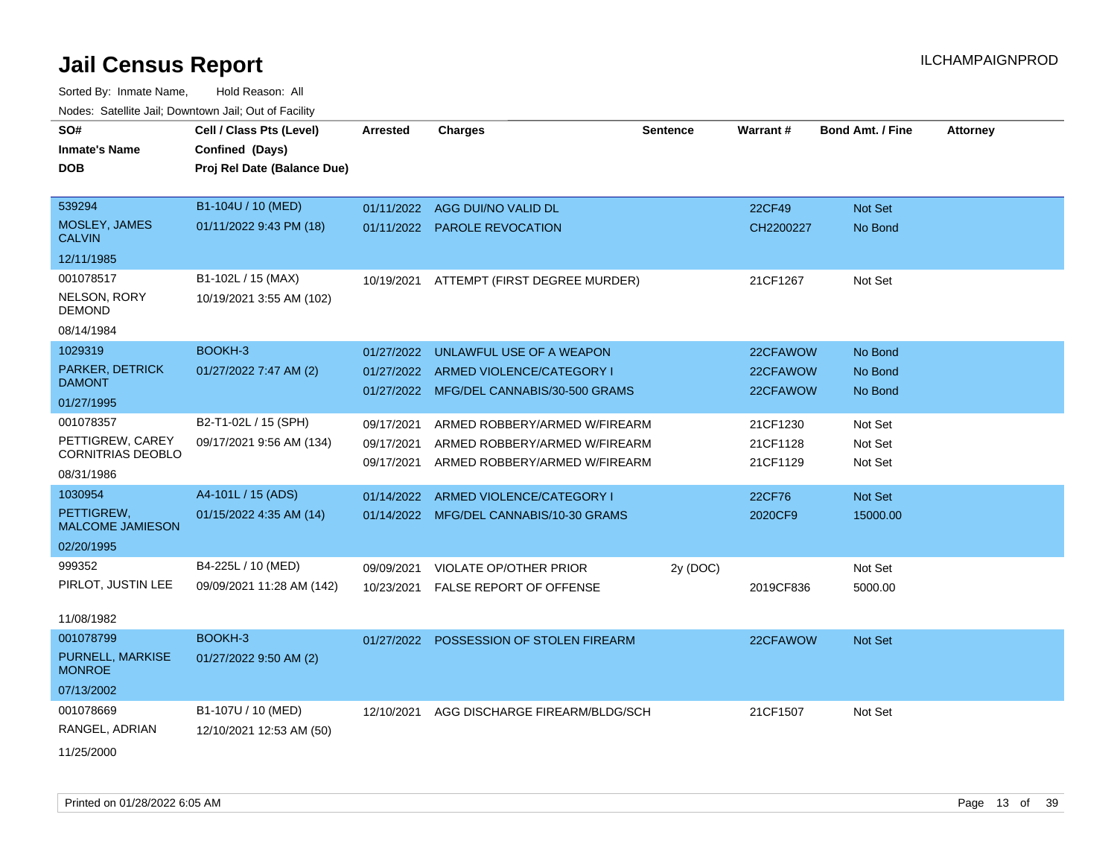| SO#<br><b>Inmate's Name</b><br>DOB           | Cell / Class Pts (Level)<br>Confined (Days)<br>Proj Rel Date (Balance Due) | <b>Arrested</b> | <b>Charges</b>                                                        | <b>Sentence</b> | <b>Warrant#</b>      | <b>Bond Amt. / Fine</b> | <b>Attorney</b> |
|----------------------------------------------|----------------------------------------------------------------------------|-----------------|-----------------------------------------------------------------------|-----------------|----------------------|-------------------------|-----------------|
|                                              |                                                                            |                 |                                                                       |                 |                      |                         |                 |
| 539294                                       | B1-104U / 10 (MED)                                                         | 01/11/2022      | AGG DUI/NO VALID DL                                                   |                 | 22CF49               | Not Set                 |                 |
| MOSLEY, JAMES<br><b>CALVIN</b>               | 01/11/2022 9:43 PM (18)                                                    |                 | 01/11/2022 PAROLE REVOCATION                                          |                 | CH2200227            | No Bond                 |                 |
| 12/11/1985                                   |                                                                            |                 |                                                                       |                 |                      |                         |                 |
| 001078517                                    | B1-102L / 15 (MAX)                                                         | 10/19/2021      | ATTEMPT (FIRST DEGREE MURDER)                                         |                 | 21CF1267             | Not Set                 |                 |
| NELSON, RORY<br><b>DEMOND</b>                | 10/19/2021 3:55 AM (102)                                                   |                 |                                                                       |                 |                      |                         |                 |
| 08/14/1984                                   |                                                                            |                 |                                                                       |                 |                      |                         |                 |
| 1029319                                      | BOOKH-3                                                                    | 01/27/2022      | UNLAWFUL USE OF A WEAPON                                              |                 | 22CFAWOW             | No Bond                 |                 |
| PARKER, DETRICK<br><b>DAMONT</b>             | 01/27/2022 7:47 AM (2)                                                     | 01/27/2022      | ARMED VIOLENCE/CATEGORY I<br>01/27/2022 MFG/DEL CANNABIS/30-500 GRAMS |                 | 22CFAWOW<br>22CFAWOW | No Bond<br>No Bond      |                 |
| 01/27/1995                                   |                                                                            |                 |                                                                       |                 |                      |                         |                 |
| 001078357                                    | B2-T1-02L / 15 (SPH)                                                       | 09/17/2021      | ARMED ROBBERY/ARMED W/FIREARM                                         |                 | 21CF1230             | Not Set                 |                 |
| PETTIGREW, CAREY<br><b>CORNITRIAS DEOBLO</b> | 09/17/2021 9:56 AM (134)                                                   | 09/17/2021      | ARMED ROBBERY/ARMED W/FIREARM                                         |                 | 21CF1128<br>21CF1129 | Not Set                 |                 |
| 08/31/1986                                   |                                                                            | 09/17/2021      | ARMED ROBBERY/ARMED W/FIREARM                                         |                 |                      | Not Set                 |                 |
| 1030954                                      | A4-101L / 15 (ADS)                                                         | 01/14/2022      | ARMED VIOLENCE/CATEGORY I                                             |                 | 22CF76               | Not Set                 |                 |
| PETTIGREW,<br><b>MALCOME JAMIESON</b>        | 01/15/2022 4:35 AM (14)                                                    | 01/14/2022      | MFG/DEL CANNABIS/10-30 GRAMS                                          |                 | 2020CF9              | 15000.00                |                 |
| 02/20/1995                                   |                                                                            |                 |                                                                       |                 |                      |                         |                 |
| 999352                                       | B4-225L / 10 (MED)                                                         | 09/09/2021      | <b>VIOLATE OP/OTHER PRIOR</b>                                         | 2y (DOC)        |                      | Not Set                 |                 |
| PIRLOT, JUSTIN LEE                           | 09/09/2021 11:28 AM (142)                                                  | 10/23/2021      | <b>FALSE REPORT OF OFFENSE</b>                                        |                 | 2019CF836            | 5000.00                 |                 |
| 11/08/1982                                   |                                                                            |                 |                                                                       |                 |                      |                         |                 |
| 001078799                                    | BOOKH-3                                                                    |                 | 01/27/2022 POSSESSION OF STOLEN FIREARM                               |                 | 22CFAWOW             | Not Set                 |                 |
| PURNELL, MARKISE<br><b>MONROE</b>            | 01/27/2022 9:50 AM (2)                                                     |                 |                                                                       |                 |                      |                         |                 |
| 07/13/2002                                   |                                                                            |                 |                                                                       |                 |                      |                         |                 |
| 001078669                                    | B1-107U / 10 (MED)                                                         | 12/10/2021      | AGG DISCHARGE FIREARM/BLDG/SCH                                        |                 | 21CF1507             | Not Set                 |                 |
| RANGEL, ADRIAN                               | 12/10/2021 12:53 AM (50)                                                   |                 |                                                                       |                 |                      |                         |                 |
| 11/25/2000                                   |                                                                            |                 |                                                                       |                 |                      |                         |                 |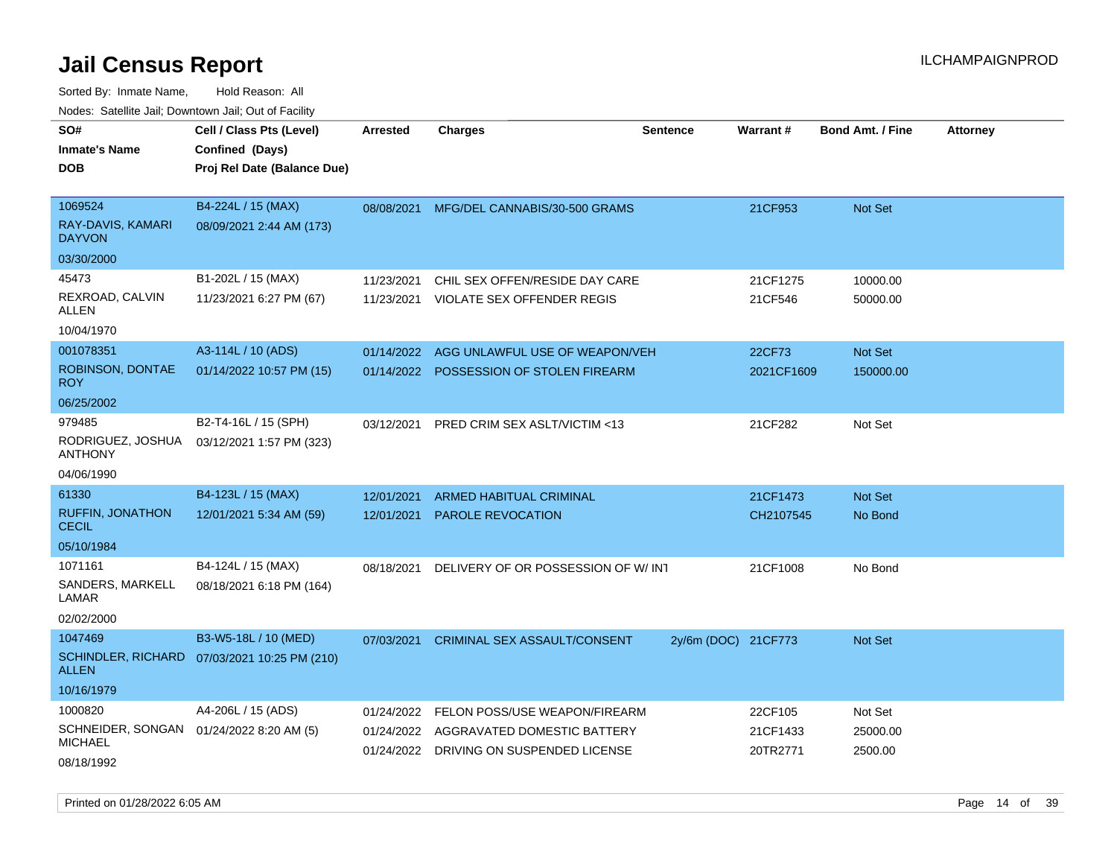Sorted By: Inmate Name, Hold Reason: All Nodes: Satellite Jail; Downtown Jail; Out of Facility

| SO#<br><b>Inmate's Name</b><br><b>DOB</b> | Cell / Class Pts (Level)<br>Confined (Days)<br>Proj Rel Date (Balance Due) | <b>Arrested</b> | <b>Charges</b>                                                         | <b>Sentence</b>     | <b>Warrant#</b>      | <b>Bond Amt. / Fine</b> | <b>Attorney</b> |
|-------------------------------------------|----------------------------------------------------------------------------|-----------------|------------------------------------------------------------------------|---------------------|----------------------|-------------------------|-----------------|
|                                           |                                                                            |                 |                                                                        |                     |                      |                         |                 |
| 1069524                                   | B4-224L / 15 (MAX)                                                         | 08/08/2021      | MFG/DEL CANNABIS/30-500 GRAMS                                          |                     | 21CF953              | <b>Not Set</b>          |                 |
| RAY-DAVIS, KAMARI<br><b>DAYVON</b>        | 08/09/2021 2:44 AM (173)                                                   |                 |                                                                        |                     |                      |                         |                 |
| 03/30/2000                                |                                                                            |                 |                                                                        |                     |                      |                         |                 |
| 45473                                     | B1-202L / 15 (MAX)                                                         | 11/23/2021      | CHIL SEX OFFEN/RESIDE DAY CARE                                         |                     | 21CF1275             | 10000.00                |                 |
| REXROAD, CALVIN<br>ALLEN                  | 11/23/2021 6:27 PM (67)                                                    | 11/23/2021      | VIOLATE SEX OFFENDER REGIS                                             |                     | 21CF546              | 50000.00                |                 |
| 10/04/1970                                |                                                                            |                 |                                                                        |                     |                      |                         |                 |
| 001078351                                 | A3-114L / 10 (ADS)                                                         | 01/14/2022      | AGG UNLAWFUL USE OF WEAPON/VEH                                         |                     | 22CF73               | Not Set                 |                 |
| ROBINSON, DONTAE<br><b>ROY</b>            | 01/14/2022 10:57 PM (15)                                                   |                 | 01/14/2022 POSSESSION OF STOLEN FIREARM                                |                     | 2021CF1609           | 150000.00               |                 |
| 06/25/2002                                |                                                                            |                 |                                                                        |                     |                      |                         |                 |
| 979485                                    | B2-T4-16L / 15 (SPH)                                                       | 03/12/2021      | PRED CRIM SEX ASLT/VICTIM <13                                          |                     | 21CF282              | Not Set                 |                 |
| RODRIGUEZ, JOSHUA<br><b>ANTHONY</b>       | 03/12/2021 1:57 PM (323)                                                   |                 |                                                                        |                     |                      |                         |                 |
| 04/06/1990                                |                                                                            |                 |                                                                        |                     |                      |                         |                 |
| 61330                                     | B4-123L / 15 (MAX)                                                         | 12/01/2021      | ARMED HABITUAL CRIMINAL                                                |                     | 21CF1473             | Not Set                 |                 |
| <b>RUFFIN, JONATHON</b><br><b>CECIL</b>   | 12/01/2021 5:34 AM (59)                                                    | 12/01/2021      | PAROLE REVOCATION                                                      |                     | CH2107545            | No Bond                 |                 |
| 05/10/1984                                |                                                                            |                 |                                                                        |                     |                      |                         |                 |
| 1071161                                   | B4-124L / 15 (MAX)                                                         | 08/18/2021      | DELIVERY OF OR POSSESSION OF W/INT                                     |                     | 21CF1008             | No Bond                 |                 |
| SANDERS, MARKELL<br>LAMAR                 | 08/18/2021 6:18 PM (164)                                                   |                 |                                                                        |                     |                      |                         |                 |
| 02/02/2000                                |                                                                            |                 |                                                                        |                     |                      |                         |                 |
| 1047469                                   | B3-W5-18L / 10 (MED)                                                       | 07/03/2021      | <b>CRIMINAL SEX ASSAULT/CONSENT</b>                                    | 2y/6m (DOC) 21CF773 |                      | Not Set                 |                 |
| <b>ALLEN</b>                              | SCHINDLER, RICHARD 07/03/2021 10:25 PM (210)                               |                 |                                                                        |                     |                      |                         |                 |
| 10/16/1979                                |                                                                            |                 |                                                                        |                     |                      |                         |                 |
| 1000820                                   | A4-206L / 15 (ADS)                                                         | 01/24/2022      | FELON POSS/USE WEAPON/FIREARM                                          |                     | 22CF105              | Not Set                 |                 |
| SCHNEIDER, SONGAN<br><b>MICHAEL</b>       | 01/24/2022 8:20 AM (5)                                                     | 01/24/2022      | 01/24/2022 AGGRAVATED DOMESTIC BATTERY<br>DRIVING ON SUSPENDED LICENSE |                     | 21CF1433<br>20TR2771 | 25000.00<br>2500.00     |                 |
| 08/18/1992                                |                                                                            |                 |                                                                        |                     |                      |                         |                 |

Printed on 01/28/2022 6:05 AM **Page 14** of 39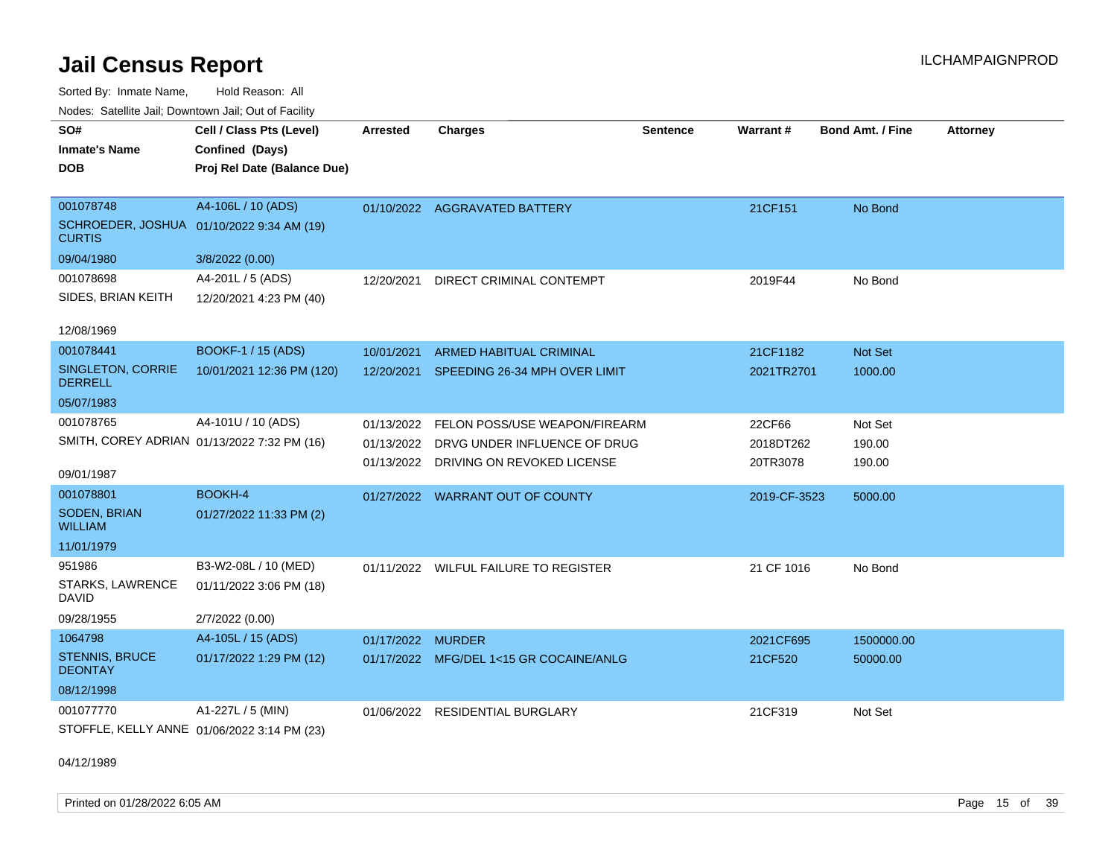Sorted By: Inmate Name, Hold Reason: All Nodes: Satellite Jail; Downtown Jail; Out of Facility

| SO#<br><b>Inmate's Name</b><br><b>DOB</b>   | Cell / Class Pts (Level)<br>Confined (Days)<br>Proj Rel Date (Balance Due) | <b>Arrested</b> | <b>Charges</b>                           | <b>Sentence</b> | Warrant#     | Bond Amt. / Fine | <b>Attorney</b> |
|---------------------------------------------|----------------------------------------------------------------------------|-----------------|------------------------------------------|-----------------|--------------|------------------|-----------------|
|                                             |                                                                            |                 |                                          |                 |              |                  |                 |
| 001078748                                   | A4-106L / 10 (ADS)                                                         |                 | 01/10/2022 AGGRAVATED BATTERY            |                 | 21CF151      | No Bond          |                 |
| <b>CURTIS</b>                               | SCHROEDER, JOSHUA 01/10/2022 9:34 AM (19)                                  |                 |                                          |                 |              |                  |                 |
| 09/04/1980                                  | 3/8/2022 (0.00)                                                            |                 |                                          |                 |              |                  |                 |
| 001078698                                   | A4-201L / 5 (ADS)                                                          | 12/20/2021      | DIRECT CRIMINAL CONTEMPT                 |                 | 2019F44      | No Bond          |                 |
| SIDES, BRIAN KEITH                          | 12/20/2021 4:23 PM (40)                                                    |                 |                                          |                 |              |                  |                 |
| 12/08/1969                                  |                                                                            |                 |                                          |                 |              |                  |                 |
| 001078441                                   | <b>BOOKF-1 / 15 (ADS)</b>                                                  | 10/01/2021      | <b>ARMED HABITUAL CRIMINAL</b>           |                 | 21CF1182     | Not Set          |                 |
| SINGLETON, CORRIE<br><b>DERRELL</b>         | 10/01/2021 12:36 PM (120)                                                  |                 | 12/20/2021 SPEEDING 26-34 MPH OVER LIMIT |                 | 2021TR2701   | 1000.00          |                 |
| 05/07/1983                                  |                                                                            |                 |                                          |                 |              |                  |                 |
| 001078765                                   | A4-101U / 10 (ADS)                                                         | 01/13/2022      | FELON POSS/USE WEAPON/FIREARM            |                 | 22CF66       | Not Set          |                 |
| SMITH, COREY ADRIAN 01/13/2022 7:32 PM (16) |                                                                            | 01/13/2022      | DRVG UNDER INFLUENCE OF DRUG             |                 | 2018DT262    | 190.00           |                 |
|                                             |                                                                            |                 | 01/13/2022 DRIVING ON REVOKED LICENSE    |                 | 20TR3078     | 190.00           |                 |
| 09/01/1987                                  |                                                                            |                 |                                          |                 |              |                  |                 |
| 001078801                                   | BOOKH-4                                                                    |                 | 01/27/2022 WARRANT OUT OF COUNTY         |                 | 2019-CF-3523 | 5000.00          |                 |
| SODEN, BRIAN<br><b>WILLIAM</b>              | 01/27/2022 11:33 PM (2)                                                    |                 |                                          |                 |              |                  |                 |
| 11/01/1979                                  |                                                                            |                 |                                          |                 |              |                  |                 |
| 951986                                      | B3-W2-08L / 10 (MED)                                                       |                 | 01/11/2022 WILFUL FAILURE TO REGISTER    |                 | 21 CF 1016   | No Bond          |                 |
| STARKS, LAWRENCE<br><b>DAVID</b>            | 01/11/2022 3:06 PM (18)                                                    |                 |                                          |                 |              |                  |                 |
| 09/28/1955                                  | 2/7/2022 (0.00)                                                            |                 |                                          |                 |              |                  |                 |
| 1064798                                     | A4-105L / 15 (ADS)                                                         | 01/17/2022      | <b>MURDER</b>                            |                 | 2021CF695    | 1500000.00       |                 |
| <b>STENNIS, BRUCE</b><br><b>DEONTAY</b>     | 01/17/2022 1:29 PM (12)                                                    |                 | 01/17/2022 MFG/DEL 1<15 GR COCAINE/ANLG  |                 | 21CF520      | 50000.00         |                 |
| 08/12/1998                                  |                                                                            |                 |                                          |                 |              |                  |                 |
| 001077770                                   | A1-227L / 5 (MIN)                                                          |                 | 01/06/2022 RESIDENTIAL BURGLARY          |                 | 21CF319      | Not Set          |                 |
| STOFFLE, KELLY ANNE 01/06/2022 3:14 PM (23) |                                                                            |                 |                                          |                 |              |                  |                 |

04/12/1989

Printed on 01/28/2022 6:05 AM Page 15 of 39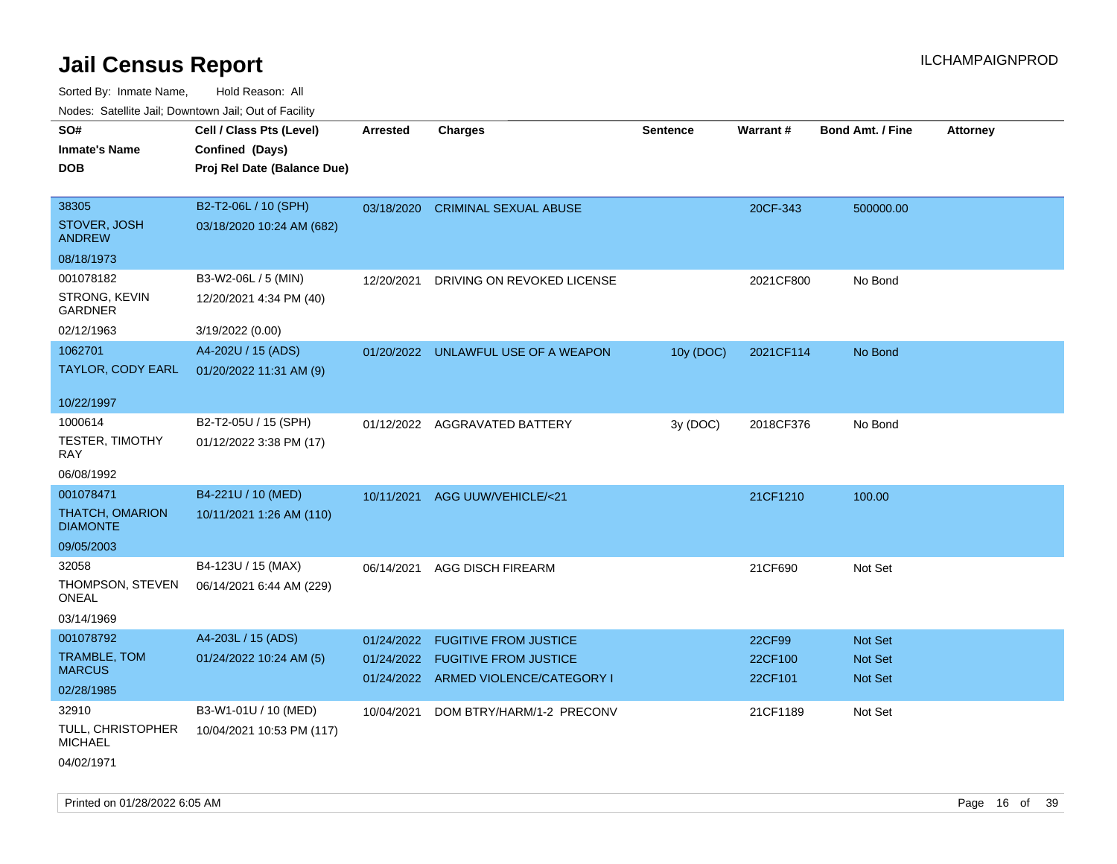| SO#<br><b>Inmate's Name</b><br>DOB         | Cell / Class Pts (Level)<br>Confined (Days)<br>Proj Rel Date (Balance Due) | <b>Arrested</b> | <b>Charges</b>                                                           | <b>Sentence</b> | Warrant#           | <b>Bond Amt. / Fine</b>   | <b>Attorney</b> |
|--------------------------------------------|----------------------------------------------------------------------------|-----------------|--------------------------------------------------------------------------|-----------------|--------------------|---------------------------|-----------------|
|                                            |                                                                            |                 |                                                                          |                 |                    |                           |                 |
| 38305<br>STOVER, JOSH<br><b>ANDREW</b>     | B2-T2-06L / 10 (SPH)<br>03/18/2020 10:24 AM (682)                          | 03/18/2020      | <b>CRIMINAL SEXUAL ABUSE</b>                                             |                 | 20CF-343           | 500000.00                 |                 |
| 08/18/1973                                 |                                                                            |                 |                                                                          |                 |                    |                           |                 |
| 001078182                                  | B3-W2-06L / 5 (MIN)                                                        | 12/20/2021      | DRIVING ON REVOKED LICENSE                                               |                 | 2021CF800          | No Bond                   |                 |
| STRONG, KEVIN<br><b>GARDNER</b>            | 12/20/2021 4:34 PM (40)                                                    |                 |                                                                          |                 |                    |                           |                 |
| 02/12/1963                                 | 3/19/2022 (0.00)                                                           |                 |                                                                          |                 |                    |                           |                 |
| 1062701                                    | A4-202U / 15 (ADS)                                                         |                 | 01/20/2022 UNLAWFUL USE OF A WEAPON                                      | 10y (DOC)       | 2021CF114          | No Bond                   |                 |
| TAYLOR, CODY EARL                          | 01/20/2022 11:31 AM (9)                                                    |                 |                                                                          |                 |                    |                           |                 |
| 10/22/1997                                 |                                                                            |                 |                                                                          |                 |                    |                           |                 |
| 1000614<br><b>TESTER, TIMOTHY</b><br>RAY   | B2-T2-05U / 15 (SPH)<br>01/12/2022 3:38 PM (17)                            |                 | 01/12/2022 AGGRAVATED BATTERY                                            | 3y (DOC)        | 2018CF376          | No Bond                   |                 |
| 06/08/1992                                 |                                                                            |                 |                                                                          |                 |                    |                           |                 |
| 001078471                                  | B4-221U / 10 (MED)                                                         | 10/11/2021      | AGG UUW/VEHICLE/<21                                                      |                 | 21CF1210           | 100.00                    |                 |
| THATCH, OMARION<br><b>DIAMONTE</b>         | 10/11/2021 1:26 AM (110)                                                   |                 |                                                                          |                 |                    |                           |                 |
| 09/05/2003                                 |                                                                            |                 |                                                                          |                 |                    |                           |                 |
| 32058                                      | B4-123U / 15 (MAX)                                                         | 06/14/2021      | <b>AGG DISCH FIREARM</b>                                                 |                 | 21CF690            | Not Set                   |                 |
| THOMPSON, STEVEN<br><b>ONEAL</b>           | 06/14/2021 6:44 AM (229)                                                   |                 |                                                                          |                 |                    |                           |                 |
| 03/14/1969                                 |                                                                            |                 |                                                                          |                 |                    |                           |                 |
| 001078792                                  | A4-203L / 15 (ADS)                                                         | 01/24/2022      | <b>FUGITIVE FROM JUSTICE</b>                                             |                 | 22CF99             | <b>Not Set</b>            |                 |
| TRAMBLE, TOM<br><b>MARCUS</b>              | 01/24/2022 10:24 AM (5)                                                    |                 | 01/24/2022 FUGITIVE FROM JUSTICE<br>01/24/2022 ARMED VIOLENCE/CATEGORY I |                 | 22CF100<br>22CF101 | <b>Not Set</b><br>Not Set |                 |
| 02/28/1985                                 |                                                                            |                 |                                                                          |                 |                    |                           |                 |
| 32910                                      | B3-W1-01U / 10 (MED)                                                       | 10/04/2021      | DOM BTRY/HARM/1-2 PRECONV                                                |                 | 21CF1189           | Not Set                   |                 |
| <b>TULL, CHRISTOPHER</b><br><b>MICHAEL</b> | 10/04/2021 10:53 PM (117)                                                  |                 |                                                                          |                 |                    |                           |                 |
| 04/02/1971                                 |                                                                            |                 |                                                                          |                 |                    |                           |                 |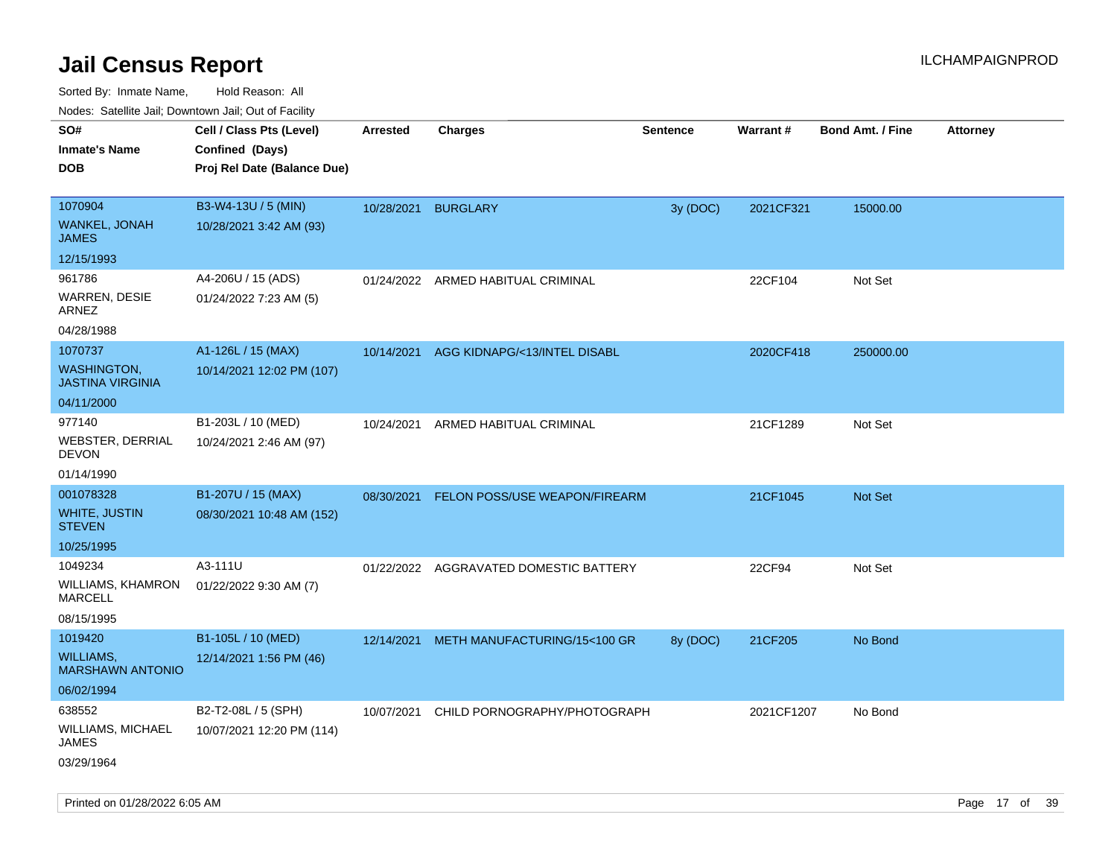Sorted By: Inmate Name, Hold Reason: All Nodes: Satellite Jail; Downtown Jail; Out of Facility

| Nudes. Satellite Jali, Downtown Jali, Out of Facility |                             |                 |                                        |                 |            |                         |                 |
|-------------------------------------------------------|-----------------------------|-----------------|----------------------------------------|-----------------|------------|-------------------------|-----------------|
| SO#                                                   | Cell / Class Pts (Level)    | <b>Arrested</b> | <b>Charges</b>                         | <b>Sentence</b> | Warrant#   | <b>Bond Amt. / Fine</b> | <b>Attorney</b> |
| Inmate's Name                                         | Confined (Days)             |                 |                                        |                 |            |                         |                 |
| DOB                                                   | Proj Rel Date (Balance Due) |                 |                                        |                 |            |                         |                 |
|                                                       |                             |                 |                                        |                 |            |                         |                 |
| 1070904                                               | B3-W4-13U / 5 (MIN)         | 10/28/2021      | <b>BURGLARY</b>                        | 3y (DOC)        | 2021CF321  | 15000.00                |                 |
| WANKEL, JONAH<br>JAMES                                | 10/28/2021 3:42 AM (93)     |                 |                                        |                 |            |                         |                 |
| 12/15/1993                                            |                             |                 |                                        |                 |            |                         |                 |
| 961786                                                | A4-206U / 15 (ADS)          | 01/24/2022      | ARMED HABITUAL CRIMINAL                |                 | 22CF104    | Not Set                 |                 |
| WARREN, DESIE<br>ARNEZ                                | 01/24/2022 7:23 AM (5)      |                 |                                        |                 |            |                         |                 |
| 04/28/1988                                            |                             |                 |                                        |                 |            |                         |                 |
| 1070737                                               | A1-126L / 15 (MAX)          | 10/14/2021      | AGG KIDNAPG/<13/INTEL DISABL           |                 | 2020CF418  | 250000.00               |                 |
| WASHINGTON,<br>JASTINA VIRGINIA                       | 10/14/2021 12:02 PM (107)   |                 |                                        |                 |            |                         |                 |
| 04/11/2000                                            |                             |                 |                                        |                 |            |                         |                 |
| 977140                                                | B1-203L / 10 (MED)          | 10/24/2021      | ARMED HABITUAL CRIMINAL                |                 | 21CF1289   | Not Set                 |                 |
| WEBSTER, DERRIAL<br>DEVON                             | 10/24/2021 2:46 AM (97)     |                 |                                        |                 |            |                         |                 |
| 01/14/1990                                            |                             |                 |                                        |                 |            |                         |                 |
| 001078328                                             | B1-207U / 15 (MAX)          | 08/30/2021      | <b>FELON POSS/USE WEAPON/FIREARM</b>   |                 | 21CF1045   | <b>Not Set</b>          |                 |
| WHITE, JUSTIN<br><b>STEVEN</b>                        | 08/30/2021 10:48 AM (152)   |                 |                                        |                 |            |                         |                 |
| 10/25/1995                                            |                             |                 |                                        |                 |            |                         |                 |
| 1049234                                               | A3-111U                     |                 | 01/22/2022 AGGRAVATED DOMESTIC BATTERY |                 | 22CF94     | Not Set                 |                 |
| WILLIAMS, KHAMRON<br>MARCELL                          | 01/22/2022 9:30 AM (7)      |                 |                                        |                 |            |                         |                 |
| 08/15/1995                                            |                             |                 |                                        |                 |            |                         |                 |
| 1019420                                               | B1-105L / 10 (MED)          | 12/14/2021      | METH MANUFACTURING/15<100 GR           | 8y (DOC)        | 21CF205    | No Bond                 |                 |
| WILLIAMS.<br><b>MARSHAWN ANTONIO</b>                  | 12/14/2021 1:56 PM (46)     |                 |                                        |                 |            |                         |                 |
| 06/02/1994                                            |                             |                 |                                        |                 |            |                         |                 |
| 638552                                                | B2-T2-08L / 5 (SPH)         | 10/07/2021      | CHILD PORNOGRAPHY/PHOTOGRAPH           |                 | 2021CF1207 | No Bond                 |                 |
| WILLIAMS, MICHAEL<br>JAMES                            | 10/07/2021 12:20 PM (114)   |                 |                                        |                 |            |                         |                 |
| 03/29/1964                                            |                             |                 |                                        |                 |            |                         |                 |

Printed on 01/28/2022 6:05 AM Page 17 of 39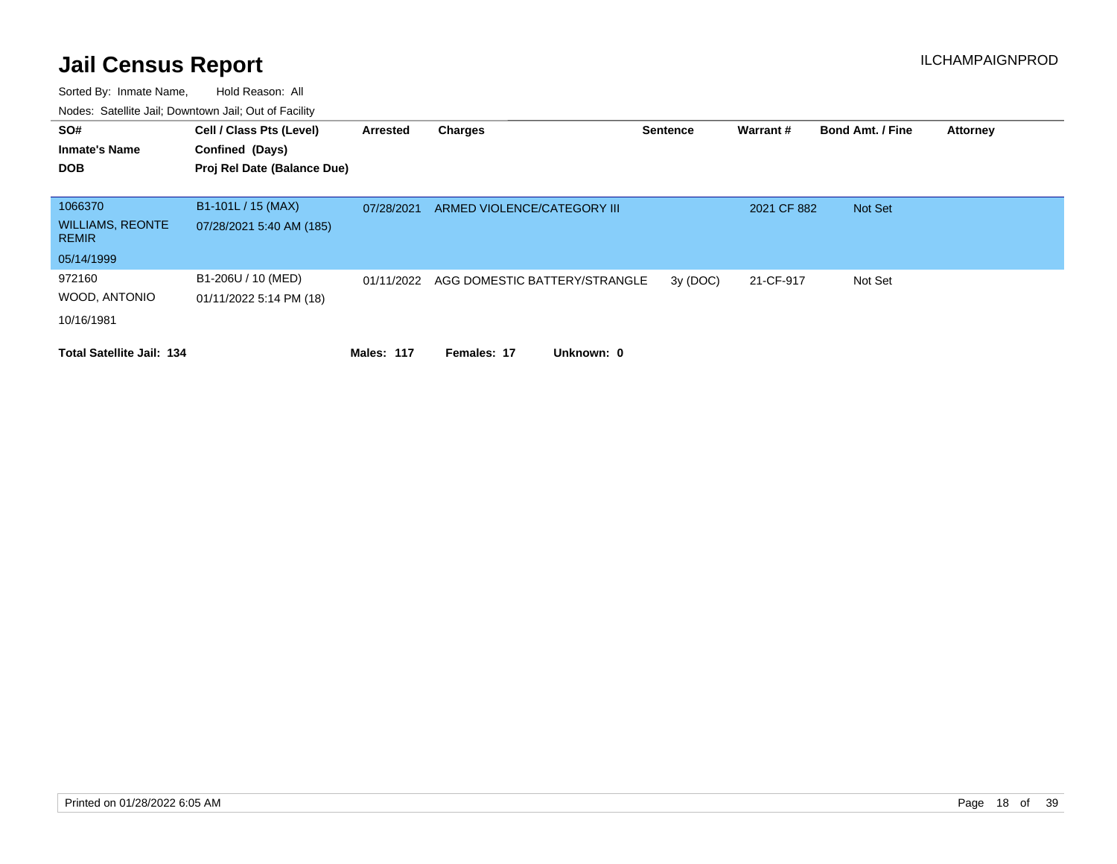| SO#<br><b>Inmate's Name</b><br><b>DOB</b>                        | Cell / Class Pts (Level)<br>Confined (Days)<br>Proj Rel Date (Balance Due) | Arrested   | <b>Charges</b>                | <b>Sentence</b> | Warrant#    | <b>Bond Amt. / Fine</b> | <b>Attorney</b> |
|------------------------------------------------------------------|----------------------------------------------------------------------------|------------|-------------------------------|-----------------|-------------|-------------------------|-----------------|
| 1066370<br><b>WILLIAMS, REONTE</b><br><b>REMIR</b><br>05/14/1999 | B1-101L / 15 (MAX)<br>07/28/2021 5:40 AM (185)                             | 07/28/2021 | ARMED VIOLENCE/CATEGORY III   |                 | 2021 CF 882 | Not Set                 |                 |
| 972160<br>WOOD, ANTONIO<br>10/16/1981                            | B1-206U / 10 (MED)<br>01/11/2022 5:14 PM (18)                              | 01/11/2022 | AGG DOMESTIC BATTERY/STRANGLE | 3y(DOC)         | 21-CF-917   | Not Set                 |                 |
| <b>Total Satellite Jail: 134</b>                                 |                                                                            | Males: 117 | Unknown: 0<br>Females: 17     |                 |             |                         |                 |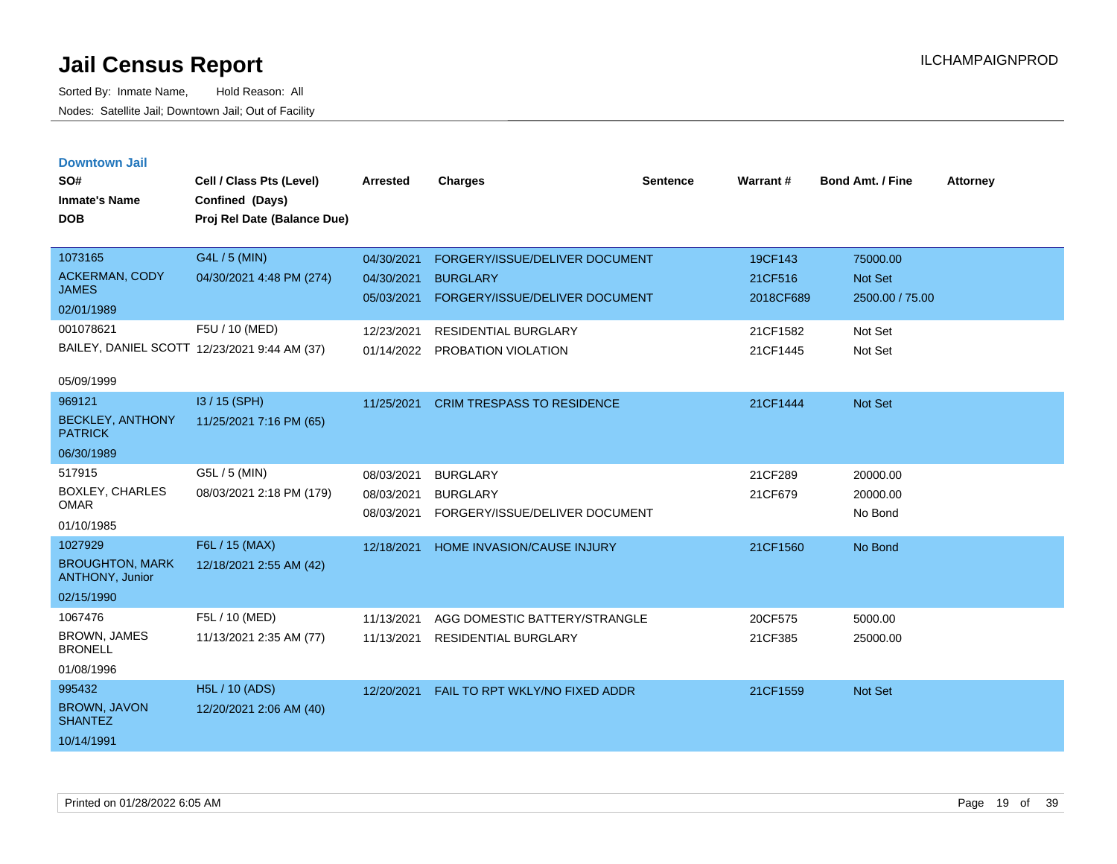| <b>Downtown Jail</b> |  |
|----------------------|--|
|                      |  |
|                      |  |

| SO#<br><b>Inmate's Name</b><br><b>DOB</b> | Cell / Class Pts (Level)<br>Confined (Days)<br>Proj Rel Date (Balance Due) | <b>Arrested</b> | <b>Charges</b>                    | <b>Sentence</b> | Warrant#  | Bond Amt. / Fine | <b>Attorney</b> |
|-------------------------------------------|----------------------------------------------------------------------------|-----------------|-----------------------------------|-----------------|-----------|------------------|-----------------|
| 1073165                                   | G4L / 5 (MIN)                                                              | 04/30/2021      | FORGERY/ISSUE/DELIVER DOCUMENT    |                 | 19CF143   | 75000.00         |                 |
| <b>ACKERMAN, CODY</b><br><b>JAMES</b>     | 04/30/2021 4:48 PM (274)                                                   | 04/30/2021      | <b>BURGLARY</b>                   |                 | 21CF516   | <b>Not Set</b>   |                 |
| 02/01/1989                                |                                                                            | 05/03/2021      | FORGERY/ISSUE/DELIVER DOCUMENT    |                 | 2018CF689 | 2500.00 / 75.00  |                 |
| 001078621                                 | F5U / 10 (MED)                                                             | 12/23/2021      | <b>RESIDENTIAL BURGLARY</b>       |                 | 21CF1582  | Not Set          |                 |
|                                           | BAILEY, DANIEL SCOTT 12/23/2021 9:44 AM (37)                               |                 | 01/14/2022 PROBATION VIOLATION    |                 | 21CF1445  | Not Set          |                 |
| 05/09/1999                                |                                                                            |                 |                                   |                 |           |                  |                 |
| 969121                                    | I3 / 15 (SPH)                                                              | 11/25/2021      | <b>CRIM TRESPASS TO RESIDENCE</b> |                 | 21CF1444  | Not Set          |                 |
| <b>BECKLEY, ANTHONY</b><br><b>PATRICK</b> | 11/25/2021 7:16 PM (65)                                                    |                 |                                   |                 |           |                  |                 |
| 06/30/1989                                |                                                                            |                 |                                   |                 |           |                  |                 |
| 517915                                    | G5L / 5 (MIN)                                                              | 08/03/2021      | <b>BURGLARY</b>                   |                 | 21CF289   | 20000.00         |                 |
| <b>BOXLEY, CHARLES</b><br><b>OMAR</b>     | 08/03/2021 2:18 PM (179)                                                   | 08/03/2021      | <b>BURGLARY</b>                   |                 | 21CF679   | 20000.00         |                 |
| 01/10/1985                                |                                                                            | 08/03/2021      | FORGERY/ISSUE/DELIVER DOCUMENT    |                 |           | No Bond          |                 |
| 1027929                                   | F6L / 15 (MAX)                                                             | 12/18/2021      | HOME INVASION/CAUSE INJURY        |                 | 21CF1560  | No Bond          |                 |
| <b>BROUGHTON, MARK</b><br>ANTHONY, Junior | 12/18/2021 2:55 AM (42)                                                    |                 |                                   |                 |           |                  |                 |
| 02/15/1990                                |                                                                            |                 |                                   |                 |           |                  |                 |
| 1067476                                   | F5L / 10 (MED)                                                             | 11/13/2021      | AGG DOMESTIC BATTERY/STRANGLE     |                 | 20CF575   | 5000.00          |                 |
| BROWN, JAMES<br><b>BRONELL</b>            | 11/13/2021 2:35 AM (77)                                                    | 11/13/2021      | <b>RESIDENTIAL BURGLARY</b>       |                 | 21CF385   | 25000.00         |                 |
| 01/08/1996                                |                                                                            |                 |                                   |                 |           |                  |                 |
| 995432                                    | <b>H5L / 10 (ADS)</b>                                                      | 12/20/2021      | FAIL TO RPT WKLY/NO FIXED ADDR    |                 | 21CF1559  | <b>Not Set</b>   |                 |
| BROWN, JAVON<br><b>SHANTEZ</b>            | 12/20/2021 2:06 AM (40)                                                    |                 |                                   |                 |           |                  |                 |
| 10/14/1991                                |                                                                            |                 |                                   |                 |           |                  |                 |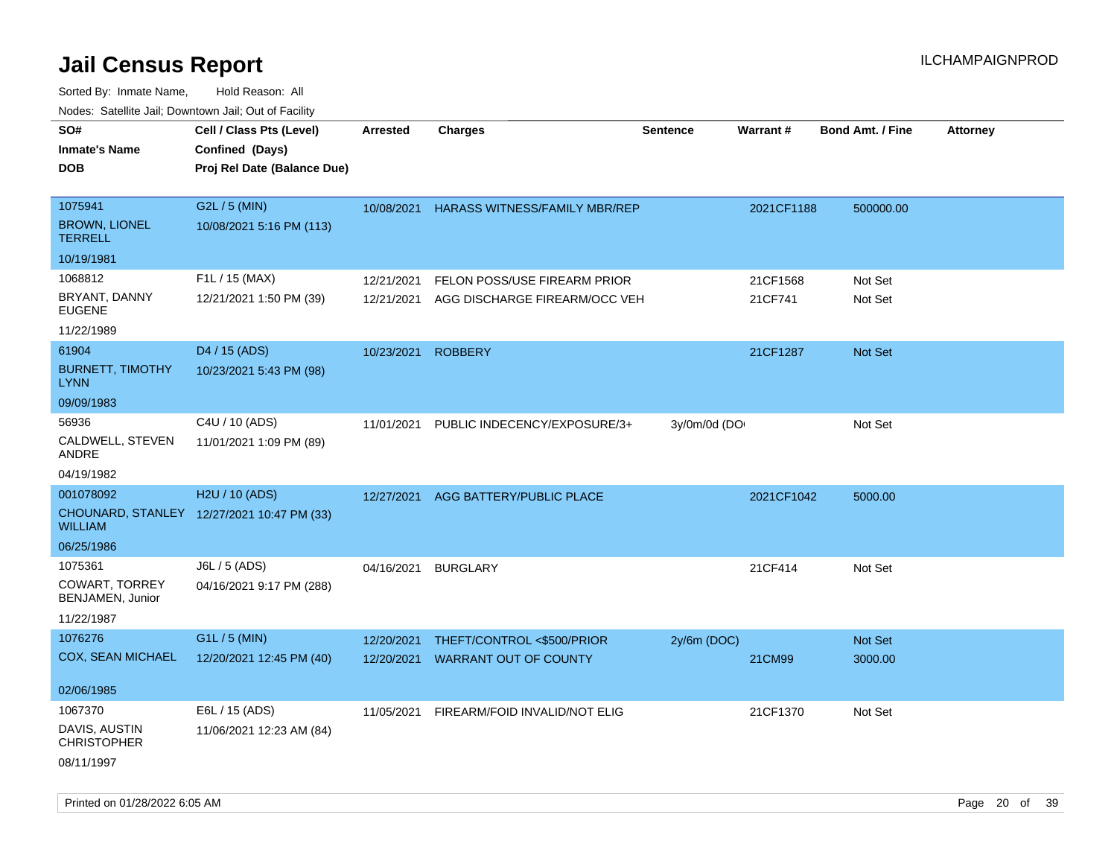| rouco. Calcinic Jan, Downtown Jan, Out of Facility |                                                                            |                          |                                                               |                 |                     |                         |                 |
|----------------------------------------------------|----------------------------------------------------------------------------|--------------------------|---------------------------------------------------------------|-----------------|---------------------|-------------------------|-----------------|
| SO#<br>Inmate's Name<br>DOB                        | Cell / Class Pts (Level)<br>Confined (Days)<br>Proj Rel Date (Balance Due) | <b>Arrested</b>          | <b>Charges</b>                                                | <b>Sentence</b> | <b>Warrant#</b>     | <b>Bond Amt. / Fine</b> | <b>Attorney</b> |
|                                                    |                                                                            |                          |                                                               |                 |                     |                         |                 |
| 1075941<br><b>BROWN, LIONEL</b><br><b>TERRELL</b>  | G2L / 5 (MIN)<br>10/08/2021 5:16 PM (113)                                  | 10/08/2021               | <b>HARASS WITNESS/FAMILY MBR/REP</b>                          |                 | 2021CF1188          | 500000.00               |                 |
| 10/19/1981                                         |                                                                            |                          |                                                               |                 |                     |                         |                 |
| 1068812<br>BRYANT, DANNY<br><b>EUGENE</b>          | F1L / 15 (MAX)<br>12/21/2021 1:50 PM (39)                                  | 12/21/2021<br>12/21/2021 | FELON POSS/USE FIREARM PRIOR<br>AGG DISCHARGE FIREARM/OCC VEH |                 | 21CF1568<br>21CF741 | Not Set<br>Not Set      |                 |
| 11/22/1989                                         |                                                                            |                          |                                                               |                 |                     |                         |                 |
| 61904<br><b>BURNETT, TIMOTHY</b><br>LYNN           | D4 / 15 (ADS)<br>10/23/2021 5:43 PM (98)                                   | 10/23/2021               | <b>ROBBERY</b>                                                |                 | 21CF1287            | <b>Not Set</b>          |                 |
| 09/09/1983                                         |                                                                            |                          |                                                               |                 |                     |                         |                 |
| 56936<br>CALDWELL, STEVEN<br>ANDRE                 | C4U / 10 (ADS)<br>11/01/2021 1:09 PM (89)                                  | 11/01/2021               | PUBLIC INDECENCY/EXPOSURE/3+                                  | 3y/0m/0d (DO    |                     | Not Set                 |                 |
| 04/19/1982                                         |                                                                            |                          |                                                               |                 |                     |                         |                 |
| 001078092                                          | H2U / 10 (ADS)                                                             | 12/27/2021               | AGG BATTERY/PUBLIC PLACE                                      |                 | 2021CF1042          | 5000.00                 |                 |
| WILLIAM                                            | CHOUNARD, STANLEY 12/27/2021 10:47 PM (33)                                 |                          |                                                               |                 |                     |                         |                 |
| 06/25/1986                                         |                                                                            |                          |                                                               |                 |                     |                         |                 |
| 1075361                                            | J6L / 5 (ADS)                                                              | 04/16/2021               | <b>BURGLARY</b>                                               |                 | 21CF414             | Not Set                 |                 |
| COWART, TORREY<br>BENJAMEN, Junior                 | 04/16/2021 9:17 PM (288)                                                   |                          |                                                               |                 |                     |                         |                 |
| 11/22/1987                                         |                                                                            |                          |                                                               |                 |                     |                         |                 |
| 1076276                                            | G1L / 5 (MIN)                                                              | 12/20/2021               | THEFT/CONTROL <\$500/PRIOR                                    | $2y/6m$ (DOC)   |                     | <b>Not Set</b>          |                 |
| <b>COX, SEAN MICHAEL</b>                           | 12/20/2021 12:45 PM (40)                                                   | 12/20/2021               | <b>WARRANT OUT OF COUNTY</b>                                  |                 | 21CM99              | 3000.00                 |                 |
| 02/06/1985                                         |                                                                            |                          |                                                               |                 |                     |                         |                 |
| 1067370                                            | E6L / 15 (ADS)                                                             | 11/05/2021               | FIREARM/FOID INVALID/NOT ELIG                                 |                 | 21CF1370            | Not Set                 |                 |
| DAVIS, AUSTIN<br><b>CHRISTOPHER</b>                | 11/06/2021 12:23 AM (84)                                                   |                          |                                                               |                 |                     |                         |                 |
| 08/11/1997                                         |                                                                            |                          |                                                               |                 |                     |                         |                 |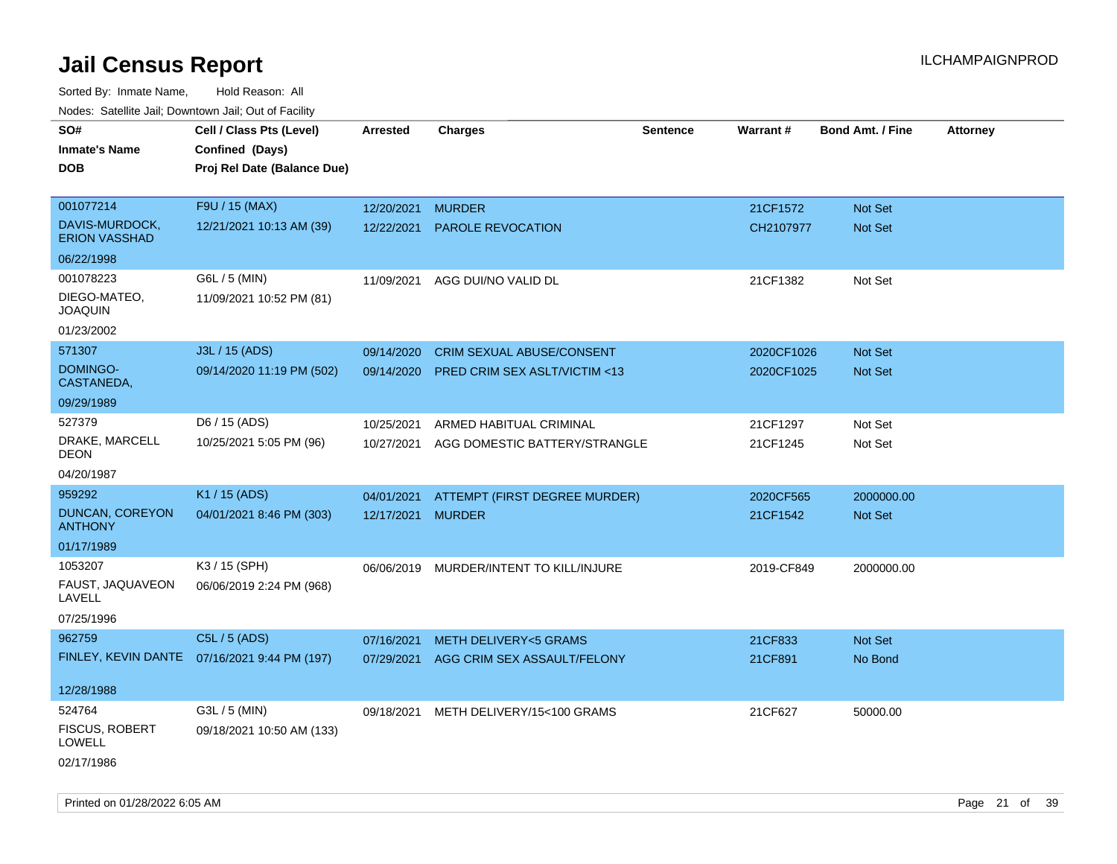| Nodes. Satellite Jali, Downtown Jali, Out of Facility |                                              |                 |                                 |                 |            |                  |                 |
|-------------------------------------------------------|----------------------------------------------|-----------------|---------------------------------|-----------------|------------|------------------|-----------------|
| SO#                                                   | Cell / Class Pts (Level)                     | <b>Arrested</b> | <b>Charges</b>                  | <b>Sentence</b> | Warrant#   | Bond Amt. / Fine | <b>Attorney</b> |
| <b>Inmate's Name</b>                                  | Confined (Days)                              |                 |                                 |                 |            |                  |                 |
| <b>DOB</b>                                            | Proj Rel Date (Balance Due)                  |                 |                                 |                 |            |                  |                 |
|                                                       |                                              |                 |                                 |                 |            |                  |                 |
| 001077214                                             | F9U / 15 (MAX)                               | 12/20/2021      | <b>MURDER</b>                   |                 | 21CF1572   | Not Set          |                 |
| DAVIS-MURDOCK,<br><b>ERION VASSHAD</b>                | 12/21/2021 10:13 AM (39)                     | 12/22/2021      | PAROLE REVOCATION               |                 | CH2107977  | <b>Not Set</b>   |                 |
| 06/22/1998                                            |                                              |                 |                                 |                 |            |                  |                 |
| 001078223                                             | G6L / 5 (MIN)                                | 11/09/2021      | AGG DUI/NO VALID DL             |                 | 21CF1382   | Not Set          |                 |
| DIEGO-MATEO,<br><b>JOAQUIN</b>                        | 11/09/2021 10:52 PM (81)                     |                 |                                 |                 |            |                  |                 |
| 01/23/2002                                            |                                              |                 |                                 |                 |            |                  |                 |
| 571307                                                | J3L / 15 (ADS)                               | 09/14/2020      | CRIM SEXUAL ABUSE/CONSENT       |                 | 2020CF1026 | Not Set          |                 |
| DOMINGO-<br>CASTANEDA,                                | 09/14/2020 11:19 PM (502)                    | 09/14/2020      | PRED CRIM SEX ASLT/VICTIM <13   |                 | 2020CF1025 | Not Set          |                 |
| 09/29/1989                                            |                                              |                 |                                 |                 |            |                  |                 |
| 527379                                                | D6 / 15 (ADS)                                | 10/25/2021      | ARMED HABITUAL CRIMINAL         |                 | 21CF1297   | Not Set          |                 |
| DRAKE, MARCELL<br>DEON                                | 10/25/2021 5:05 PM (96)                      | 10/27/2021      | AGG DOMESTIC BATTERY/STRANGLE   |                 | 21CF1245   | Not Set          |                 |
| 04/20/1987                                            |                                              |                 |                                 |                 |            |                  |                 |
| 959292                                                | K1 / 15 (ADS)                                | 04/01/2021      | ATTEMPT (FIRST DEGREE MURDER)   |                 | 2020CF565  | 2000000.00       |                 |
| DUNCAN, COREYON<br><b>ANTHONY</b>                     | 04/01/2021 8:46 PM (303)                     | 12/17/2021      | <b>MURDER</b>                   |                 | 21CF1542   | <b>Not Set</b>   |                 |
| 01/17/1989                                            |                                              |                 |                                 |                 |            |                  |                 |
| 1053207                                               | K3 / 15 (SPH)                                | 06/06/2019      | MURDER/INTENT TO KILL/INJURE    |                 | 2019-CF849 | 2000000.00       |                 |
| FAUST, JAQUAVEON<br>LAVELL                            | 06/06/2019 2:24 PM (968)                     |                 |                                 |                 |            |                  |                 |
| 07/25/1996                                            |                                              |                 |                                 |                 |            |                  |                 |
| 962759                                                | C5L / 5 (ADS)                                | 07/16/2021      | <b>METH DELIVERY&lt;5 GRAMS</b> |                 | 21CF833    | <b>Not Set</b>   |                 |
|                                                       | FINLEY, KEVIN DANTE 07/16/2021 9:44 PM (197) | 07/29/2021      | AGG CRIM SEX ASSAULT/FELONY     |                 | 21CF891    | No Bond          |                 |
| 12/28/1988                                            |                                              |                 |                                 |                 |            |                  |                 |
| 524764                                                | G3L / 5 (MIN)                                | 09/18/2021      | METH DELIVERY/15<100 GRAMS      |                 | 21CF627    | 50000.00         |                 |
| <b>FISCUS, ROBERT</b><br>LOWELL                       | 09/18/2021 10:50 AM (133)                    |                 |                                 |                 |            |                  |                 |
| 02/17/1986                                            |                                              |                 |                                 |                 |            |                  |                 |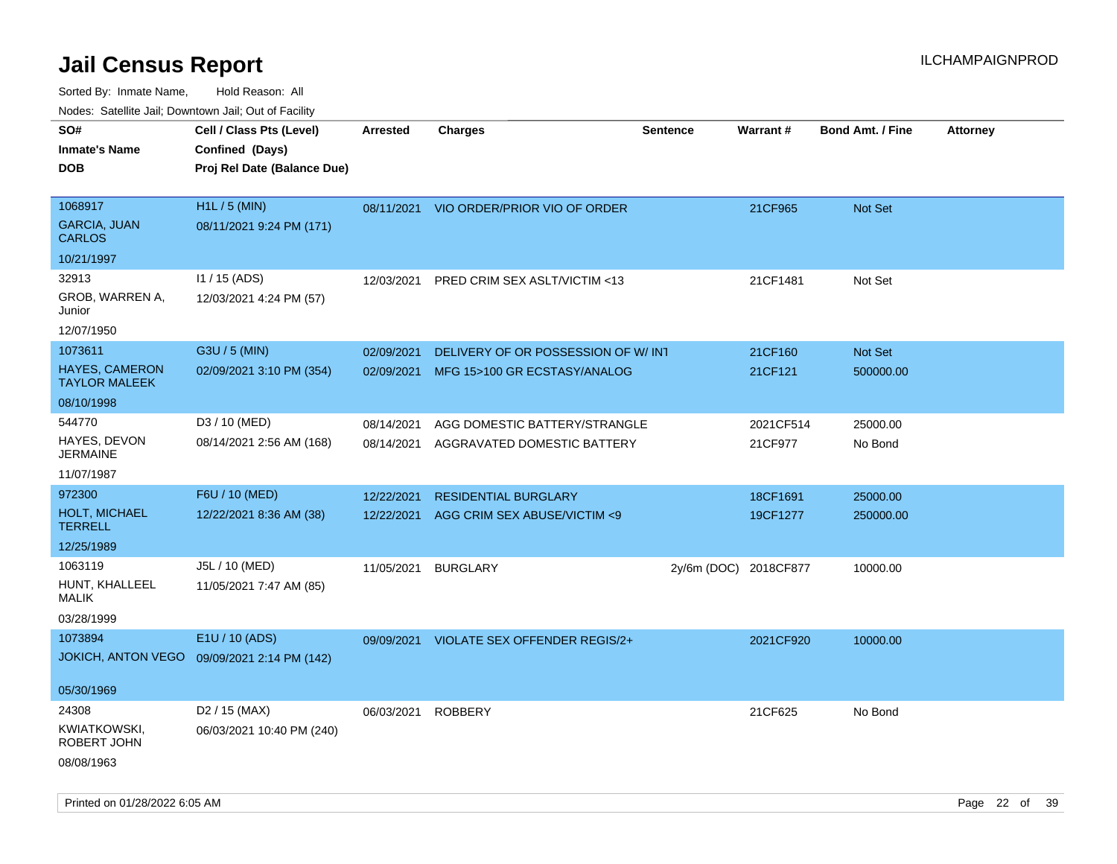| rouco. Calcillo Jali, Downtown Jali, Out of Facility |                                                                            |                          |                                                                    |                       |                      |                             |                 |
|------------------------------------------------------|----------------------------------------------------------------------------|--------------------------|--------------------------------------------------------------------|-----------------------|----------------------|-----------------------------|-----------------|
| SO#<br><b>Inmate's Name</b><br>DOB                   | Cell / Class Pts (Level)<br>Confined (Days)<br>Proj Rel Date (Balance Due) | <b>Arrested</b>          | <b>Charges</b>                                                     | <b>Sentence</b>       | <b>Warrant#</b>      | <b>Bond Amt. / Fine</b>     | <b>Attorney</b> |
| 1068917<br><b>GARCIA, JUAN</b><br>CARLOS             | H <sub>1</sub> L / 5 (MIN)<br>08/11/2021 9:24 PM (171)                     |                          | 08/11/2021 VIO ORDER/PRIOR VIO OF ORDER                            |                       | 21CF965              | <b>Not Set</b>              |                 |
| 10/21/1997                                           |                                                                            |                          |                                                                    |                       |                      |                             |                 |
| 32913<br>GROB, WARREN A,<br>Junior                   | $11/15$ (ADS)<br>12/03/2021 4:24 PM (57)                                   | 12/03/2021               | PRED CRIM SEX ASLT/VICTIM <13                                      |                       | 21CF1481             | Not Set                     |                 |
| 12/07/1950                                           |                                                                            |                          |                                                                    |                       |                      |                             |                 |
| 1073611<br>HAYES, CAMERON<br><b>TAYLOR MALEEK</b>    | G3U / 5 (MIN)<br>02/09/2021 3:10 PM (354)                                  | 02/09/2021<br>02/09/2021 | DELIVERY OF OR POSSESSION OF W/INT<br>MFG 15>100 GR ECSTASY/ANALOG |                       | 21CF160<br>21CF121   | <b>Not Set</b><br>500000.00 |                 |
| 08/10/1998                                           |                                                                            |                          |                                                                    |                       |                      |                             |                 |
| 544770<br>HAYES, DEVON<br>JERMAINE                   | D3 / 10 (MED)<br>08/14/2021 2:56 AM (168)                                  | 08/14/2021<br>08/14/2021 | AGG DOMESTIC BATTERY/STRANGLE<br>AGGRAVATED DOMESTIC BATTERY       |                       | 2021CF514<br>21CF977 | 25000.00<br>No Bond         |                 |
| 11/07/1987                                           |                                                                            |                          |                                                                    |                       |                      |                             |                 |
| 972300                                               | F6U / 10 (MED)                                                             | 12/22/2021               | <b>RESIDENTIAL BURGLARY</b>                                        |                       | 18CF1691             | 25000.00                    |                 |
| <b>HOLT, MICHAEL</b><br>TERRELL                      | 12/22/2021 8:36 AM (38)                                                    | 12/22/2021               | AGG CRIM SEX ABUSE/VICTIM <9                                       |                       | 19CF1277             | 250000.00                   |                 |
| 12/25/1989                                           |                                                                            |                          |                                                                    |                       |                      |                             |                 |
| 1063119                                              | J5L / 10 (MED)                                                             | 11/05/2021               | <b>BURGLARY</b>                                                    | 2y/6m (DOC) 2018CF877 |                      | 10000.00                    |                 |
| HUNT, KHALLEEL<br>MALIK                              | 11/05/2021 7:47 AM (85)                                                    |                          |                                                                    |                       |                      |                             |                 |
| 03/28/1999                                           |                                                                            |                          |                                                                    |                       |                      |                             |                 |
| 1073894                                              | E1U / 10 (ADS)                                                             | 09/09/2021               | VIOLATE SEX OFFENDER REGIS/2+                                      |                       | 2021CF920            | 10000.00                    |                 |
| JOKICH, ANTON VEGO                                   | 09/09/2021 2:14 PM (142)                                                   |                          |                                                                    |                       |                      |                             |                 |
| 05/30/1969                                           |                                                                            |                          |                                                                    |                       |                      |                             |                 |
| 24308                                                | D <sub>2</sub> / 15 (MAX)                                                  | 06/03/2021               | ROBBERY                                                            |                       | 21CF625              | No Bond                     |                 |
| KWIATKOWSKI,<br>ROBERT JOHN                          | 06/03/2021 10:40 PM (240)                                                  |                          |                                                                    |                       |                      |                             |                 |
| 08/08/1963                                           |                                                                            |                          |                                                                    |                       |                      |                             |                 |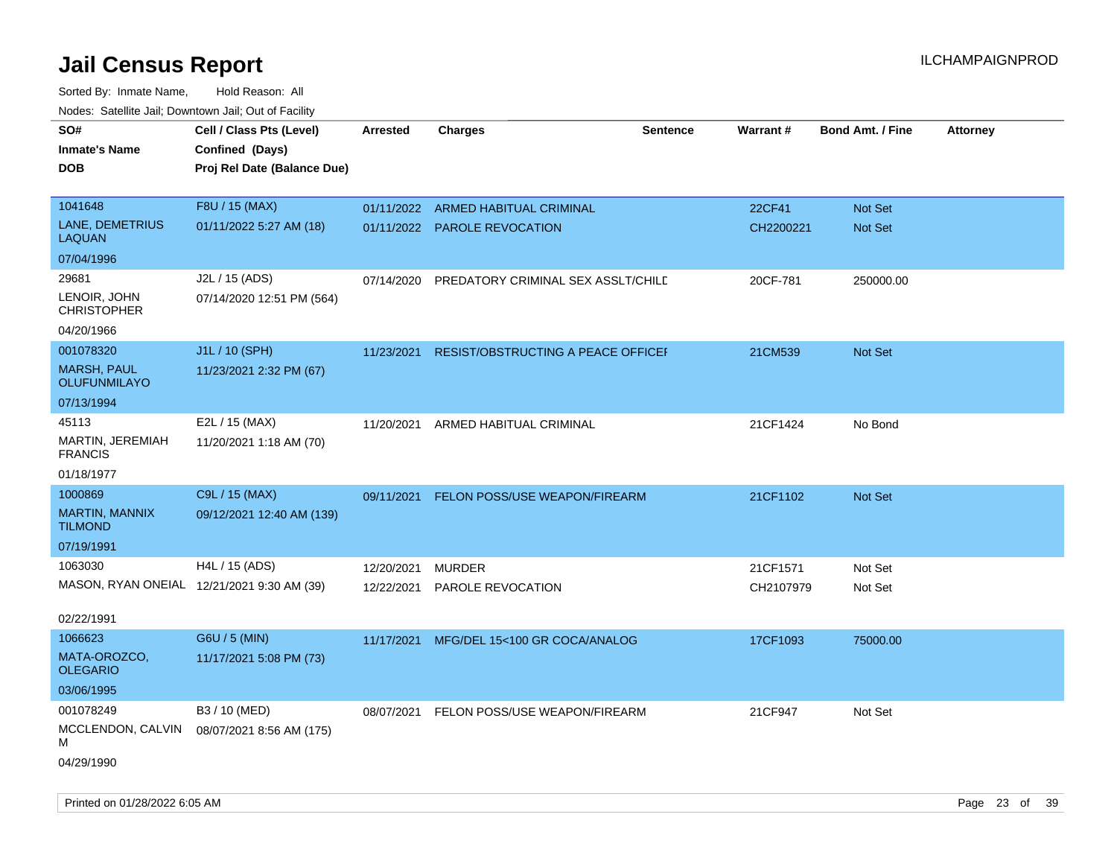| roaco. Calcinio dan, Downtown dan, Cal or Fability |                             |                 |                                      |                 |           |                         |                 |
|----------------------------------------------------|-----------------------------|-----------------|--------------------------------------|-----------------|-----------|-------------------------|-----------------|
| SO#                                                | Cell / Class Pts (Level)    | <b>Arrested</b> | <b>Charges</b>                       | <b>Sentence</b> | Warrant#  | <b>Bond Amt. / Fine</b> | <b>Attorney</b> |
| <b>Inmate's Name</b>                               | Confined (Days)             |                 |                                      |                 |           |                         |                 |
| <b>DOB</b>                                         | Proj Rel Date (Balance Due) |                 |                                      |                 |           |                         |                 |
|                                                    |                             |                 |                                      |                 |           |                         |                 |
| 1041648                                            | F8U / 15 (MAX)              |                 | 01/11/2022 ARMED HABITUAL CRIMINAL   |                 | 22CF41    | Not Set                 |                 |
| <b>LANE, DEMETRIUS</b><br><b>LAQUAN</b>            | 01/11/2022 5:27 AM (18)     |                 | 01/11/2022 PAROLE REVOCATION         |                 | CH2200221 | Not Set                 |                 |
| 07/04/1996                                         |                             |                 |                                      |                 |           |                         |                 |
| 29681                                              | J2L / 15 (ADS)              | 07/14/2020      | PREDATORY CRIMINAL SEX ASSLT/CHILD   |                 | 20CF-781  | 250000.00               |                 |
| LENOIR, JOHN<br><b>CHRISTOPHER</b>                 | 07/14/2020 12:51 PM (564)   |                 |                                      |                 |           |                         |                 |
| 04/20/1966                                         |                             |                 |                                      |                 |           |                         |                 |
| 001078320                                          | J1L / 10 (SPH)              | 11/23/2021      | RESIST/OBSTRUCTING A PEACE OFFICEF   |                 | 21CM539   | Not Set                 |                 |
| <b>MARSH, PAUL</b><br><b>OLUFUNMILAYO</b>          | 11/23/2021 2:32 PM (67)     |                 |                                      |                 |           |                         |                 |
| 07/13/1994                                         |                             |                 |                                      |                 |           |                         |                 |
| 45113                                              | E2L / 15 (MAX)              | 11/20/2021      | ARMED HABITUAL CRIMINAL              |                 | 21CF1424  | No Bond                 |                 |
| MARTIN, JEREMIAH<br><b>FRANCIS</b>                 | 11/20/2021 1:18 AM (70)     |                 |                                      |                 |           |                         |                 |
| 01/18/1977                                         |                             |                 |                                      |                 |           |                         |                 |
| 1000869                                            | C9L / 15 (MAX)              | 09/11/2021      | <b>FELON POSS/USE WEAPON/FIREARM</b> |                 | 21CF1102  | Not Set                 |                 |
| <b>MARTIN, MANNIX</b><br><b>TILMOND</b>            | 09/12/2021 12:40 AM (139)   |                 |                                      |                 |           |                         |                 |
| 07/19/1991                                         |                             |                 |                                      |                 |           |                         |                 |
| 1063030                                            | H4L / 15 (ADS)              | 12/20/2021      | <b>MURDER</b>                        |                 | 21CF1571  | Not Set                 |                 |
| MASON, RYAN ONEIAL 12/21/2021 9:30 AM (39)         |                             | 12/22/2021      | PAROLE REVOCATION                    |                 | CH2107979 | Not Set                 |                 |
|                                                    |                             |                 |                                      |                 |           |                         |                 |
| 02/22/1991                                         |                             |                 |                                      |                 |           |                         |                 |
| 1066623                                            | G6U / 5 (MIN)               | 11/17/2021      | MFG/DEL 15<100 GR COCA/ANALOG        |                 | 17CF1093  | 75000.00                |                 |
| MATA-OROZCO,<br><b>OLEGARIO</b>                    | 11/17/2021 5:08 PM (73)     |                 |                                      |                 |           |                         |                 |
| 03/06/1995                                         |                             |                 |                                      |                 |           |                         |                 |
| 001078249                                          | B3 / 10 (MED)               | 08/07/2021      | FELON POSS/USE WEAPON/FIREARM        |                 | 21CF947   | Not Set                 |                 |
| MCCLENDON, CALVIN<br>м                             | 08/07/2021 8:56 AM (175)    |                 |                                      |                 |           |                         |                 |
| 04/29/1990                                         |                             |                 |                                      |                 |           |                         |                 |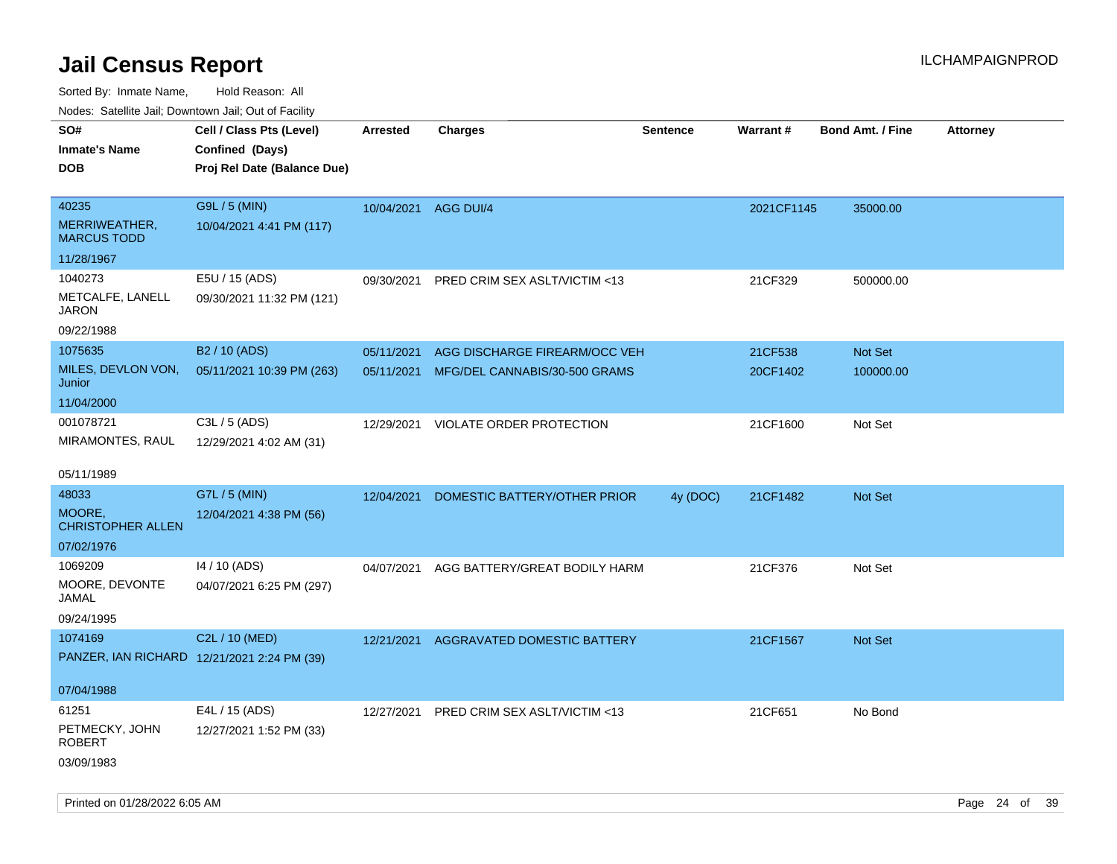Sorted By: Inmate Name, Hold Reason: All

| Nodes: Satellite Jail; Downtown Jail; Out of Facility |  |
|-------------------------------------------------------|--|
|-------------------------------------------------------|--|

| SO#<br><b>Inmate's Name</b><br><b>DOB</b>                  | Cell / Class Pts (Level)<br>Confined (Days)<br>Proj Rel Date (Balance Due) | <b>Arrested</b> | <b>Charges</b>                                                            | <b>Sentence</b> | Warrant#            | <b>Bond Amt. / Fine</b> | <b>Attorney</b> |
|------------------------------------------------------------|----------------------------------------------------------------------------|-----------------|---------------------------------------------------------------------------|-----------------|---------------------|-------------------------|-----------------|
| 40235<br>MERRIWEATHER,<br><b>MARCUS TODD</b><br>11/28/1967 | G9L / 5 (MIN)<br>10/04/2021 4:41 PM (117)                                  |                 | 10/04/2021 AGG DUI/4                                                      |                 | 2021CF1145          | 35000.00                |                 |
| 1040273<br>METCALFE, LANELL<br><b>JARON</b><br>09/22/1988  | E5U / 15 (ADS)<br>09/30/2021 11:32 PM (121)                                | 09/30/2021      | PRED CRIM SEX ASLT/VICTIM <13                                             |                 | 21CF329             | 500000.00               |                 |
| 1075635<br>MILES, DEVLON VON,<br>Junior<br>11/04/2000      | B2 / 10 (ADS)<br>05/11/2021 10:39 PM (263)                                 | 05/11/2021      | AGG DISCHARGE FIREARM/OCC VEH<br>05/11/2021 MFG/DEL CANNABIS/30-500 GRAMS |                 | 21CF538<br>20CF1402 | Not Set<br>100000.00    |                 |
| 001078721<br>MIRAMONTES, RAUL<br>05/11/1989                | C3L / 5 (ADS)<br>12/29/2021 4:02 AM (31)                                   | 12/29/2021      | VIOLATE ORDER PROTECTION                                                  |                 | 21CF1600            | Not Set                 |                 |
| 48033<br>MOORE,<br><b>CHRISTOPHER ALLEN</b><br>07/02/1976  | G7L / 5 (MIN)<br>12/04/2021 4:38 PM (56)                                   |                 | 12/04/2021 DOMESTIC BATTERY/OTHER PRIOR                                   | 4y (DOC)        | 21CF1482            | Not Set                 |                 |
| 1069209<br>MOORE, DEVONTE<br>JAMAL<br>09/24/1995           | 14 / 10 (ADS)<br>04/07/2021 6:25 PM (297)                                  | 04/07/2021      | AGG BATTERY/GREAT BODILY HARM                                             |                 | 21CF376             | Not Set                 |                 |
| 1074169<br>07/04/1988                                      | C2L / 10 (MED)<br>PANZER, IAN RICHARD 12/21/2021 2:24 PM (39)              | 12/21/2021      | AGGRAVATED DOMESTIC BATTERY                                               |                 | 21CF1567            | Not Set                 |                 |
| 61251<br>PETMECKY, JOHN<br><b>ROBERT</b><br>03/09/1983     | E4L / 15 (ADS)<br>12/27/2021 1:52 PM (33)                                  |                 | 12/27/2021 PRED CRIM SEX ASLT/VICTIM <13                                  |                 | 21CF651             | No Bond                 |                 |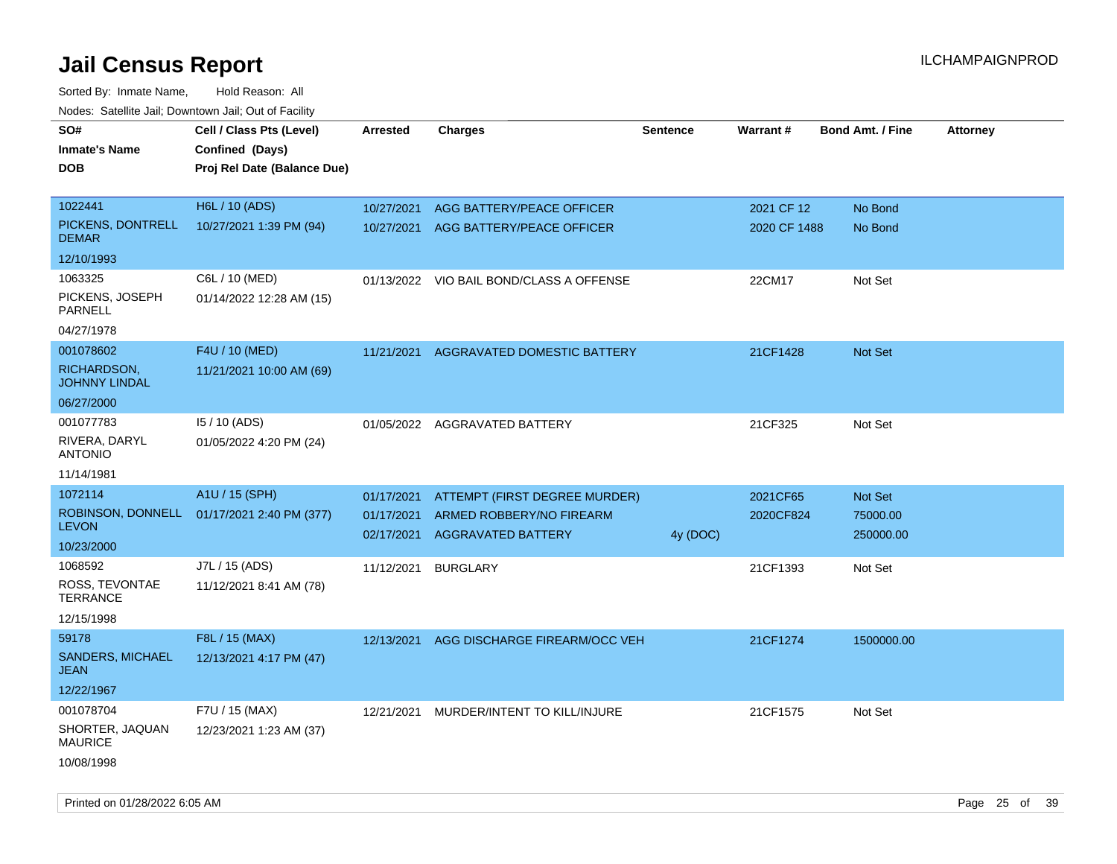| rouco. Calcinic Jan, Downtown Jan, Out of Facility |                                            |                          |                                                       |                 |                 |                         |                 |
|----------------------------------------------------|--------------------------------------------|--------------------------|-------------------------------------------------------|-----------------|-----------------|-------------------------|-----------------|
| SO#                                                | Cell / Class Pts (Level)                   | <b>Arrested</b>          | <b>Charges</b>                                        | <b>Sentence</b> | <b>Warrant#</b> | <b>Bond Amt. / Fine</b> | <b>Attorney</b> |
| Inmate's Name                                      | Confined (Days)                            |                          |                                                       |                 |                 |                         |                 |
| DOB                                                | Proj Rel Date (Balance Due)                |                          |                                                       |                 |                 |                         |                 |
|                                                    |                                            |                          |                                                       |                 |                 |                         |                 |
| 1022441                                            | H6L / 10 (ADS)                             | 10/27/2021               | AGG BATTERY/PEACE OFFICER                             |                 | 2021 CF 12      | No Bond                 |                 |
| PICKENS, DONTRELL<br><b>DEMAR</b>                  | 10/27/2021 1:39 PM (94)                    |                          | 10/27/2021 AGG BATTERY/PEACE OFFICER                  |                 | 2020 CF 1488    | No Bond                 |                 |
| 12/10/1993                                         |                                            |                          |                                                       |                 |                 |                         |                 |
| 1063325                                            | C6L / 10 (MED)                             |                          | 01/13/2022 VIO BAIL BOND/CLASS A OFFENSE              |                 | 22CM17          | Not Set                 |                 |
| PICKENS, JOSEPH<br>PARNELL                         | 01/14/2022 12:28 AM (15)                   |                          |                                                       |                 |                 |                         |                 |
| 04/27/1978                                         |                                            |                          |                                                       |                 |                 |                         |                 |
| 001078602                                          | F4U / 10 (MED)                             | 11/21/2021               | AGGRAVATED DOMESTIC BATTERY                           |                 | 21CF1428        | <b>Not Set</b>          |                 |
| RICHARDSON,<br><b>JOHNNY LINDAL</b>                | 11/21/2021 10:00 AM (69)                   |                          |                                                       |                 |                 |                         |                 |
| 06/27/2000                                         |                                            |                          |                                                       |                 |                 |                         |                 |
| 001077783                                          | 15 / 10 (ADS)                              |                          | 01/05/2022 AGGRAVATED BATTERY                         |                 | 21CF325         | Not Set                 |                 |
| RIVERA, DARYL<br><b>ANTONIO</b>                    | 01/05/2022 4:20 PM (24)                    |                          |                                                       |                 |                 |                         |                 |
| 11/14/1981                                         |                                            |                          |                                                       |                 |                 |                         |                 |
| 1072114                                            | A1U / 15 (SPH)                             | 01/17/2021               | ATTEMPT (FIRST DEGREE MURDER)                         |                 | 2021CF65        | Not Set                 |                 |
| <b>LEVON</b>                                       | ROBINSON, DONNELL 01/17/2021 2:40 PM (377) | 01/17/2021<br>02/17/2021 | ARMED ROBBERY/NO FIREARM<br><b>AGGRAVATED BATTERY</b> | 4y (DOC)        | 2020CF824       | 75000.00<br>250000.00   |                 |
| 10/23/2000                                         |                                            |                          |                                                       |                 |                 |                         |                 |
| 1068592                                            | J7L / 15 (ADS)                             | 11/12/2021               | <b>BURGLARY</b>                                       |                 | 21CF1393        | Not Set                 |                 |
| ROSS, TEVONTAE<br>TERRANCE                         | 11/12/2021 8:41 AM (78)                    |                          |                                                       |                 |                 |                         |                 |
| 12/15/1998                                         |                                            |                          |                                                       |                 |                 |                         |                 |
| 59178                                              | F8L / 15 (MAX)                             | 12/13/2021               | AGG DISCHARGE FIREARM/OCC VEH                         |                 | 21CF1274        | 1500000.00              |                 |
| <b>SANDERS, MICHAEL</b><br>JEAN                    | 12/13/2021 4:17 PM (47)                    |                          |                                                       |                 |                 |                         |                 |
| 12/22/1967                                         |                                            |                          |                                                       |                 |                 |                         |                 |
| 001078704                                          | F7U / 15 (MAX)                             | 12/21/2021               | MURDER/INTENT TO KILL/INJURE                          |                 | 21CF1575        | Not Set                 |                 |
| SHORTER, JAQUAN<br><b>MAURICE</b>                  | 12/23/2021 1:23 AM (37)                    |                          |                                                       |                 |                 |                         |                 |
| 10/08/1998                                         |                                            |                          |                                                       |                 |                 |                         |                 |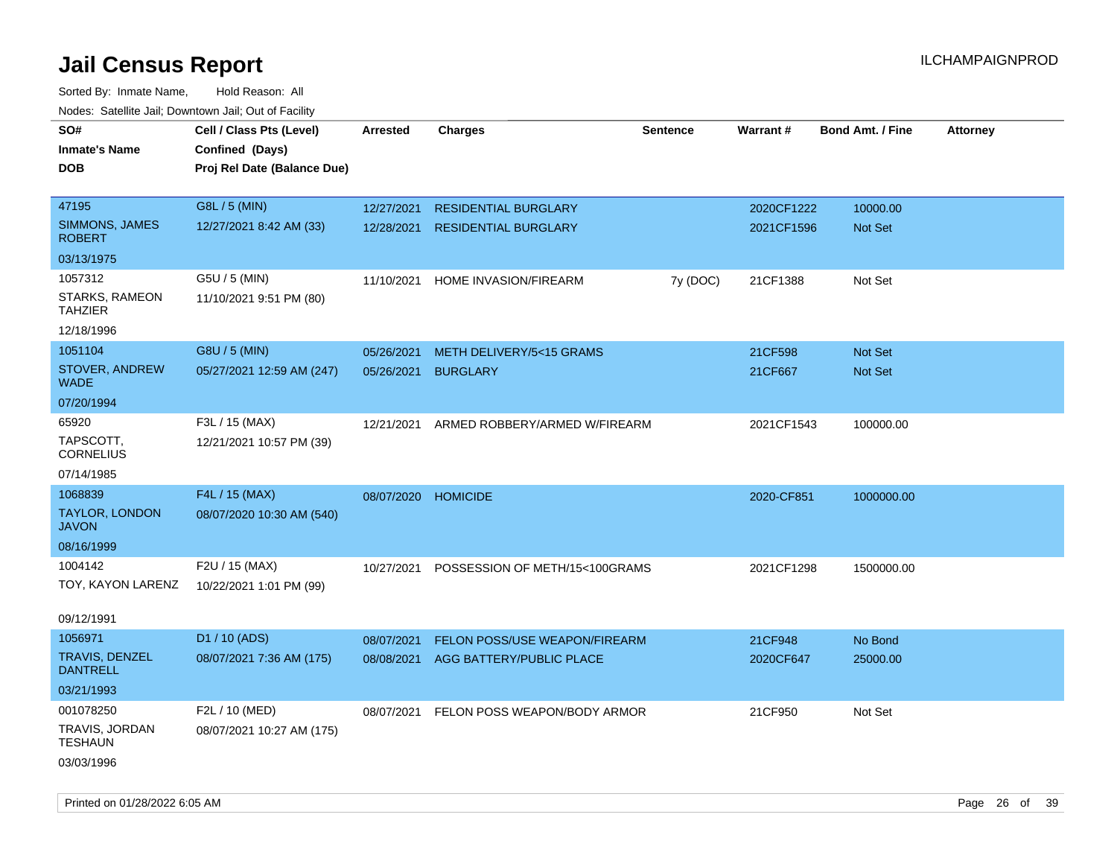| rougs. Calcing Jan, Downtown Jan, Out of Facility |                                             |                     |                                         |          |            |                         |                 |
|---------------------------------------------------|---------------------------------------------|---------------------|-----------------------------------------|----------|------------|-------------------------|-----------------|
| SO#<br><b>Inmate's Name</b>                       | Cell / Class Pts (Level)<br>Confined (Days) | <b>Arrested</b>     | <b>Charges</b>                          | Sentence | Warrant#   | <b>Bond Amt. / Fine</b> | <b>Attorney</b> |
| <b>DOB</b>                                        | Proj Rel Date (Balance Due)                 |                     |                                         |          |            |                         |                 |
| 47195                                             | G8L / 5 (MIN)                               | 12/27/2021          | <b>RESIDENTIAL BURGLARY</b>             |          | 2020CF1222 | 10000.00                |                 |
| SIMMONS, JAMES<br><b>ROBERT</b>                   | 12/27/2021 8:42 AM (33)                     | 12/28/2021          | <b>RESIDENTIAL BURGLARY</b>             |          | 2021CF1596 | Not Set                 |                 |
| 03/13/1975                                        |                                             |                     |                                         |          |            |                         |                 |
| 1057312                                           | G5U / 5 (MIN)                               | 11/10/2021          | HOME INVASION/FIREARM                   | 7y (DOC) | 21CF1388   | Not Set                 |                 |
| STARKS, RAMEON<br><b>TAHZIER</b>                  | 11/10/2021 9:51 PM (80)                     |                     |                                         |          |            |                         |                 |
| 12/18/1996                                        |                                             |                     |                                         |          |            |                         |                 |
| 1051104                                           | G8U / 5 (MIN)                               | 05/26/2021          | METH DELIVERY/5<15 GRAMS                |          | 21CF598    | Not Set                 |                 |
| <b>STOVER, ANDREW</b><br>WADE                     | 05/27/2021 12:59 AM (247)                   | 05/26/2021          | <b>BURGLARY</b>                         |          | 21CF667    | <b>Not Set</b>          |                 |
| 07/20/1994                                        |                                             |                     |                                         |          |            |                         |                 |
| 65920                                             | F3L / 15 (MAX)                              | 12/21/2021          | ARMED ROBBERY/ARMED W/FIREARM           |          | 2021CF1543 | 100000.00               |                 |
| TAPSCOTT,<br><b>CORNELIUS</b>                     | 12/21/2021 10:57 PM (39)                    |                     |                                         |          |            |                         |                 |
| 07/14/1985                                        |                                             |                     |                                         |          |            |                         |                 |
| 1068839                                           | F4L / 15 (MAX)                              | 08/07/2020 HOMICIDE |                                         |          | 2020-CF851 | 1000000.00              |                 |
| <b>TAYLOR, LONDON</b><br><b>JAVON</b>             | 08/07/2020 10:30 AM (540)                   |                     |                                         |          |            |                         |                 |
| 08/16/1999                                        |                                             |                     |                                         |          |            |                         |                 |
| 1004142                                           | F2U / 15 (MAX)                              | 10/27/2021          | POSSESSION OF METH/15<100GRAMS          |          | 2021CF1298 | 1500000.00              |                 |
| TOY, KAYON LARENZ                                 | 10/22/2021 1:01 PM (99)                     |                     |                                         |          |            |                         |                 |
| 09/12/1991                                        |                                             |                     |                                         |          |            |                         |                 |
| 1056971                                           | D1 / 10 (ADS)                               | 08/07/2021          | <b>FELON POSS/USE WEAPON/FIREARM</b>    |          | 21CF948    | No Bond                 |                 |
| <b>TRAVIS, DENZEL</b><br><b>DANTRELL</b>          | 08/07/2021 7:36 AM (175)                    | 08/08/2021          | AGG BATTERY/PUBLIC PLACE                |          | 2020CF647  | 25000.00                |                 |
| 03/21/1993                                        |                                             |                     |                                         |          |            |                         |                 |
| 001078250                                         | F2L / 10 (MED)                              |                     | 08/07/2021 FELON POSS WEAPON/BODY ARMOR |          | 21CF950    | Not Set                 |                 |
| TRAVIS, JORDAN<br><b>TESHAUN</b>                  | 08/07/2021 10:27 AM (175)                   |                     |                                         |          |            |                         |                 |
| 03/03/1996                                        |                                             |                     |                                         |          |            |                         |                 |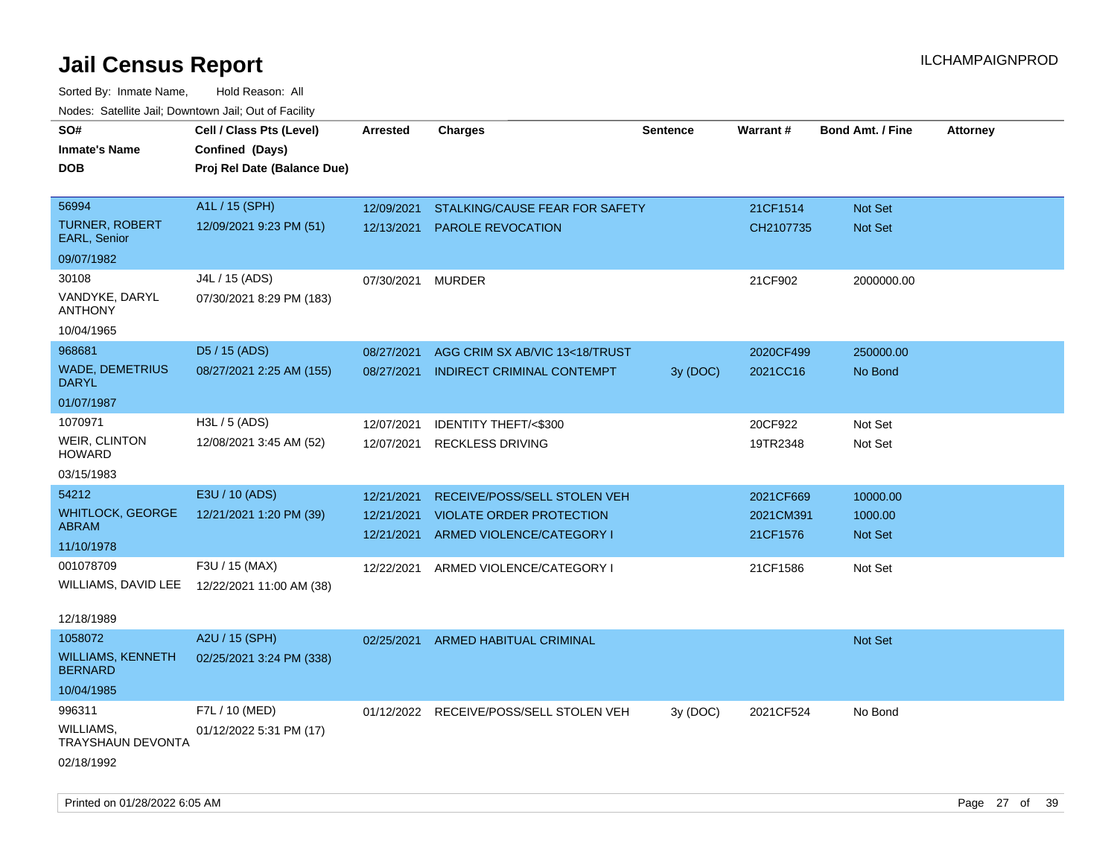| roaco. Catolino dall, Downtown dall, Out of Fability |                                                                            |                 |                                         |                 |           |                         |                 |
|------------------------------------------------------|----------------------------------------------------------------------------|-----------------|-----------------------------------------|-----------------|-----------|-------------------------|-----------------|
| SO#<br><b>Inmate's Name</b><br><b>DOB</b>            | Cell / Class Pts (Level)<br>Confined (Days)<br>Proj Rel Date (Balance Due) | <b>Arrested</b> | <b>Charges</b>                          | <b>Sentence</b> | Warrant#  | <b>Bond Amt. / Fine</b> | <b>Attorney</b> |
|                                                      |                                                                            |                 |                                         |                 |           |                         |                 |
| 56994                                                | A1L / 15 (SPH)                                                             | 12/09/2021      | STALKING/CAUSE FEAR FOR SAFETY          |                 | 21CF1514  | <b>Not Set</b>          |                 |
| <b>TURNER, ROBERT</b><br><b>EARL, Senior</b>         | 12/09/2021 9:23 PM (51)                                                    | 12/13/2021      | <b>PAROLE REVOCATION</b>                |                 | CH2107735 | <b>Not Set</b>          |                 |
| 09/07/1982                                           |                                                                            |                 |                                         |                 |           |                         |                 |
| 30108                                                | J4L / 15 (ADS)                                                             | 07/30/2021      | <b>MURDER</b>                           |                 | 21CF902   | 2000000.00              |                 |
| VANDYKE, DARYL<br><b>ANTHONY</b>                     | 07/30/2021 8:29 PM (183)                                                   |                 |                                         |                 |           |                         |                 |
| 10/04/1965                                           |                                                                            |                 |                                         |                 |           |                         |                 |
| 968681                                               | D5 / 15 (ADS)                                                              | 08/27/2021      | AGG CRIM SX AB/VIC 13<18/TRUST          |                 | 2020CF499 | 250000.00               |                 |
| <b>WADE, DEMETRIUS</b><br><b>DARYL</b>               | 08/27/2021 2:25 AM (155)                                                   | 08/27/2021      | <b>INDIRECT CRIMINAL CONTEMPT</b>       | 3y (DOC)        | 2021CC16  | No Bond                 |                 |
| 01/07/1987                                           |                                                                            |                 |                                         |                 |           |                         |                 |
| 1070971                                              | H3L / 5 (ADS)                                                              | 12/07/2021      | <b>IDENTITY THEFT/&lt;\$300</b>         |                 | 20CF922   | Not Set                 |                 |
| <b>WEIR, CLINTON</b><br><b>HOWARD</b>                | 12/08/2021 3:45 AM (52)                                                    | 12/07/2021      | <b>RECKLESS DRIVING</b>                 |                 | 19TR2348  | Not Set                 |                 |
| 03/15/1983                                           |                                                                            |                 |                                         |                 |           |                         |                 |
| 54212                                                | E3U / 10 (ADS)                                                             | 12/21/2021      | RECEIVE/POSS/SELL STOLEN VEH            |                 | 2021CF669 | 10000.00                |                 |
| <b>WHITLOCK, GEORGE</b>                              | 12/21/2021 1:20 PM (39)                                                    | 12/21/2021      | <b>VIOLATE ORDER PROTECTION</b>         |                 | 2021CM391 | 1000.00                 |                 |
| ABRAM<br>11/10/1978                                  |                                                                            | 12/21/2021      | ARMED VIOLENCE/CATEGORY I               |                 | 21CF1576  | Not Set                 |                 |
| 001078709                                            | F3U / 15 (MAX)                                                             |                 | 12/22/2021 ARMED VIOLENCE/CATEGORY I    |                 | 21CF1586  | Not Set                 |                 |
| WILLIAMS, DAVID LEE                                  | 12/22/2021 11:00 AM (38)                                                   |                 |                                         |                 |           |                         |                 |
|                                                      |                                                                            |                 |                                         |                 |           |                         |                 |
| 12/18/1989                                           |                                                                            |                 |                                         |                 |           |                         |                 |
| 1058072                                              | A2U / 15 (SPH)                                                             | 02/25/2021      | <b>ARMED HABITUAL CRIMINAL</b>          |                 |           | <b>Not Set</b>          |                 |
| <b>WILLIAMS, KENNETH</b><br><b>BERNARD</b>           | 02/25/2021 3:24 PM (338)                                                   |                 |                                         |                 |           |                         |                 |
| 10/04/1985                                           |                                                                            |                 |                                         |                 |           |                         |                 |
| 996311                                               | F7L / 10 (MED)                                                             |                 | 01/12/2022 RECEIVE/POSS/SELL STOLEN VEH | 3y (DOC)        | 2021CF524 | No Bond                 |                 |
| <b>WILLIAMS,</b><br>TRAYSHAUN DEVONTA                | 01/12/2022 5:31 PM (17)                                                    |                 |                                         |                 |           |                         |                 |
| 02/18/1992                                           |                                                                            |                 |                                         |                 |           |                         |                 |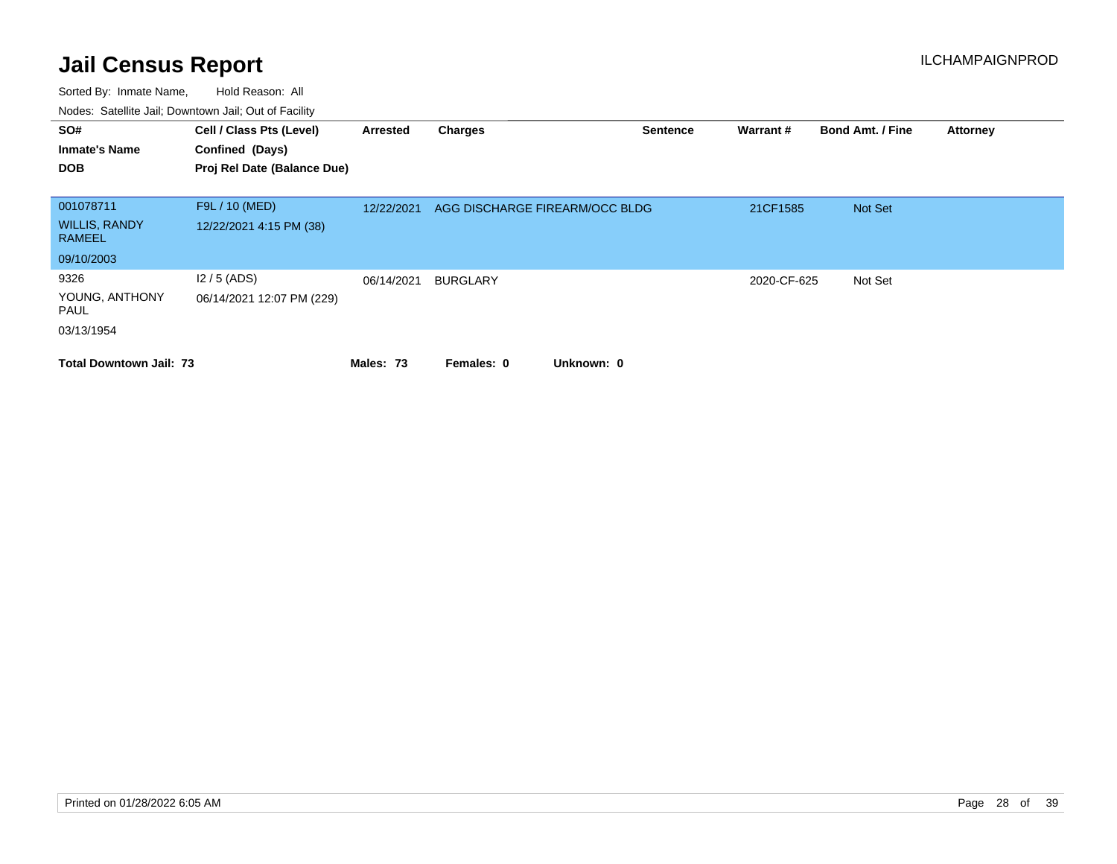| SO#<br><b>Inmate's Name</b><br><b>DOB</b> | Cell / Class Pts (Level)<br>Confined (Days)<br>Proj Rel Date (Balance Due) | Arrested   | <b>Charges</b>                 | <b>Sentence</b> | Warrant#    | <b>Bond Amt. / Fine</b> | <b>Attorney</b> |
|-------------------------------------------|----------------------------------------------------------------------------|------------|--------------------------------|-----------------|-------------|-------------------------|-----------------|
|                                           |                                                                            |            |                                |                 |             |                         |                 |
| 001078711                                 | F9L / 10 (MED)                                                             | 12/22/2021 | AGG DISCHARGE FIREARM/OCC BLDG |                 | 21CF1585    | Not Set                 |                 |
| <b>WILLIS, RANDY</b><br><b>RAMEEL</b>     | 12/22/2021 4:15 PM (38)                                                    |            |                                |                 |             |                         |                 |
| 09/10/2003                                |                                                                            |            |                                |                 |             |                         |                 |
| 9326                                      | $12/5$ (ADS)                                                               | 06/14/2021 | <b>BURGLARY</b>                |                 | 2020-CF-625 | Not Set                 |                 |
| YOUNG, ANTHONY<br>PAUL                    | 06/14/2021 12:07 PM (229)                                                  |            |                                |                 |             |                         |                 |
| 03/13/1954                                |                                                                            |            |                                |                 |             |                         |                 |
| <b>Total Downtown Jail: 73</b>            |                                                                            | Males: 73  | Unknown: 0<br>Females: 0       |                 |             |                         |                 |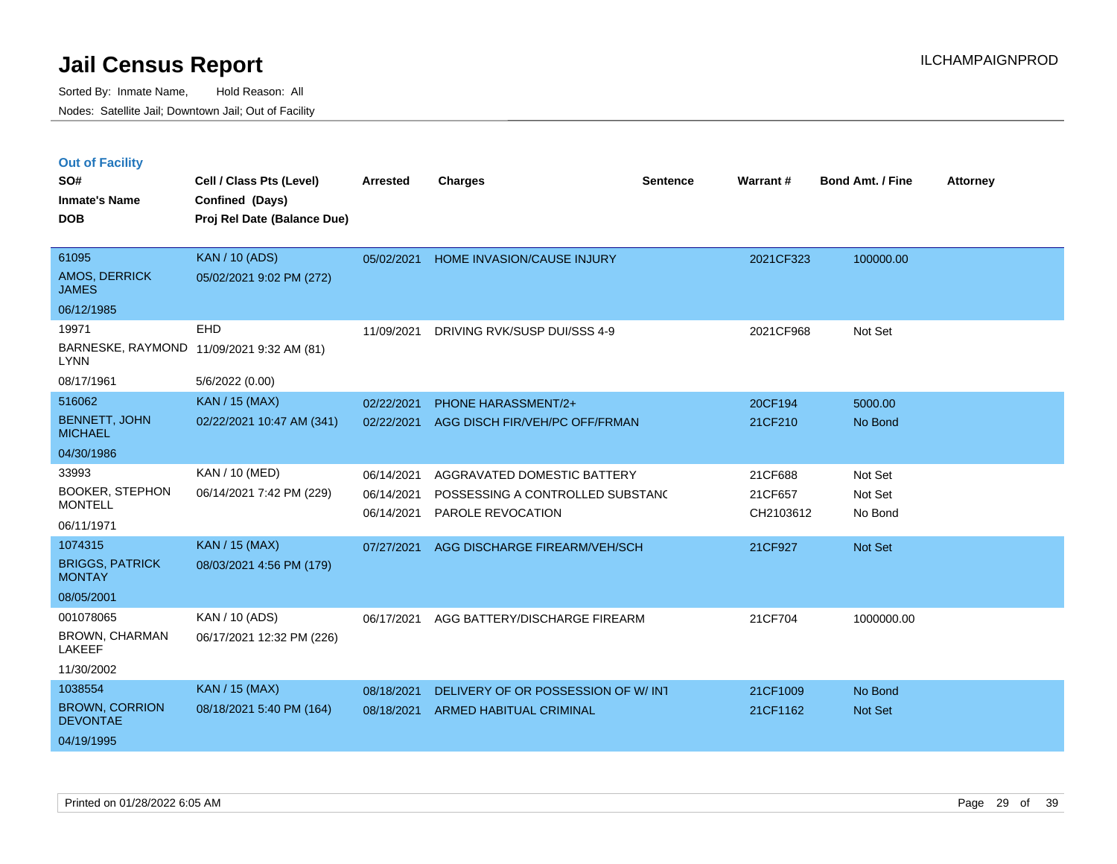|  |  | <b>Out of Facility</b> |  |
|--|--|------------------------|--|
|--|--|------------------------|--|

| SO#<br><b>Inmate's Name</b><br><b>DOB</b>                                  | Cell / Class Pts (Level)<br>Confined (Days)<br>Proj Rel Date (Balance Due) | <b>Arrested</b>                                      | <b>Charges</b>                                                                                                        | <b>Sentence</b> | Warrant#                                   | <b>Bond Amt. / Fine</b>                  | Attorney |
|----------------------------------------------------------------------------|----------------------------------------------------------------------------|------------------------------------------------------|-----------------------------------------------------------------------------------------------------------------------|-----------------|--------------------------------------------|------------------------------------------|----------|
| 61095<br><b>AMOS, DERRICK</b><br><b>JAMES</b>                              | <b>KAN / 10 (ADS)</b><br>05/02/2021 9:02 PM (272)                          | 05/02/2021                                           | HOME INVASION/CAUSE INJURY                                                                                            |                 | 2021CF323                                  | 100000.00                                |          |
| 06/12/1985<br>19971<br><b>LYNN</b><br>08/17/1961                           | <b>EHD</b><br>BARNESKE, RAYMOND 11/09/2021 9:32 AM (81)<br>5/6/2022 (0.00) | 11/09/2021                                           | DRIVING RVK/SUSP DUI/SSS 4-9                                                                                          |                 | 2021CF968                                  | Not Set                                  |          |
| 516062<br><b>BENNETT, JOHN</b><br><b>MICHAEL</b><br>04/30/1986             | <b>KAN / 15 (MAX)</b><br>02/22/2021 10:47 AM (341)                         | 02/22/2021<br>02/22/2021                             | <b>PHONE HARASSMENT/2+</b><br>AGG DISCH FIR/VEH/PC OFF/FRMAN                                                          |                 | 20CF194<br>21CF210                         | 5000.00<br>No Bond                       |          |
| 33993<br><b>BOOKER, STEPHON</b><br><b>MONTELL</b><br>06/11/1971<br>1074315 | KAN / 10 (MED)<br>06/14/2021 7:42 PM (229)<br><b>KAN</b> / 15 (MAX)        | 06/14/2021<br>06/14/2021<br>06/14/2021<br>07/27/2021 | AGGRAVATED DOMESTIC BATTERY<br>POSSESSING A CONTROLLED SUBSTANC<br>PAROLE REVOCATION<br>AGG DISCHARGE FIREARM/VEH/SCH |                 | 21CF688<br>21CF657<br>CH2103612<br>21CF927 | Not Set<br>Not Set<br>No Bond<br>Not Set |          |
| <b>BRIGGS, PATRICK</b><br><b>MONTAY</b><br>08/05/2001                      | 08/03/2021 4:56 PM (179)                                                   |                                                      |                                                                                                                       |                 |                                            |                                          |          |
| 001078065<br><b>BROWN, CHARMAN</b><br>LAKEEF<br>11/30/2002                 | KAN / 10 (ADS)<br>06/17/2021 12:32 PM (226)                                | 06/17/2021                                           | AGG BATTERY/DISCHARGE FIREARM                                                                                         |                 | 21CF704                                    | 1000000.00                               |          |
| 1038554<br><b>BROWN, CORRION</b><br><b>DEVONTAE</b><br>04/19/1995          | <b>KAN / 15 (MAX)</b><br>08/18/2021 5:40 PM (164)                          | 08/18/2021<br>08/18/2021                             | DELIVERY OF OR POSSESSION OF W/INT<br><b>ARMED HABITUAL CRIMINAL</b>                                                  |                 | 21CF1009<br>21CF1162                       | No Bond<br>Not Set                       |          |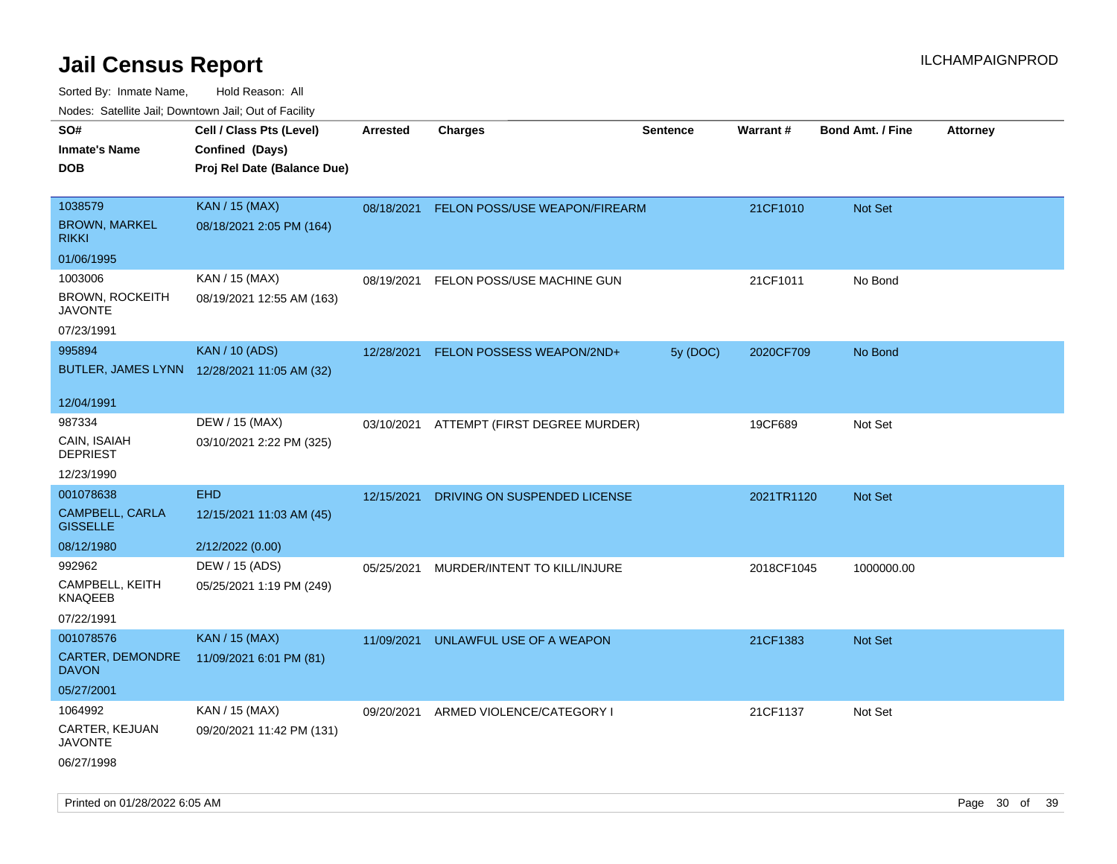| ivouss. Satellite Jali, Downtown Jali, Out of Facility |                                             |            |                                          |                 |            |                         |                 |
|--------------------------------------------------------|---------------------------------------------|------------|------------------------------------------|-----------------|------------|-------------------------|-----------------|
| SO#                                                    | Cell / Class Pts (Level)                    | Arrested   | <b>Charges</b>                           | <b>Sentence</b> | Warrant#   | <b>Bond Amt. / Fine</b> | <b>Attorney</b> |
| Inmate's Name                                          | Confined (Days)                             |            |                                          |                 |            |                         |                 |
| DOB                                                    | Proj Rel Date (Balance Due)                 |            |                                          |                 |            |                         |                 |
|                                                        |                                             |            |                                          |                 |            |                         |                 |
| 1038579                                                | <b>KAN / 15 (MAX)</b>                       | 08/18/2021 | FELON POSS/USE WEAPON/FIREARM            |                 | 21CF1010   | Not Set                 |                 |
| <b>BROWN, MARKEL</b><br>rikki                          | 08/18/2021 2:05 PM (164)                    |            |                                          |                 |            |                         |                 |
| 01/06/1995                                             |                                             |            |                                          |                 |            |                         |                 |
| 1003006                                                | KAN / 15 (MAX)                              | 08/19/2021 | FELON POSS/USE MACHINE GUN               |                 | 21CF1011   | No Bond                 |                 |
| BROWN, ROCKEITH<br>JAVONTE                             | 08/19/2021 12:55 AM (163)                   |            |                                          |                 |            |                         |                 |
| 07/23/1991                                             |                                             |            |                                          |                 |            |                         |                 |
| 995894                                                 | <b>KAN / 10 (ADS)</b>                       | 12/28/2021 | FELON POSSESS WEAPON/2ND+                | 5y (DOC)        | 2020CF709  | No Bond                 |                 |
|                                                        | BUTLER, JAMES LYNN 12/28/2021 11:05 AM (32) |            |                                          |                 |            |                         |                 |
|                                                        |                                             |            |                                          |                 |            |                         |                 |
| 12/04/1991                                             |                                             |            |                                          |                 |            |                         |                 |
| 987334                                                 | DEW / 15 (MAX)                              |            | 03/10/2021 ATTEMPT (FIRST DEGREE MURDER) |                 | 19CF689    | Not Set                 |                 |
| CAIN, ISAIAH<br><b>DEPRIEST</b>                        | 03/10/2021 2:22 PM (325)                    |            |                                          |                 |            |                         |                 |
| 12/23/1990                                             |                                             |            |                                          |                 |            |                         |                 |
| 001078638                                              | <b>EHD</b>                                  | 12/15/2021 | DRIVING ON SUSPENDED LICENSE             |                 | 2021TR1120 | <b>Not Set</b>          |                 |
| CAMPBELL, CARLA<br><b>GISSELLE</b>                     | 12/15/2021 11:03 AM (45)                    |            |                                          |                 |            |                         |                 |
| 08/12/1980                                             | 2/12/2022 (0.00)                            |            |                                          |                 |            |                         |                 |
| 992962                                                 | DEW / 15 (ADS)                              | 05/25/2021 | MURDER/INTENT TO KILL/INJURE             |                 | 2018CF1045 | 1000000.00              |                 |
| CAMPBELL, KEITH<br>KNAQEEB                             | 05/25/2021 1:19 PM (249)                    |            |                                          |                 |            |                         |                 |
| 07/22/1991                                             |                                             |            |                                          |                 |            |                         |                 |
| 001078576                                              | <b>KAN / 15 (MAX)</b>                       | 11/09/2021 | UNLAWFUL USE OF A WEAPON                 |                 | 21CF1383   | <b>Not Set</b>          |                 |
| <b>CARTER, DEMONDRE</b><br>DAVON                       | 11/09/2021 6:01 PM (81)                     |            |                                          |                 |            |                         |                 |
| 05/27/2001                                             |                                             |            |                                          |                 |            |                         |                 |
| 1064992                                                | KAN / 15 (MAX)                              | 09/20/2021 | ARMED VIOLENCE/CATEGORY I                |                 | 21CF1137   | Not Set                 |                 |
| CARTER, KEJUAN<br>JAVONTE                              | 09/20/2021 11:42 PM (131)                   |            |                                          |                 |            |                         |                 |
| 06/27/1998                                             |                                             |            |                                          |                 |            |                         |                 |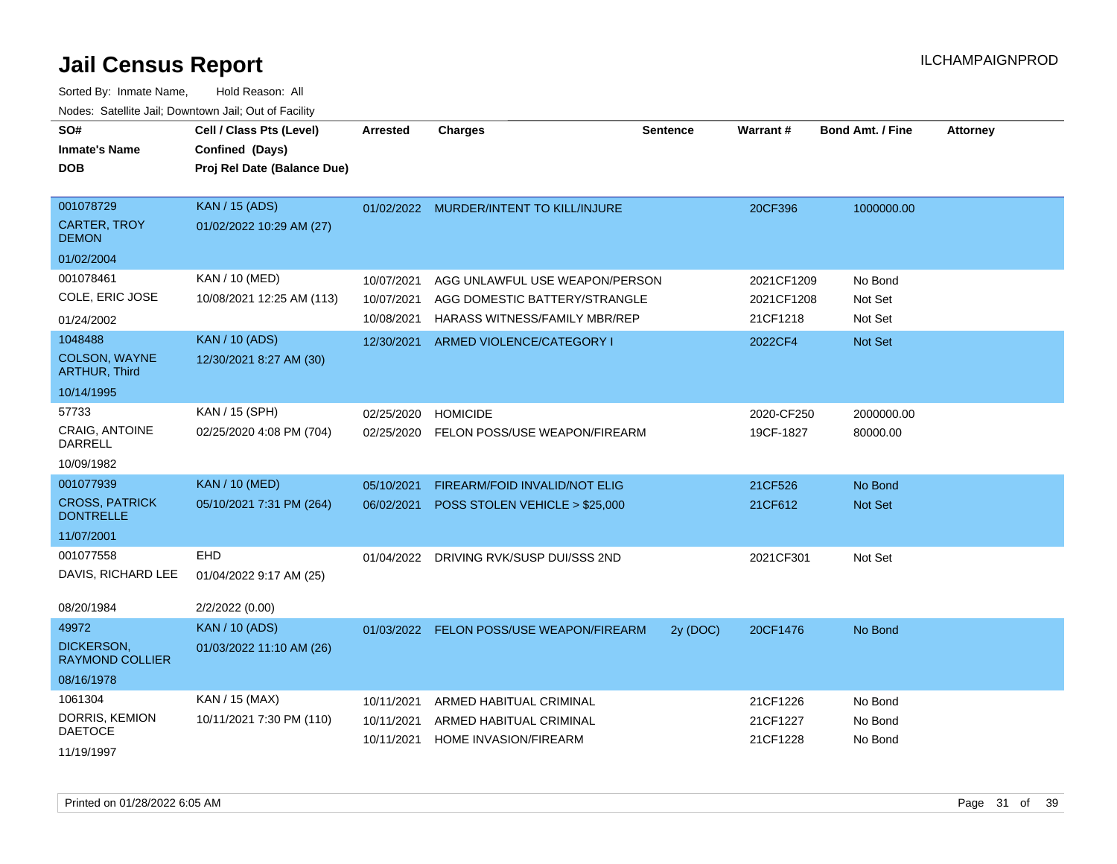| SO#<br><b>Inmate's Name</b><br><b>DOB</b> | Cell / Class Pts (Level)<br>Confined (Days)<br>Proj Rel Date (Balance Due) | <b>Arrested</b> | <b>Charges</b>                           | <b>Sentence</b> | Warrant #  | <b>Bond Amt. / Fine</b> | <b>Attorney</b> |
|-------------------------------------------|----------------------------------------------------------------------------|-----------------|------------------------------------------|-----------------|------------|-------------------------|-----------------|
| 001078729                                 | <b>KAN / 15 (ADS)</b>                                                      |                 | 01/02/2022 MURDER/INTENT TO KILL/INJURE  |                 | 20CF396    | 1000000.00              |                 |
| <b>CARTER, TROY</b><br><b>DEMON</b>       | 01/02/2022 10:29 AM (27)                                                   |                 |                                          |                 |            |                         |                 |
| 01/02/2004                                |                                                                            |                 |                                          |                 |            |                         |                 |
| 001078461                                 | KAN / 10 (MED)                                                             | 10/07/2021      | AGG UNLAWFUL USE WEAPON/PERSON           |                 | 2021CF1209 | No Bond                 |                 |
| COLE, ERIC JOSE                           | 10/08/2021 12:25 AM (113)                                                  | 10/07/2021      | AGG DOMESTIC BATTERY/STRANGLE            |                 | 2021CF1208 | Not Set                 |                 |
| 01/24/2002                                |                                                                            | 10/08/2021      | HARASS WITNESS/FAMILY MBR/REP            |                 | 21CF1218   | Not Set                 |                 |
| 1048488                                   | <b>KAN / 10 (ADS)</b>                                                      | 12/30/2021      | ARMED VIOLENCE/CATEGORY I                |                 | 2022CF4    | Not Set                 |                 |
| COLSON, WAYNE<br><b>ARTHUR, Third</b>     | 12/30/2021 8:27 AM (30)                                                    |                 |                                          |                 |            |                         |                 |
| 10/14/1995                                |                                                                            |                 |                                          |                 |            |                         |                 |
| 57733                                     | KAN / 15 (SPH)                                                             | 02/25/2020      | <b>HOMICIDE</b>                          |                 | 2020-CF250 | 2000000.00              |                 |
| <b>CRAIG, ANTOINE</b><br><b>DARRELL</b>   | 02/25/2020 4:08 PM (704)                                                   | 02/25/2020      | FELON POSS/USE WEAPON/FIREARM            |                 | 19CF-1827  | 80000.00                |                 |
| 10/09/1982                                |                                                                            |                 |                                          |                 |            |                         |                 |
| 001077939                                 | <b>KAN / 10 (MED)</b>                                                      | 05/10/2021      | FIREARM/FOID INVALID/NOT ELIG            |                 | 21CF526    | No Bond                 |                 |
| <b>CROSS, PATRICK</b><br><b>DONTRELLE</b> | 05/10/2021 7:31 PM (264)                                                   | 06/02/2021      | POSS STOLEN VEHICLE > \$25,000           |                 | 21CF612    | Not Set                 |                 |
| 11/07/2001                                |                                                                            |                 |                                          |                 |            |                         |                 |
| 001077558                                 | <b>EHD</b>                                                                 | 01/04/2022      | DRIVING RVK/SUSP DUI/SSS 2ND             |                 | 2021CF301  | Not Set                 |                 |
| DAVIS, RICHARD LEE                        | 01/04/2022 9:17 AM (25)                                                    |                 |                                          |                 |            |                         |                 |
| 08/20/1984                                | 2/2/2022 (0.00)                                                            |                 |                                          |                 |            |                         |                 |
| 49972                                     | <b>KAN / 10 (ADS)</b>                                                      |                 | 01/03/2022 FELON POSS/USE WEAPON/FIREARM | 2y (DOC)        | 20CF1476   | No Bond                 |                 |
| DICKERSON,<br><b>RAYMOND COLLIER</b>      | 01/03/2022 11:10 AM (26)                                                   |                 |                                          |                 |            |                         |                 |
| 08/16/1978                                |                                                                            |                 |                                          |                 |            |                         |                 |
| 1061304                                   | KAN / 15 (MAX)                                                             | 10/11/2021      | ARMED HABITUAL CRIMINAL                  |                 | 21CF1226   | No Bond                 |                 |
| DORRIS, KEMION<br><b>DAETOCE</b>          | 10/11/2021 7:30 PM (110)                                                   | 10/11/2021      | ARMED HABITUAL CRIMINAL                  |                 | 21CF1227   | No Bond                 |                 |
| 11/19/1997                                |                                                                            | 10/11/2021      | <b>HOME INVASION/FIREARM</b>             |                 | 21CF1228   | No Bond                 |                 |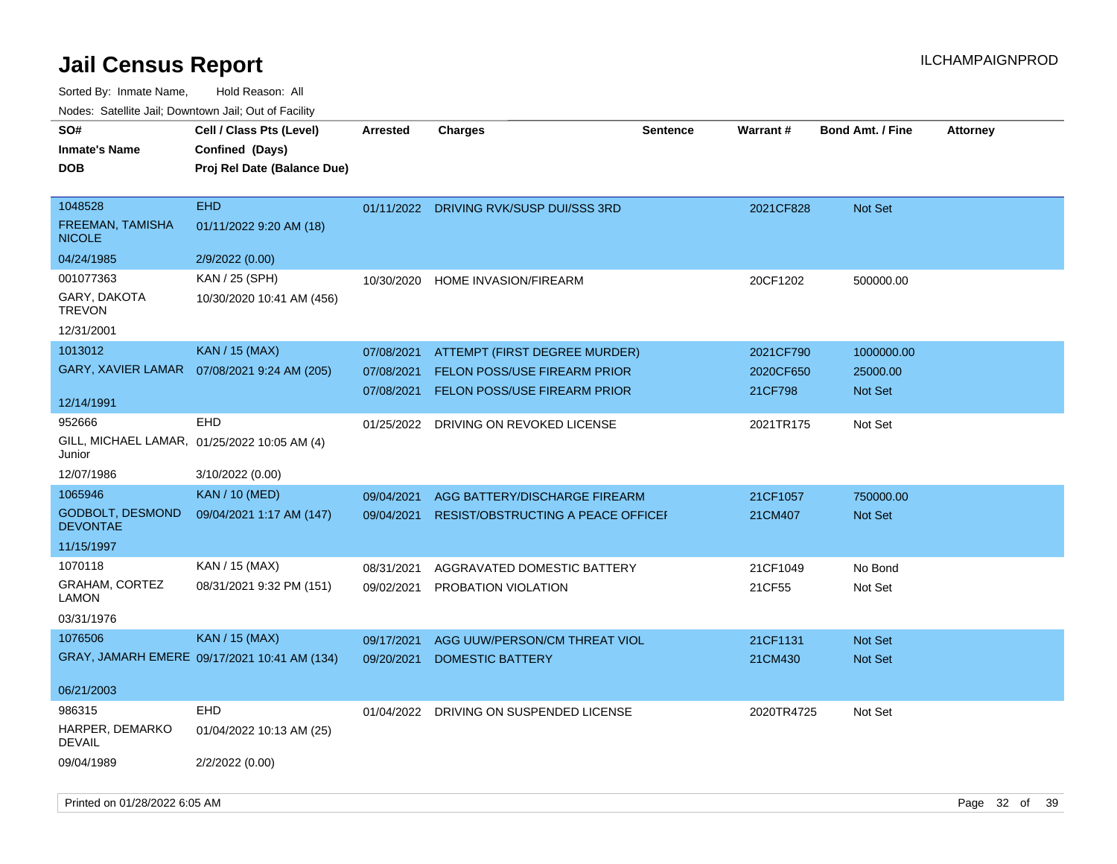| SO#<br><b>Inmate's Name</b><br><b>DOB</b>    | Cell / Class Pts (Level)<br>Confined (Days)<br>Proj Rel Date (Balance Due) | <b>Arrested</b> | <b>Charges</b>                            | Sentence | <b>Warrant#</b> | <b>Bond Amt. / Fine</b> | <b>Attorney</b> |
|----------------------------------------------|----------------------------------------------------------------------------|-----------------|-------------------------------------------|----------|-----------------|-------------------------|-----------------|
| 1048528<br>FREEMAN, TAMISHA<br><b>NICOLE</b> | <b>EHD</b><br>01/11/2022 9:20 AM (18)                                      |                 | 01/11/2022 DRIVING RVK/SUSP DUI/SSS 3RD   |          | 2021CF828       | Not Set                 |                 |
| 04/24/1985                                   | 2/9/2022 (0.00)                                                            |                 |                                           |          |                 |                         |                 |
| 001077363                                    | KAN / 25 (SPH)                                                             | 10/30/2020      | HOME INVASION/FIREARM                     |          | 20CF1202        | 500000.00               |                 |
| GARY, DAKOTA<br><b>TREVON</b>                | 10/30/2020 10:41 AM (456)                                                  |                 |                                           |          |                 |                         |                 |
| 12/31/2001                                   |                                                                            |                 |                                           |          |                 |                         |                 |
| 1013012                                      | <b>KAN / 15 (MAX)</b>                                                      | 07/08/2021      | ATTEMPT (FIRST DEGREE MURDER)             |          | 2021CF790       | 1000000.00              |                 |
| GARY, XAVIER LAMAR                           | 07/08/2021 9:24 AM (205)                                                   | 07/08/2021      | <b>FELON POSS/USE FIREARM PRIOR</b>       |          | 2020CF650       | 25000.00                |                 |
|                                              |                                                                            | 07/08/2021      | <b>FELON POSS/USE FIREARM PRIOR</b>       |          | 21CF798         | Not Set                 |                 |
| 12/14/1991                                   |                                                                            |                 |                                           |          |                 |                         |                 |
| 952666<br>Junior                             | <b>EHD</b><br>GILL, MICHAEL LAMAR, 01/25/2022 10:05 AM (4)                 | 01/25/2022      | DRIVING ON REVOKED LICENSE                |          | 2021TR175       | Not Set                 |                 |
| 12/07/1986                                   | 3/10/2022 (0.00)                                                           |                 |                                           |          |                 |                         |                 |
| 1065946                                      | <b>KAN / 10 (MED)</b>                                                      | 09/04/2021      | AGG BATTERY/DISCHARGE FIREARM             |          | 21CF1057        | 750000.00               |                 |
| <b>GODBOLT, DESMOND</b><br><b>DEVONTAE</b>   | 09/04/2021 1:17 AM (147)                                                   | 09/04/2021      | <b>RESIST/OBSTRUCTING A PEACE OFFICEF</b> |          | 21CM407         | Not Set                 |                 |
| 11/15/1997                                   |                                                                            |                 |                                           |          |                 |                         |                 |
| 1070118                                      | KAN / 15 (MAX)                                                             | 08/31/2021      | AGGRAVATED DOMESTIC BATTERY               |          | 21CF1049        | No Bond                 |                 |
| GRAHAM, CORTEZ<br><b>LAMON</b>               | 08/31/2021 9:32 PM (151)                                                   | 09/02/2021      | PROBATION VIOLATION                       |          | 21CF55          | Not Set                 |                 |
| 03/31/1976                                   |                                                                            |                 |                                           |          |                 |                         |                 |
| 1076506                                      | <b>KAN / 15 (MAX)</b>                                                      | 09/17/2021      | AGG UUW/PERSON/CM THREAT VIOL             |          | 21CF1131        | <b>Not Set</b>          |                 |
|                                              | GRAY, JAMARH EMERE 09/17/2021 10:41 AM (134)                               | 09/20/2021      | <b>DOMESTIC BATTERY</b>                   |          | 21CM430         | <b>Not Set</b>          |                 |
| 06/21/2003                                   |                                                                            |                 |                                           |          |                 |                         |                 |
| 986315                                       | EHD                                                                        |                 | 01/04/2022 DRIVING ON SUSPENDED LICENSE   |          | 2020TR4725      | Not Set                 |                 |
| HARPER, DEMARKO<br><b>DEVAIL</b>             | 01/04/2022 10:13 AM (25)                                                   |                 |                                           |          |                 |                         |                 |
| 09/04/1989                                   | 2/2/2022 (0.00)                                                            |                 |                                           |          |                 |                         |                 |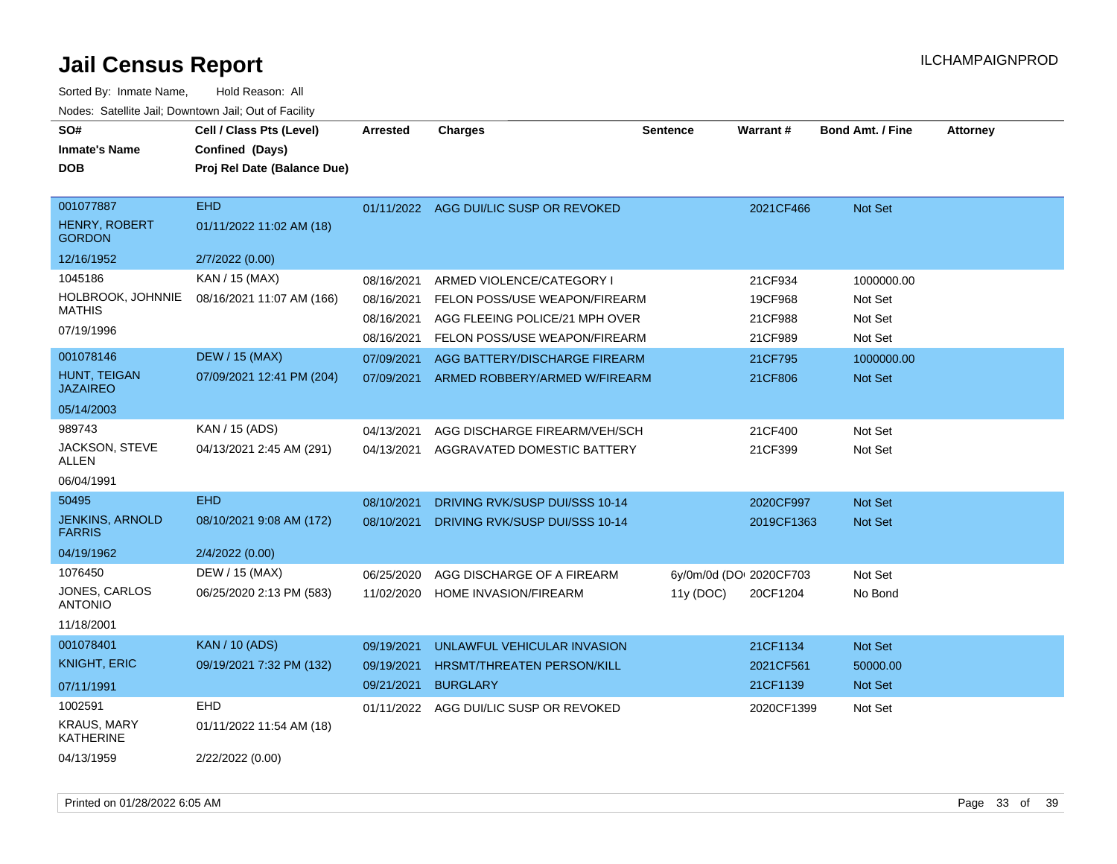| SO#<br><b>Inmate's Name</b><br><b>DOB</b>   | Cell / Class Pts (Level)<br>Confined (Days)<br>Proj Rel Date (Balance Due) | Arrested   | <b>Charges</b>                 | <b>Sentence</b>         | Warrant #  | <b>Bond Amt. / Fine</b> | <b>Attorney</b> |
|---------------------------------------------|----------------------------------------------------------------------------|------------|--------------------------------|-------------------------|------------|-------------------------|-----------------|
| 001077887<br>HENRY, ROBERT<br><b>GORDON</b> | <b>EHD</b><br>01/11/2022 11:02 AM (18)                                     | 01/11/2022 | AGG DUI/LIC SUSP OR REVOKED    |                         | 2021CF466  | Not Set                 |                 |
| 12/16/1952                                  | 2/7/2022 (0.00)                                                            |            |                                |                         |            |                         |                 |
| 1045186                                     | KAN / 15 (MAX)                                                             | 08/16/2021 | ARMED VIOLENCE/CATEGORY I      |                         | 21CF934    | 1000000.00              |                 |
| HOLBROOK, JOHNNIE<br><b>MATHIS</b>          | 08/16/2021 11:07 AM (166)                                                  | 08/16/2021 | FELON POSS/USE WEAPON/FIREARM  |                         | 19CF968    | Not Set                 |                 |
| 07/19/1996                                  |                                                                            | 08/16/2021 | AGG FLEEING POLICE/21 MPH OVER |                         | 21CF988    | Not Set                 |                 |
|                                             |                                                                            | 08/16/2021 | FELON POSS/USE WEAPON/FIREARM  |                         | 21CF989    | Not Set                 |                 |
| 001078146                                   | <b>DEW / 15 (MAX)</b>                                                      | 07/09/2021 | AGG BATTERY/DISCHARGE FIREARM  |                         | 21CF795    | 1000000.00              |                 |
| HUNT, TEIGAN<br><b>JAZAIREO</b>             | 07/09/2021 12:41 PM (204)                                                  | 07/09/2021 | ARMED ROBBERY/ARMED W/FIREARM  |                         | 21CF806    | <b>Not Set</b>          |                 |
| 05/14/2003                                  |                                                                            |            |                                |                         |            |                         |                 |
| 989743                                      | KAN / 15 (ADS)                                                             | 04/13/2021 | AGG DISCHARGE FIREARM/VEH/SCH  |                         | 21CF400    | Not Set                 |                 |
| JACKSON, STEVE<br>ALLEN                     | 04/13/2021 2:45 AM (291)                                                   | 04/13/2021 | AGGRAVATED DOMESTIC BATTERY    |                         | 21CF399    | Not Set                 |                 |
| 06/04/1991                                  |                                                                            |            |                                |                         |            |                         |                 |
| 50495                                       | <b>EHD</b>                                                                 | 08/10/2021 | DRIVING RVK/SUSP DUI/SSS 10-14 |                         | 2020CF997  | <b>Not Set</b>          |                 |
| <b>JENKINS, ARNOLD</b><br><b>FARRIS</b>     | 08/10/2021 9:08 AM (172)                                                   | 08/10/2021 | DRIVING RVK/SUSP DUI/SSS 10-14 |                         | 2019CF1363 | <b>Not Set</b>          |                 |
| 04/19/1962                                  | 2/4/2022 (0.00)                                                            |            |                                |                         |            |                         |                 |
| 1076450                                     | DEW / 15 (MAX)                                                             | 06/25/2020 | AGG DISCHARGE OF A FIREARM     | 6y/0m/0d (DOI 2020CF703 |            | Not Set                 |                 |
| <b>JONES, CARLOS</b><br><b>ANTONIO</b>      | 06/25/2020 2:13 PM (583)                                                   | 11/02/2020 | HOME INVASION/FIREARM          | 11y(DOC)                | 20CF1204   | No Bond                 |                 |
| 11/18/2001                                  |                                                                            |            |                                |                         |            |                         |                 |
| 001078401                                   | <b>KAN / 10 (ADS)</b>                                                      | 09/19/2021 | UNLAWFUL VEHICULAR INVASION    |                         | 21CF1134   | Not Set                 |                 |
| <b>KNIGHT, ERIC</b>                         | 09/19/2021 7:32 PM (132)                                                   | 09/19/2021 | HRSMT/THREATEN PERSON/KILL     |                         | 2021CF561  | 50000.00                |                 |
| 07/11/1991                                  |                                                                            | 09/21/2021 | <b>BURGLARY</b>                |                         | 21CF1139   | Not Set                 |                 |
| 1002591                                     | <b>EHD</b>                                                                 | 01/11/2022 | AGG DUI/LIC SUSP OR REVOKED    |                         | 2020CF1399 | Not Set                 |                 |
| <b>KRAUS, MARY</b><br>KATHERINE             | 01/11/2022 11:54 AM (18)                                                   |            |                                |                         |            |                         |                 |
| 04/13/1959                                  | 2/22/2022 (0.00)                                                           |            |                                |                         |            |                         |                 |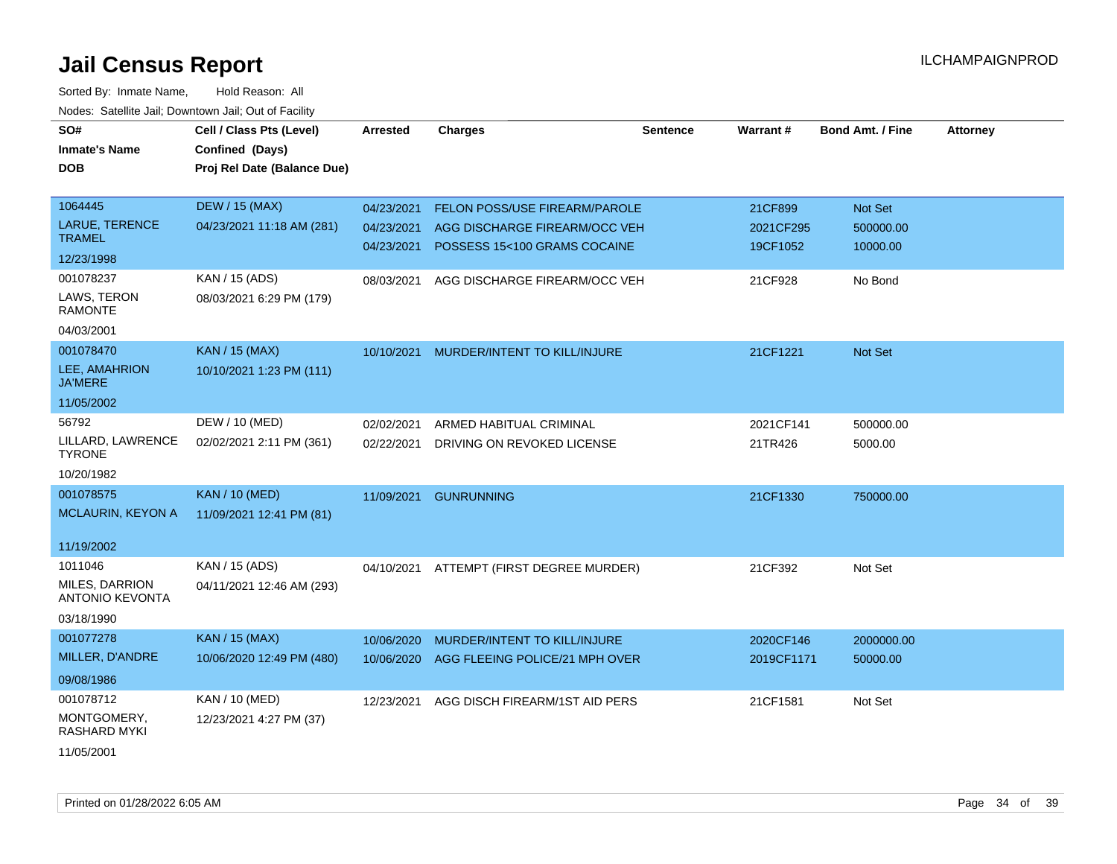| SO#<br><b>Inmate's Name</b><br><b>DOB</b> | Cell / Class Pts (Level)<br>Confined (Days)<br>Proj Rel Date (Balance Due) | Arrested                 | <b>Charges</b>                                                        | <b>Sentence</b> | Warrant#             | <b>Bond Amt. / Fine</b> | <b>Attorney</b> |
|-------------------------------------------|----------------------------------------------------------------------------|--------------------------|-----------------------------------------------------------------------|-----------------|----------------------|-------------------------|-----------------|
| 1064445<br><b>LARUE, TERENCE</b>          | <b>DEW / 15 (MAX)</b><br>04/23/2021 11:18 AM (281)                         | 04/23/2021<br>04/23/2021 | <b>FELON POSS/USE FIREARM/PAROLE</b><br>AGG DISCHARGE FIREARM/OCC VEH |                 | 21CF899<br>2021CF295 | Not Set<br>500000.00    |                 |
| <b>TRAMEL</b>                             |                                                                            | 04/23/2021               | POSSESS 15<100 GRAMS COCAINE                                          |                 | 19CF1052             | 10000.00                |                 |
| 12/23/1998                                |                                                                            |                          |                                                                       |                 |                      |                         |                 |
| 001078237                                 | KAN / 15 (ADS)                                                             | 08/03/2021               | AGG DISCHARGE FIREARM/OCC VEH                                         |                 | 21CF928              | No Bond                 |                 |
| LAWS, TERON<br><b>RAMONTE</b>             | 08/03/2021 6:29 PM (179)                                                   |                          |                                                                       |                 |                      |                         |                 |
| 04/03/2001                                |                                                                            |                          |                                                                       |                 |                      |                         |                 |
| 001078470                                 | <b>KAN / 15 (MAX)</b>                                                      | 10/10/2021               | MURDER/INTENT TO KILL/INJURE                                          |                 | 21CF1221             | Not Set                 |                 |
| LEE, AMAHRION<br><b>JA'MERE</b>           | 10/10/2021 1:23 PM (111)                                                   |                          |                                                                       |                 |                      |                         |                 |
| 11/05/2002                                |                                                                            |                          |                                                                       |                 |                      |                         |                 |
| 56792                                     | DEW / 10 (MED)                                                             | 02/02/2021               | ARMED HABITUAL CRIMINAL                                               |                 | 2021CF141            | 500000.00               |                 |
| LILLARD, LAWRENCE<br><b>TYRONE</b>        | 02/02/2021 2:11 PM (361)                                                   | 02/22/2021               | DRIVING ON REVOKED LICENSE                                            |                 | 21TR426              | 5000.00                 |                 |
| 10/20/1982                                |                                                                            |                          |                                                                       |                 |                      |                         |                 |
| 001078575                                 | <b>KAN / 10 (MED)</b>                                                      | 11/09/2021               | <b>GUNRUNNING</b>                                                     |                 | 21CF1330             | 750000.00               |                 |
| <b>MCLAURIN, KEYON A</b>                  | 11/09/2021 12:41 PM (81)                                                   |                          |                                                                       |                 |                      |                         |                 |
| 11/19/2002                                |                                                                            |                          |                                                                       |                 |                      |                         |                 |
| 1011046                                   | KAN / 15 (ADS)                                                             | 04/10/2021               | ATTEMPT (FIRST DEGREE MURDER)                                         |                 | 21CF392              | Not Set                 |                 |
| MILES, DARRION<br><b>ANTONIO KEVONTA</b>  | 04/11/2021 12:46 AM (293)                                                  |                          |                                                                       |                 |                      |                         |                 |
| 03/18/1990                                |                                                                            |                          |                                                                       |                 |                      |                         |                 |
| 001077278                                 | <b>KAN / 15 (MAX)</b>                                                      | 10/06/2020               | MURDER/INTENT TO KILL/INJURE                                          |                 | 2020CF146            | 2000000.00              |                 |
| MILLER, D'ANDRE                           | 10/06/2020 12:49 PM (480)                                                  | 10/06/2020               | AGG FLEEING POLICE/21 MPH OVER                                        |                 | 2019CF1171           | 50000.00                |                 |
| 09/08/1986                                |                                                                            |                          |                                                                       |                 |                      |                         |                 |
| 001078712                                 | KAN / 10 (MED)                                                             | 12/23/2021               | AGG DISCH FIREARM/1ST AID PERS                                        |                 | 21CF1581             | Not Set                 |                 |
| MONTGOMERY,<br>RASHARD MYKI               | 12/23/2021 4:27 PM (37)                                                    |                          |                                                                       |                 |                      |                         |                 |
| 11/05/2001                                |                                                                            |                          |                                                                       |                 |                      |                         |                 |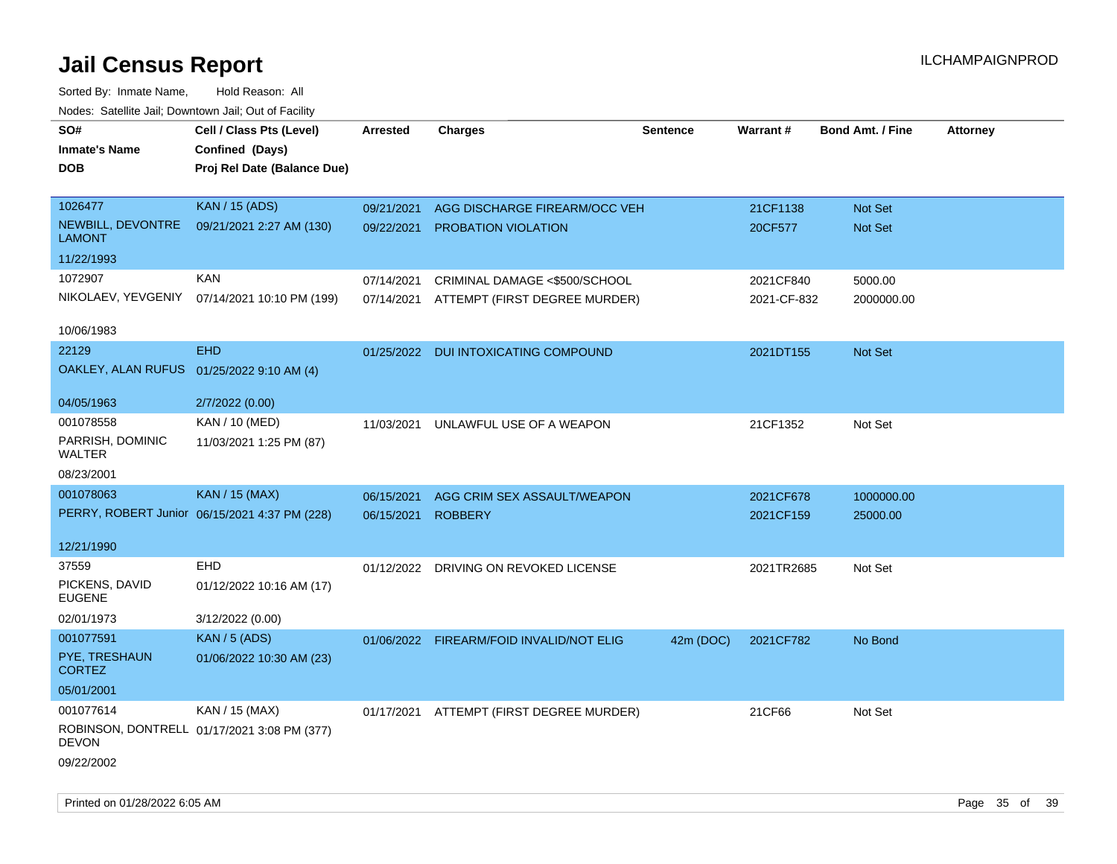| roaco. Catolino dall, Downtown dall, Out of Fability |                                               |                 |                                          |                 |             |                         |                 |
|------------------------------------------------------|-----------------------------------------------|-----------------|------------------------------------------|-----------------|-------------|-------------------------|-----------------|
| SO#                                                  | Cell / Class Pts (Level)                      | <b>Arrested</b> | <b>Charges</b>                           | <b>Sentence</b> | Warrant#    | <b>Bond Amt. / Fine</b> | <b>Attorney</b> |
| <b>Inmate's Name</b>                                 | Confined (Days)                               |                 |                                          |                 |             |                         |                 |
| DOB                                                  | Proj Rel Date (Balance Due)                   |                 |                                          |                 |             |                         |                 |
|                                                      |                                               |                 |                                          |                 |             |                         |                 |
| 1026477                                              | <b>KAN / 15 (ADS)</b>                         | 09/21/2021      | AGG DISCHARGE FIREARM/OCC VEH            |                 | 21CF1138    | Not Set                 |                 |
| NEWBILL, DEVONTRE<br><b>LAMONT</b>                   | 09/21/2021 2:27 AM (130)                      |                 | 09/22/2021 PROBATION VIOLATION           |                 | 20CF577     | Not Set                 |                 |
| 11/22/1993                                           |                                               |                 |                                          |                 |             |                         |                 |
| 1072907                                              | <b>KAN</b>                                    | 07/14/2021      | CRIMINAL DAMAGE <\$500/SCHOOL            |                 | 2021CF840   | 5000.00                 |                 |
| NIKOLAEV, YEVGENIY                                   | 07/14/2021 10:10 PM (199)                     |                 | 07/14/2021 ATTEMPT (FIRST DEGREE MURDER) |                 | 2021-CF-832 | 2000000.00              |                 |
|                                                      |                                               |                 |                                          |                 |             |                         |                 |
| 10/06/1983                                           |                                               |                 |                                          |                 |             |                         |                 |
| 22129                                                | <b>EHD</b>                                    |                 | 01/25/2022 DUI INTOXICATING COMPOUND     |                 | 2021DT155   | Not Set                 |                 |
| OAKLEY, ALAN RUFUS                                   | 01/25/2022 9:10 AM (4)                        |                 |                                          |                 |             |                         |                 |
|                                                      |                                               |                 |                                          |                 |             |                         |                 |
| 04/05/1963                                           | 2/7/2022 (0.00)                               |                 |                                          |                 |             |                         |                 |
| 001078558                                            | KAN / 10 (MED)                                | 11/03/2021      | UNLAWFUL USE OF A WEAPON                 |                 | 21CF1352    | Not Set                 |                 |
| PARRISH, DOMINIC<br>WALTER                           | 11/03/2021 1:25 PM (87)                       |                 |                                          |                 |             |                         |                 |
| 08/23/2001                                           |                                               |                 |                                          |                 |             |                         |                 |
| 001078063                                            | <b>KAN / 15 (MAX)</b>                         | 06/15/2021      | AGG CRIM SEX ASSAULT/WEAPON              |                 | 2021CF678   | 1000000.00              |                 |
|                                                      | PERRY, ROBERT Junior 06/15/2021 4:37 PM (228) | 06/15/2021      | <b>ROBBERY</b>                           |                 | 2021CF159   | 25000.00                |                 |
|                                                      |                                               |                 |                                          |                 |             |                         |                 |
| 12/21/1990                                           |                                               |                 |                                          |                 |             |                         |                 |
| 37559                                                | <b>EHD</b>                                    |                 | 01/12/2022 DRIVING ON REVOKED LICENSE    |                 | 2021TR2685  | Not Set                 |                 |
| PICKENS, DAVID                                       | 01/12/2022 10:16 AM (17)                      |                 |                                          |                 |             |                         |                 |
| EUGENE                                               |                                               |                 |                                          |                 |             |                         |                 |
| 02/01/1973                                           | 3/12/2022 (0.00)                              |                 |                                          |                 |             |                         |                 |
| 001077591                                            | <b>KAN / 5 (ADS)</b>                          |                 | 01/06/2022 FIREARM/FOID INVALID/NOT ELIG | 42m (DOC)       | 2021CF782   | No Bond                 |                 |
| PYE, TRESHAUN<br><b>CORTEZ</b>                       | 01/06/2022 10:30 AM (23)                      |                 |                                          |                 |             |                         |                 |
| 05/01/2001                                           |                                               |                 |                                          |                 |             |                         |                 |
| 001077614                                            | KAN / 15 (MAX)                                |                 | 01/17/2021 ATTEMPT (FIRST DEGREE MURDER) |                 | 21CF66      | Not Set                 |                 |
| DEVON                                                | ROBINSON, DONTRELL 01/17/2021 3:08 PM (377)   |                 |                                          |                 |             |                         |                 |
| 09/22/2002                                           |                                               |                 |                                          |                 |             |                         |                 |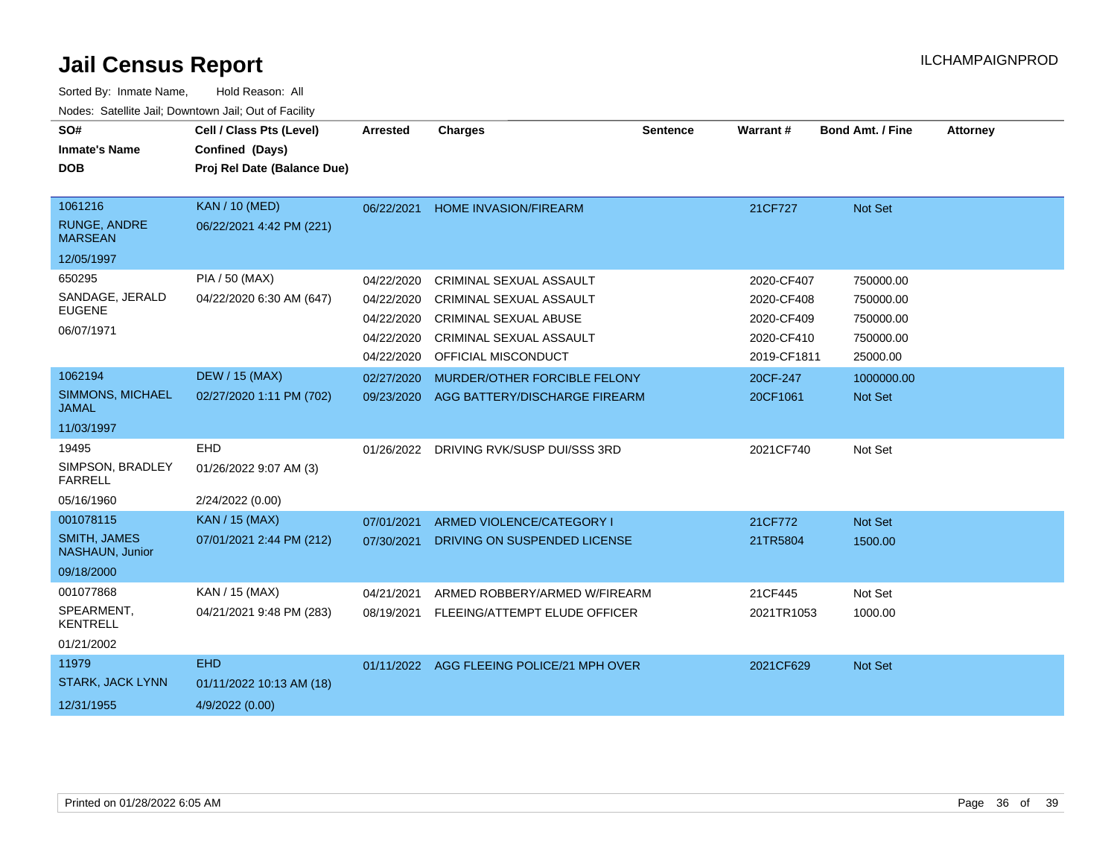| SO#<br><b>Inmate's Name</b><br><b>DOB</b> | Cell / Class Pts (Level)<br>Confined (Days)<br>Proj Rel Date (Balance Due) | <b>Arrested</b> | <b>Charges</b>                            | <b>Sentence</b> | <b>Warrant#</b> | <b>Bond Amt. / Fine</b> | <b>Attorney</b> |
|-------------------------------------------|----------------------------------------------------------------------------|-----------------|-------------------------------------------|-----------------|-----------------|-------------------------|-----------------|
|                                           |                                                                            |                 |                                           |                 |                 |                         |                 |
| 1061216                                   | <b>KAN / 10 (MED)</b>                                                      | 06/22/2021      | <b>HOME INVASION/FIREARM</b>              |                 | 21CF727         | Not Set                 |                 |
| RUNGE, ANDRE<br><b>MARSEAN</b>            | 06/22/2021 4:42 PM (221)                                                   |                 |                                           |                 |                 |                         |                 |
| 12/05/1997                                |                                                                            |                 |                                           |                 |                 |                         |                 |
| 650295                                    | PIA / 50 (MAX)                                                             | 04/22/2020      | CRIMINAL SEXUAL ASSAULT                   |                 | 2020-CF407      | 750000.00               |                 |
| SANDAGE, JERALD                           | 04/22/2020 6:30 AM (647)                                                   | 04/22/2020      | <b>CRIMINAL SEXUAL ASSAULT</b>            |                 | 2020-CF408      | 750000.00               |                 |
| <b>EUGENE</b>                             |                                                                            | 04/22/2020      | <b>CRIMINAL SEXUAL ABUSE</b>              |                 | 2020-CF409      | 750000.00               |                 |
| 06/07/1971                                |                                                                            | 04/22/2020      | CRIMINAL SEXUAL ASSAULT                   |                 | 2020-CF410      | 750000.00               |                 |
|                                           |                                                                            | 04/22/2020      | OFFICIAL MISCONDUCT                       |                 | 2019-CF1811     | 25000.00                |                 |
| 1062194                                   | <b>DEW / 15 (MAX)</b>                                                      | 02/27/2020      | MURDER/OTHER FORCIBLE FELONY              |                 | 20CF-247        | 1000000.00              |                 |
| <b>SIMMONS, MICHAEL</b><br><b>JAMAL</b>   | 02/27/2020 1:11 PM (702)                                                   | 09/23/2020      | AGG BATTERY/DISCHARGE FIREARM             |                 | 20CF1061        | Not Set                 |                 |
| 11/03/1997                                |                                                                            |                 |                                           |                 |                 |                         |                 |
| 19495                                     | <b>EHD</b>                                                                 | 01/26/2022      | DRIVING RVK/SUSP DUI/SSS 3RD              |                 | 2021CF740       | Not Set                 |                 |
| SIMPSON, BRADLEY<br><b>FARRELL</b>        | 01/26/2022 9:07 AM (3)                                                     |                 |                                           |                 |                 |                         |                 |
| 05/16/1960                                | 2/24/2022 (0.00)                                                           |                 |                                           |                 |                 |                         |                 |
| 001078115                                 | <b>KAN / 15 (MAX)</b>                                                      | 07/01/2021      | ARMED VIOLENCE/CATEGORY I                 |                 | 21CF772         | Not Set                 |                 |
| <b>SMITH, JAMES</b><br>NASHAUN, Junior    | 07/01/2021 2:44 PM (212)                                                   | 07/30/2021      | DRIVING ON SUSPENDED LICENSE              |                 | 21TR5804        | 1500.00                 |                 |
| 09/18/2000                                |                                                                            |                 |                                           |                 |                 |                         |                 |
| 001077868                                 | KAN / 15 (MAX)                                                             | 04/21/2021      | ARMED ROBBERY/ARMED W/FIREARM             |                 | 21CF445         | Not Set                 |                 |
| SPEARMENT,<br><b>KENTRELL</b>             | 04/21/2021 9:48 PM (283)                                                   | 08/19/2021      | FLEEING/ATTEMPT ELUDE OFFICER             |                 | 2021TR1053      | 1000.00                 |                 |
| 01/21/2002                                |                                                                            |                 |                                           |                 |                 |                         |                 |
| 11979                                     | <b>EHD</b>                                                                 |                 | 01/11/2022 AGG FLEEING POLICE/21 MPH OVER |                 | 2021CF629       | Not Set                 |                 |
| <b>STARK, JACK LYNN</b>                   | 01/11/2022 10:13 AM (18)                                                   |                 |                                           |                 |                 |                         |                 |
| 12/31/1955                                | 4/9/2022 (0.00)                                                            |                 |                                           |                 |                 |                         |                 |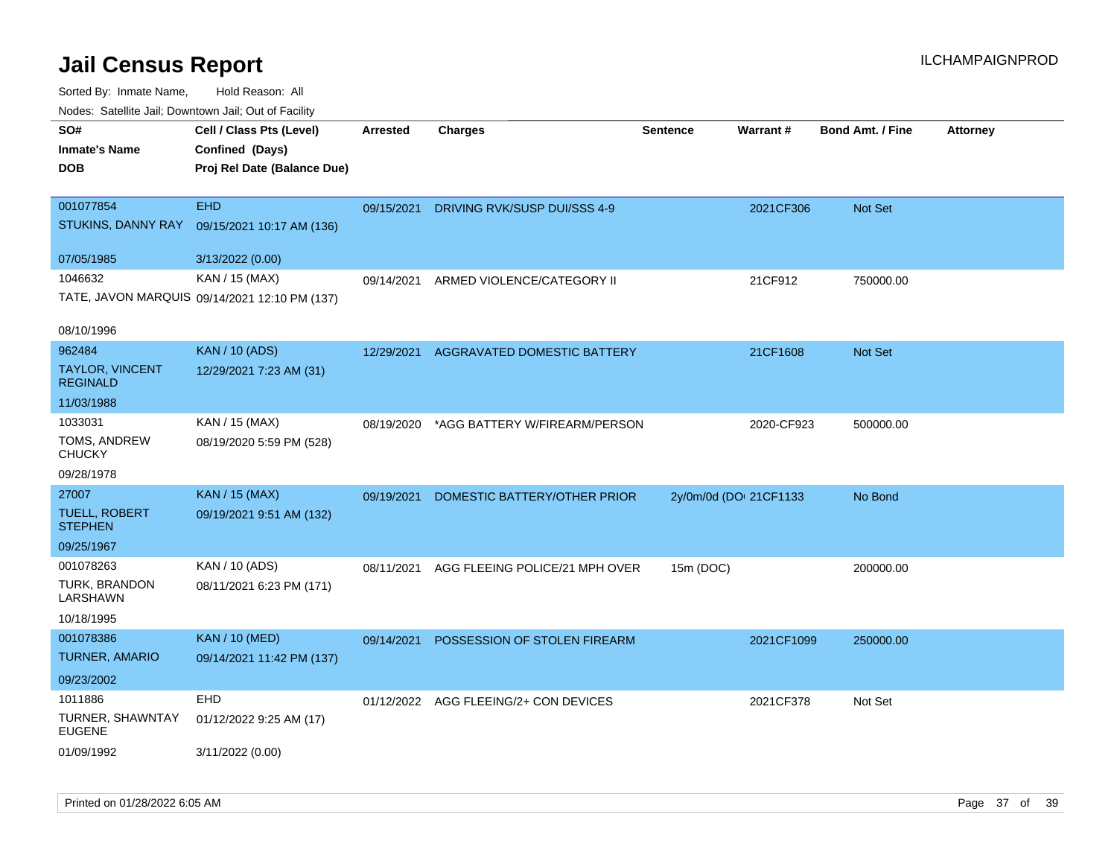| rougs. Calcing Jan, Downtown Jan, Out of Facinty              |                                                                 |            |                                          |                        |            |                         |                 |
|---------------------------------------------------------------|-----------------------------------------------------------------|------------|------------------------------------------|------------------------|------------|-------------------------|-----------------|
| SO#<br><b>Inmate's Name</b><br><b>DOB</b>                     | Cell / Class Pts (Level)<br>Confined (Days)                     | Arrested   | <b>Charges</b>                           | <b>Sentence</b>        | Warrant#   | <b>Bond Amt. / Fine</b> | <b>Attorney</b> |
|                                                               | Proj Rel Date (Balance Due)                                     |            |                                          |                        |            |                         |                 |
| 001077854<br>STUKINS, DANNY RAY                               | <b>EHD</b><br>09/15/2021 10:17 AM (136)                         | 09/15/2021 | DRIVING RVK/SUSP DUI/SSS 4-9             |                        | 2021CF306  | Not Set                 |                 |
| 07/05/1985                                                    | 3/13/2022 (0.00)                                                |            |                                          |                        |            |                         |                 |
| 1046632                                                       | KAN / 15 (MAX)<br>TATE, JAVON MARQUIS 09/14/2021 12:10 PM (137) | 09/14/2021 | ARMED VIOLENCE/CATEGORY II               |                        | 21CF912    | 750000.00               |                 |
| 08/10/1996                                                    |                                                                 |            |                                          |                        |            |                         |                 |
| 962484<br><b>TAYLOR, VINCENT</b><br><b>REGINALD</b>           | <b>KAN / 10 (ADS)</b><br>12/29/2021 7:23 AM (31)                | 12/29/2021 | AGGRAVATED DOMESTIC BATTERY              |                        | 21CF1608   | Not Set                 |                 |
| 11/03/1988                                                    |                                                                 |            |                                          |                        |            |                         |                 |
| 1033031<br>TOMS, ANDREW<br><b>CHUCKY</b>                      | KAN / 15 (MAX)<br>08/19/2020 5:59 PM (528)                      |            | 08/19/2020 *AGG BATTERY W/FIREARM/PERSON |                        | 2020-CF923 | 500000.00               |                 |
| 09/28/1978                                                    |                                                                 |            |                                          |                        |            |                         |                 |
| 27007<br><b>TUELL, ROBERT</b><br><b>STEPHEN</b><br>09/25/1967 | <b>KAN / 15 (MAX)</b><br>09/19/2021 9:51 AM (132)               | 09/19/2021 | DOMESTIC BATTERY/OTHER PRIOR             | 2y/0m/0d (DOI 21CF1133 |            | No Bond                 |                 |
| 001078263                                                     | KAN / 10 (ADS)                                                  | 08/11/2021 | AGG FLEEING POLICE/21 MPH OVER           | 15m (DOC)              |            | 200000.00               |                 |
| TURK, BRANDON<br>LARSHAWN<br>10/18/1995                       | 08/11/2021 6:23 PM (171)                                        |            |                                          |                        |            |                         |                 |
| 001078386                                                     | <b>KAN / 10 (MED)</b>                                           | 09/14/2021 | POSSESSION OF STOLEN FIREARM             |                        | 2021CF1099 | 250000.00               |                 |
| <b>TURNER, AMARIO</b>                                         | 09/14/2021 11:42 PM (137)                                       |            |                                          |                        |            |                         |                 |
| 09/23/2002                                                    |                                                                 |            |                                          |                        |            |                         |                 |
| 1011886<br>TURNER, SHAWNTAY<br><b>EUGENE</b>                  | <b>EHD</b><br>01/12/2022 9:25 AM (17)                           |            | 01/12/2022 AGG FLEEING/2+ CON DEVICES    |                        | 2021CF378  | Not Set                 |                 |
| 01/09/1992                                                    | 3/11/2022 (0.00)                                                |            |                                          |                        |            |                         |                 |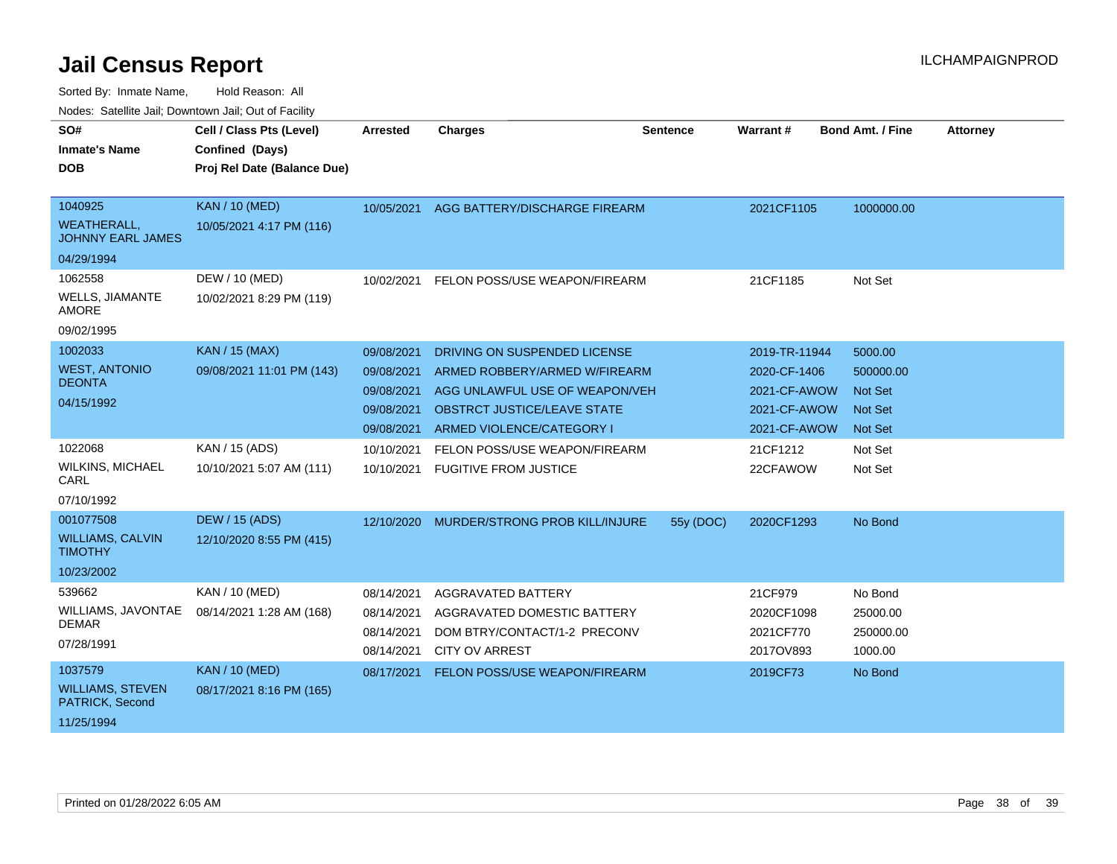| SO#                                            | Cell / Class Pts (Level)                       | Arrested                 | <b>Charges</b>                                              | <b>Sentence</b> | Warrant #               | <b>Bond Amt. / Fine</b> | <b>Attorney</b> |
|------------------------------------------------|------------------------------------------------|--------------------------|-------------------------------------------------------------|-----------------|-------------------------|-------------------------|-----------------|
| <b>Inmate's Name</b><br><b>DOB</b>             | Confined (Days)<br>Proj Rel Date (Balance Due) |                          |                                                             |                 |                         |                         |                 |
|                                                |                                                |                          |                                                             |                 |                         |                         |                 |
| 1040925                                        | <b>KAN / 10 (MED)</b>                          |                          | 10/05/2021 AGG BATTERY/DISCHARGE FIREARM                    |                 | 2021CF1105              | 1000000.00              |                 |
| <b>WEATHERALL.</b><br><b>JOHNNY EARL JAMES</b> | 10/05/2021 4:17 PM (116)                       |                          |                                                             |                 |                         |                         |                 |
| 04/29/1994                                     |                                                |                          |                                                             |                 |                         |                         |                 |
| 1062558                                        | DEW / 10 (MED)                                 | 10/02/2021               | FELON POSS/USE WEAPON/FIREARM                               |                 | 21CF1185                | Not Set                 |                 |
| <b>WELLS, JIAMANTE</b><br><b>AMORE</b>         | 10/02/2021 8:29 PM (119)                       |                          |                                                             |                 |                         |                         |                 |
| 09/02/1995                                     |                                                |                          |                                                             |                 |                         |                         |                 |
| 1002033                                        | <b>KAN / 15 (MAX)</b>                          | 09/08/2021               | DRIVING ON SUSPENDED LICENSE                                |                 | 2019-TR-11944           | 5000.00                 |                 |
| <b>WEST, ANTONIO</b>                           | 09/08/2021 11:01 PM (143)                      | 09/08/2021               | ARMED ROBBERY/ARMED W/FIREARM                               |                 | 2020-CF-1406            | 500000.00               |                 |
| <b>DEONTA</b>                                  |                                                | 09/08/2021               | AGG UNLAWFUL USE OF WEAPON/VEH                              |                 | 2021-CF-AWOW            | <b>Not Set</b>          |                 |
| 04/15/1992                                     |                                                | 09/08/2021               | OBSTRCT JUSTICE/LEAVE STATE                                 |                 | 2021-CF-AWOW            | <b>Not Set</b>          |                 |
|                                                |                                                | 09/08/2021               | ARMED VIOLENCE/CATEGORY I                                   |                 | 2021-CF-AWOW            | Not Set                 |                 |
| 1022068                                        | KAN / 15 (ADS)                                 | 10/10/2021               | FELON POSS/USE WEAPON/FIREARM                               |                 | 21CF1212                | Not Set                 |                 |
| <b>WILKINS, MICHAEL</b><br>CARL                | 10/10/2021 5:07 AM (111)                       | 10/10/2021               | <b>FUGITIVE FROM JUSTICE</b>                                |                 | 22CFAWOW                | Not Set                 |                 |
| 07/10/1992                                     |                                                |                          |                                                             |                 |                         |                         |                 |
| 001077508                                      | <b>DEW / 15 (ADS)</b>                          | 12/10/2020               | MURDER/STRONG PROB KILL/INJURE                              | 55y (DOC)       | 2020CF1293              | No Bond                 |                 |
| <b>WILLIAMS, CALVIN</b><br><b>TIMOTHY</b>      | 12/10/2020 8:55 PM (415)                       |                          |                                                             |                 |                         |                         |                 |
| 10/23/2002                                     |                                                |                          |                                                             |                 |                         |                         |                 |
| 539662                                         | KAN / 10 (MED)                                 | 08/14/2021               | AGGRAVATED BATTERY                                          |                 | 21CF979                 | No Bond                 |                 |
| WILLIAMS, JAVONTAE<br><b>DEMAR</b>             | 08/14/2021 1:28 AM (168)                       | 08/14/2021<br>08/14/2021 | AGGRAVATED DOMESTIC BATTERY<br>DOM BTRY/CONTACT/1-2 PRECONV |                 | 2020CF1098<br>2021CF770 | 25000.00<br>250000.00   |                 |
| 07/28/1991                                     |                                                | 08/14/2021               | <b>CITY OV ARREST</b>                                       |                 | 2017OV893               | 1000.00                 |                 |
| 1037579                                        | <b>KAN / 10 (MED)</b>                          | 08/17/2021               | FELON POSS/USE WEAPON/FIREARM                               |                 | 2019CF73                | No Bond                 |                 |
| <b>WILLIAMS, STEVEN</b><br>PATRICK, Second     | 08/17/2021 8:16 PM (165)                       |                          |                                                             |                 |                         |                         |                 |
| 11/25/1994                                     |                                                |                          |                                                             |                 |                         |                         |                 |